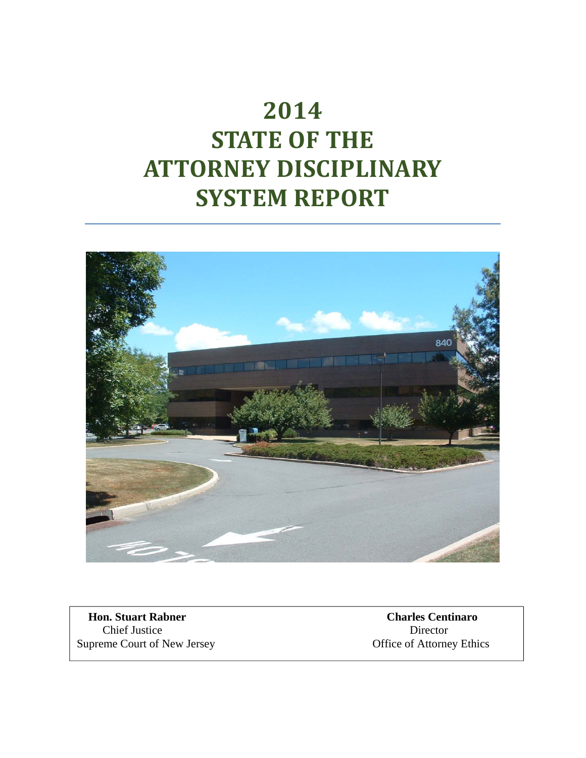# **2014 STATE OF THE ATTORNEY DISCIPLINARY SYSTEM REPORT**



 **Hon. Stuart Rabner Charles Centinaro** *Charles Centinaro* Supreme Court of New Jersey

**Chief Justice** Director<br> **EXECUTE:** Director<br> **CHIEF DIRECT:** Director<br> **CHIEF DIRECT:** Director<br> **CHIEF DIRECT:** Director<br> **CHIEF DIRECT:** Office of Attorney Ethics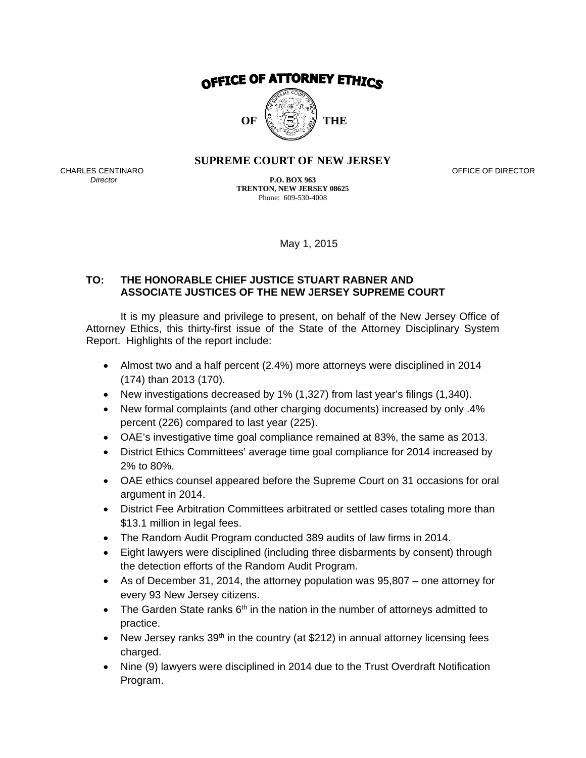

#### **SUPREME COURT OF NEW JERSEY**

CHARLES CENTINARO<br>
CHARLES CENTINARO **OFFICE OF DIRECTOR** 

*Director* **P.O. BOX 963 TRENTON, NEW JERSEY 08625**  Phone: 609-530-4008

May 1, 2015

#### **TO: THE HONORABLE CHIEF JUSTICE STUART RABNER AND ASSOCIATE JUSTICES OF THE NEW JERSEY SUPREME COURT**

It is my pleasure and privilege to present, on behalf of the New Jersey Office of Attorney Ethics, this thirty-first issue of the State of the Attorney Disciplinary System Report. Highlights of the report include:

- Almost two and a half percent (2.4%) more attorneys were disciplined in 2014 (174) than 2013 (170).
- New investigations decreased by 1% (1,327) from last year's filings (1,340).
- New formal complaints (and other charging documents) increased by only .4% percent (226) compared to last year (225).
- OAE's investigative time goal compliance remained at 83%, the same as 2013.
- District Ethics Committees' average time goal compliance for 2014 increased by 2% to 80%.
- OAE ethics counsel appeared before the Supreme Court on 31 occasions for oral argument in 2014.
- District Fee Arbitration Committees arbitrated or settled cases totaling more than \$13.1 million in legal fees.
- The Random Audit Program conducted 389 audits of law firms in 2014.
- Eight lawyers were disciplined (including three disbarments by consent) through the detection efforts of the Random Audit Program.
- As of December 31, 2014, the attorney population was 95,807 one attorney for every 93 New Jersey citizens.
- The Garden State ranks  $6<sup>th</sup>$  in the nation in the number of attorneys admitted to practice.
- New Jersey ranks  $39<sup>th</sup>$  in the country (at \$212) in annual attorney licensing fees charged.
- Nine (9) lawyers were disciplined in 2014 due to the Trust Overdraft Notification Program.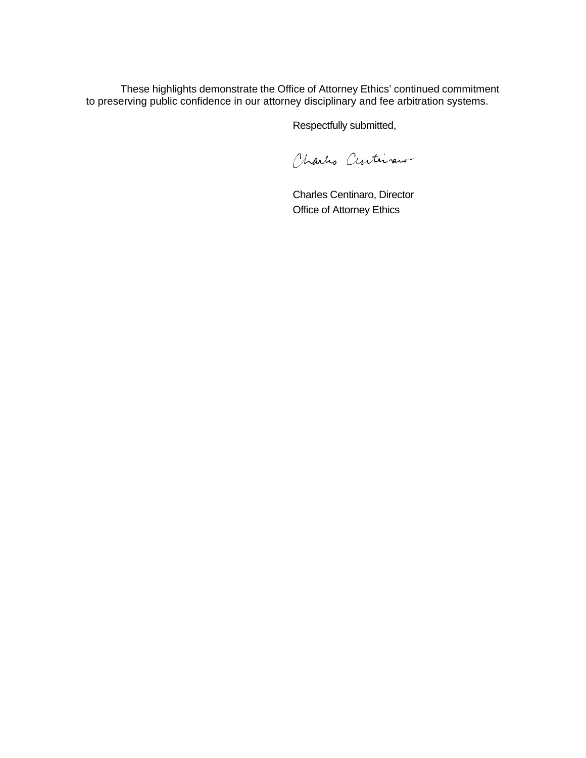These highlights demonstrate the Office of Attorney Ethics' continued commitment to preserving public confidence in our attorney disciplinary and fee arbitration systems.

Respectfully submitted,

Charles Centivaux

Charles Centinaro, Director Office of Attorney Ethics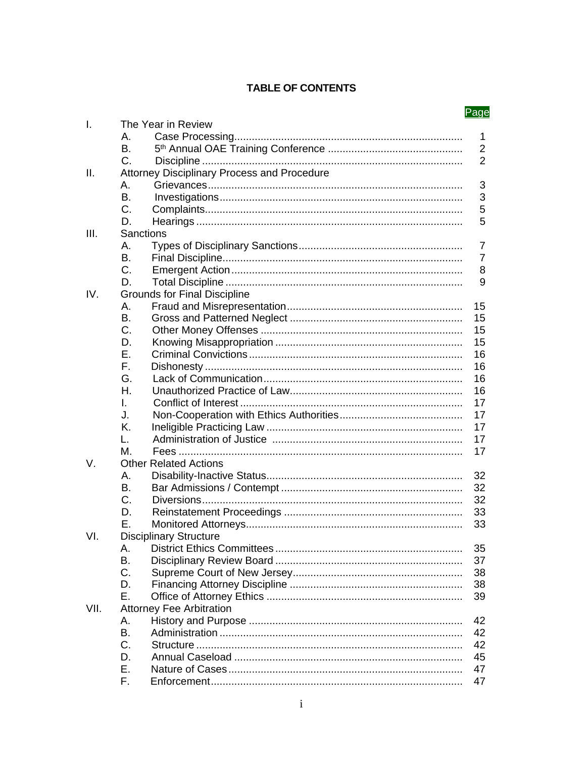#### **TABLE OF CONTENTS**

|      |    |                                             | <u>Page</u>    |
|------|----|---------------------------------------------|----------------|
| I.   |    | The Year in Review                          |                |
|      | А. |                                             | $\mathbf 1$    |
|      | Β. |                                             | $\overline{2}$ |
|      | C. |                                             | $\overline{2}$ |
| ΙΙ.  |    | Attorney Disciplinary Process and Procedure |                |
|      | А. |                                             | 3              |
|      | В. |                                             | 3              |
|      | C. |                                             | 5              |
|      | D. |                                             | 5              |
| III. |    | Sanctions                                   |                |
|      | А. |                                             | $\overline{7}$ |
|      | B. |                                             | $\overline{7}$ |
|      | C. |                                             | 8              |
|      | D. |                                             | 9              |
| IV.  |    | <b>Grounds for Final Discipline</b>         |                |
|      | Α. |                                             | 15             |
|      | В. |                                             | 15             |
|      | C. |                                             | 15             |
|      | D. |                                             | 15             |
|      | Е. |                                             | 16             |
|      | Е. |                                             | 16             |
|      | G. |                                             | 16             |
|      | Η. |                                             | 16             |
|      | L. |                                             | 17             |
|      | J. |                                             | 17             |
|      | Κ. |                                             | 17             |
|      |    |                                             | 17             |
|      | L. |                                             |                |
|      | М. |                                             | 17             |
| V.   |    | <b>Other Related Actions</b>                |                |
|      | А. |                                             | 32             |
|      | В. |                                             | 32             |
|      | C. |                                             | 32             |
|      | D. |                                             | 33             |
|      | Е. |                                             | 33             |
| VI.  |    | <b>Disciplinary Structure</b>               |                |
|      | А. |                                             | 35             |
|      | Β. |                                             | 37             |
|      | C. |                                             | 38             |
|      | D. |                                             | 38             |
|      | F. |                                             | 39             |
| VII. |    | <b>Attorney Fee Arbitration</b>             |                |
|      | Α. |                                             | 42             |
|      | В. |                                             | 42             |
|      | C. |                                             | 42             |
|      | D. |                                             | 45             |
|      | Е. |                                             | 47             |
|      | F. |                                             | 47             |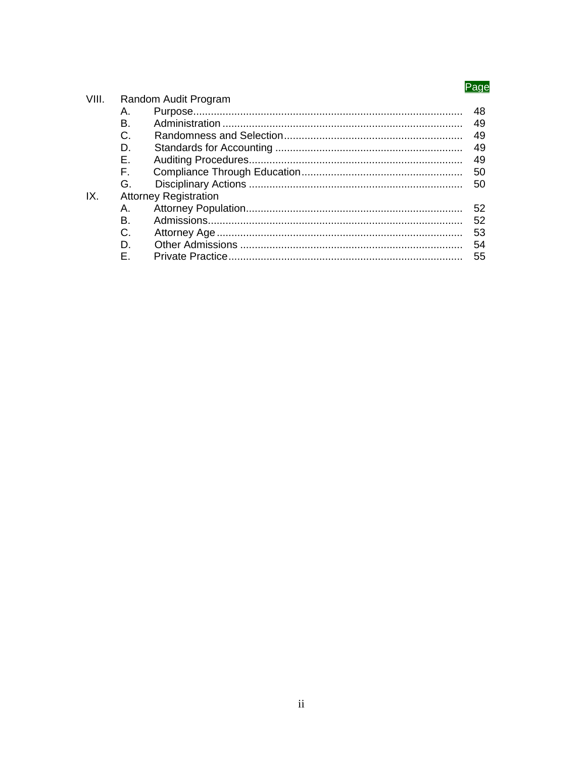## Page

|       |    |                              | ayu |
|-------|----|------------------------------|-----|
| VIII. |    | Random Audit Program         |     |
|       | Α. |                              | 48  |
|       | В. |                              | 49  |
|       | C. |                              | 49  |
|       | D. |                              | 49  |
|       | Е. |                              | 49  |
|       | F. |                              | 50  |
|       | G. |                              | 50  |
| IX.   |    | <b>Attorney Registration</b> |     |
|       | Α. |                              | 52  |
|       | В. |                              | 52  |
|       | C. |                              | 53  |
|       | D. |                              | 54  |
|       | F. |                              | 55  |
|       |    |                              |     |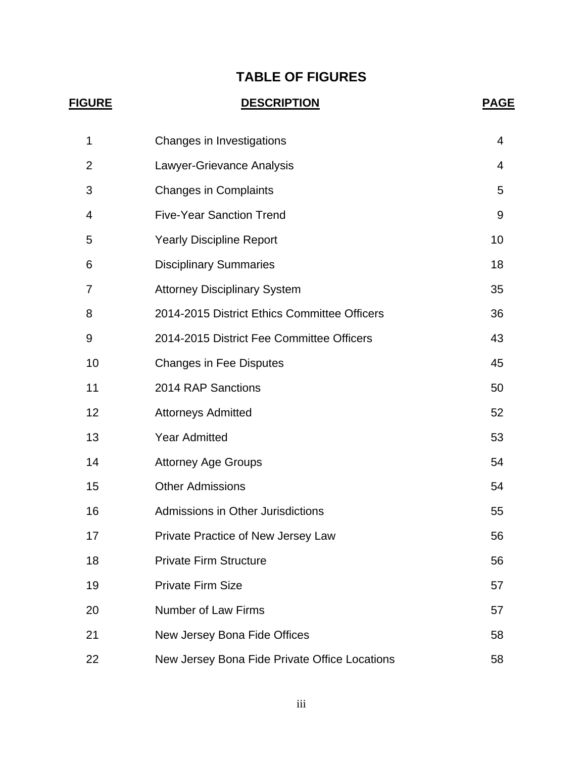## **TABLE OF FIGURES**

| <u>FIGURE</u>  | <b>DESCRIPTION</b>                            |    |  |  |
|----------------|-----------------------------------------------|----|--|--|
| 1              | Changes in Investigations                     | 4  |  |  |
| $\overline{2}$ | Lawyer-Grievance Analysis                     | 4  |  |  |
| 3              | <b>Changes in Complaints</b>                  | 5  |  |  |
| 4              | <b>Five-Year Sanction Trend</b>               | 9  |  |  |
| 5              | <b>Yearly Discipline Report</b>               | 10 |  |  |
| 6              | <b>Disciplinary Summaries</b>                 | 18 |  |  |
| 7              | <b>Attorney Disciplinary System</b>           | 35 |  |  |
| 8              | 2014-2015 District Ethics Committee Officers  | 36 |  |  |
| 9              | 2014-2015 District Fee Committee Officers     | 43 |  |  |
| 10             | <b>Changes in Fee Disputes</b>                | 45 |  |  |
| 11             | 2014 RAP Sanctions                            | 50 |  |  |
| 12             | <b>Attorneys Admitted</b>                     | 52 |  |  |
| 13             | <b>Year Admitted</b>                          | 53 |  |  |
| 14             | <b>Attorney Age Groups</b>                    | 54 |  |  |
| 15             | <b>Other Admissions</b>                       | 54 |  |  |
| 16             | Admissions in Other Jurisdictions             | 55 |  |  |
| 17             | Private Practice of New Jersey Law            | 56 |  |  |
| 18             | <b>Private Firm Structure</b>                 | 56 |  |  |
| 19             | <b>Private Firm Size</b>                      | 57 |  |  |
| 20             | Number of Law Firms                           | 57 |  |  |
| 21             | New Jersey Bona Fide Offices                  | 58 |  |  |
| 22             | New Jersey Bona Fide Private Office Locations | 58 |  |  |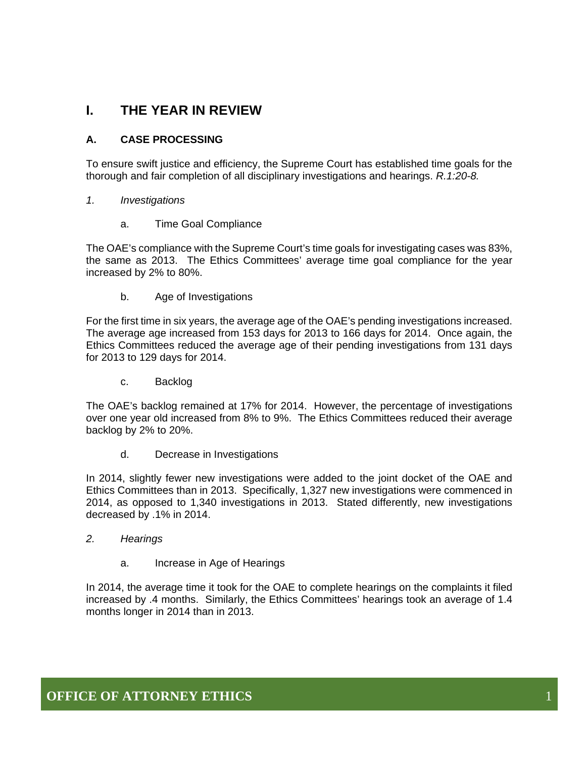## **I. THE YEAR IN REVIEW**

#### **A. CASE PROCESSING**

To ensure swift justice and efficiency, the Supreme Court has established time goals for the thorough and fair completion of all disciplinary investigations and hearings. *R.1:20-8.*

#### *1. Investigations*

a. Time Goal Compliance

The OAE's compliance with the Supreme Court's time goals for investigating cases was 83%, the same as 2013. The Ethics Committees' average time goal compliance for the year increased by 2% to 80%.

b. Age of Investigations

For the first time in six years, the average age of the OAE's pending investigations increased. The average age increased from 153 days for 2013 to 166 days for 2014. Once again, the Ethics Committees reduced the average age of their pending investigations from 131 days for 2013 to 129 days for 2014.

c. Backlog

The OAE's backlog remained at 17% for 2014. However, the percentage of investigations over one year old increased from 8% to 9%. The Ethics Committees reduced their average backlog by 2% to 20%.

d. Decrease in Investigations

In 2014, slightly fewer new investigations were added to the joint docket of the OAE and Ethics Committees than in 2013. Specifically, 1,327 new investigations were commenced in 2014, as opposed to 1,340 investigations in 2013. Stated differently, new investigations decreased by .1% in 2014.

- *2. Hearings* 
	- a. Increase in Age of Hearings

In 2014, the average time it took for the OAE to complete hearings on the complaints it filed increased by .4 months. Similarly, the Ethics Committees' hearings took an average of 1.4 months longer in 2014 than in 2013.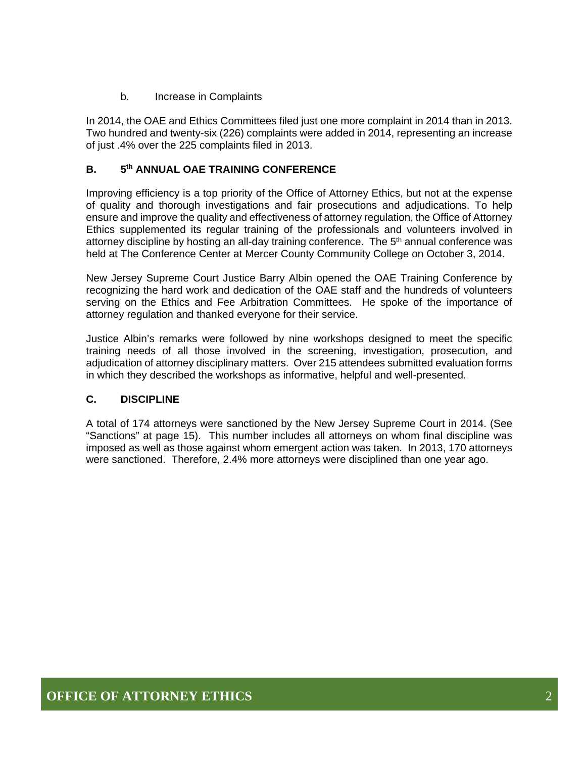b. Increase in Complaints

In 2014, the OAE and Ethics Committees filed just one more complaint in 2014 than in 2013. Two hundred and twenty-six (226) complaints were added in 2014, representing an increase of just .4% over the 225 complaints filed in 2013.

#### **B. 5th ANNUAL OAE TRAINING CONFERENCE**

Improving efficiency is a top priority of the Office of Attorney Ethics, but not at the expense of quality and thorough investigations and fair prosecutions and adjudications. To help ensure and improve the quality and effectiveness of attorney regulation, the Office of Attorney Ethics supplemented its regular training of the professionals and volunteers involved in attorney discipline by hosting an all-day training conference. The  $5<sup>th</sup>$  annual conference was held at The Conference Center at Mercer County Community College on October 3, 2014.

New Jersey Supreme Court Justice Barry Albin opened the OAE Training Conference by recognizing the hard work and dedication of the OAE staff and the hundreds of volunteers serving on the Ethics and Fee Arbitration Committees. He spoke of the importance of attorney regulation and thanked everyone for their service.

Justice Albin's remarks were followed by nine workshops designed to meet the specific training needs of all those involved in the screening, investigation, prosecution, and adjudication of attorney disciplinary matters. Over 215 attendees submitted evaluation forms in which they described the workshops as informative, helpful and well-presented.

#### **C. DISCIPLINE**

A total of 174 attorneys were sanctioned by the New Jersey Supreme Court in 2014. (See "Sanctions" at page 15). This number includes all attorneys on whom final discipline was imposed as well as those against whom emergent action was taken. In 2013, 170 attorneys were sanctioned. Therefore, 2.4% more attorneys were disciplined than one year ago.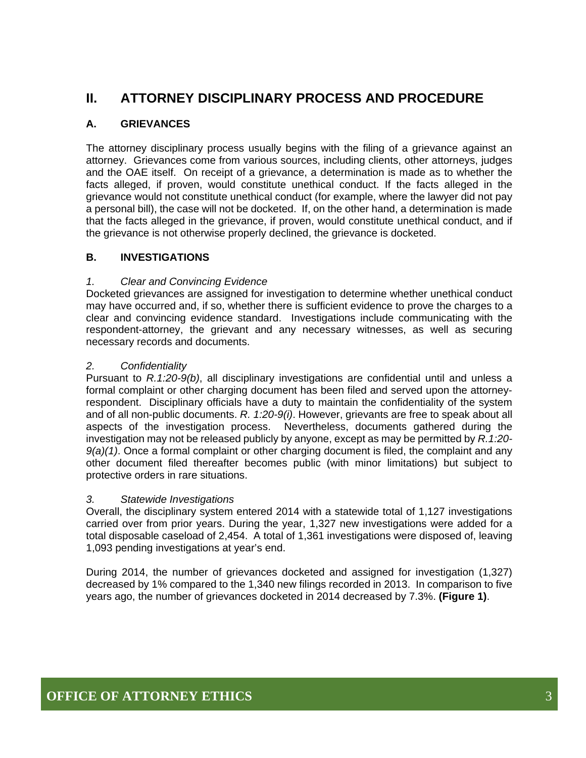## **II. ATTORNEY DISCIPLINARY PROCESS AND PROCEDURE**

### **A. GRIEVANCES**

The attorney disciplinary process usually begins with the filing of a grievance against an attorney. Grievances come from various sources, including clients, other attorneys, judges and the OAE itself. On receipt of a grievance, a determination is made as to whether the facts alleged, if proven, would constitute unethical conduct. If the facts alleged in the grievance would not constitute unethical conduct (for example, where the lawyer did not pay a personal bill), the case will not be docketed. If, on the other hand, a determination is made that the facts alleged in the grievance, if proven, would constitute unethical conduct, and if the grievance is not otherwise properly declined, the grievance is docketed.

#### **B. INVESTIGATIONS**

#### *1. Clear and Convincing Evidence*

Docketed grievances are assigned for investigation to determine whether unethical conduct may have occurred and, if so, whether there is sufficient evidence to prove the charges to a clear and convincing evidence standard. Investigations include communicating with the respondent-attorney, the grievant and any necessary witnesses, as well as securing necessary records and documents.

#### *2. Confidentiality*

Pursuant to *R.1:20-9(b)*, all disciplinary investigations are confidential until and unless a formal complaint or other charging document has been filed and served upon the attorneyrespondent. Disciplinary officials have a duty to maintain the confidentiality of the system and of all non-public documents. *R. 1:20-9(i)*. However, grievants are free to speak about all aspects of the investigation process. Nevertheless, documents gathered during the investigation may not be released publicly by anyone, except as may be permitted by *R.1:20- 9(a)(1)*. Once a formal complaint or other charging document is filed, the complaint and any other document filed thereafter becomes public (with minor limitations) but subject to protective orders in rare situations.

#### *3. Statewide Investigations*

Overall, the disciplinary system entered 2014 with a statewide total of 1,127 investigations carried over from prior years. During the year, 1,327 new investigations were added for a total disposable caseload of 2,454. A total of 1,361 investigations were disposed of, leaving 1,093 pending investigations at year's end.

During 2014, the number of grievances docketed and assigned for investigation (1,327) decreased by 1% compared to the 1,340 new filings recorded in 2013. In comparison to five years ago, the number of grievances docketed in 2014 decreased by 7.3%. **(Figure 1)**.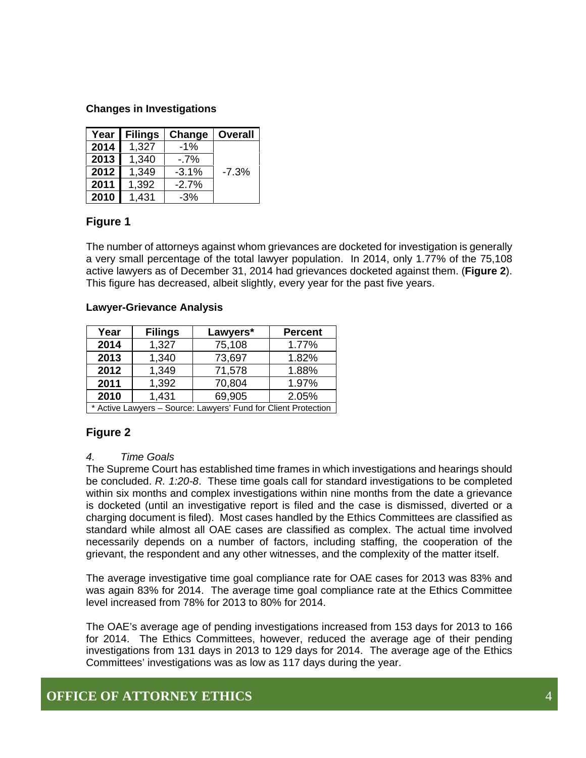#### **Changes in Investigations**

| Year | <b>Filings</b> | Change  | <b>Overall</b> |
|------|----------------|---------|----------------|
| 2014 | 1,327          | $-1%$   |                |
| 2013 | 1,340          | $-7%$   |                |
| 2012 | 1,349          | $-3.1%$ | $-7.3%$        |
| 2011 | 1,392          | $-2.7%$ |                |
| 2010 | 1,431          | $-3%$   |                |

#### **Figure 1**

The number of attorneys against whom grievances are docketed for investigation is generally a very small percentage of the total lawyer population. In 2014, only 1.77% of the 75,108 active lawyers as of December 31, 2014 had grievances docketed against them. (**Figure 2**). This figure has decreased, albeit slightly, every year for the past five years.

#### **Lawyer-Grievance Analysis**

| Year                                                           | <b>Filings</b> | Lawyers* | <b>Percent</b> |  |
|----------------------------------------------------------------|----------------|----------|----------------|--|
| 2014                                                           | 1,327          | 75,108   | 1.77%          |  |
| 2013                                                           | 1,340          | 73,697   | 1.82%          |  |
| 2012                                                           | 1,349          | 71,578   | 1.88%          |  |
| 2011                                                           | 1,392          | 70,804   | 1.97%          |  |
| 2010                                                           | 1,431          | 69,905   | 2.05%          |  |
| * Active Lawyers - Source: Lawyers' Fund for Client Protection |                |          |                |  |

#### **Figure 2**

#### *4. Time Goals*

The Supreme Court has established time frames in which investigations and hearings should be concluded. *R. 1:20-8*. These time goals call for standard investigations to be completed within six months and complex investigations within nine months from the date a grievance is docketed (until an investigative report is filed and the case is dismissed, diverted or a charging document is filed). Most cases handled by the Ethics Committees are classified as standard while almost all OAE cases are classified as complex. The actual time involved necessarily depends on a number of factors, including staffing, the cooperation of the grievant, the respondent and any other witnesses, and the complexity of the matter itself.

The average investigative time goal compliance rate for OAE cases for 2013 was 83% and was again 83% for 2014. The average time goal compliance rate at the Ethics Committee level increased from 78% for 2013 to 80% for 2014.

The OAE's average age of pending investigations increased from 153 days for 2013 to 166 for 2014. The Ethics Committees, however, reduced the average age of their pending investigations from 131 days in 2013 to 129 days for 2014. The average age of the Ethics Committees' investigations was as low as 117 days during the year.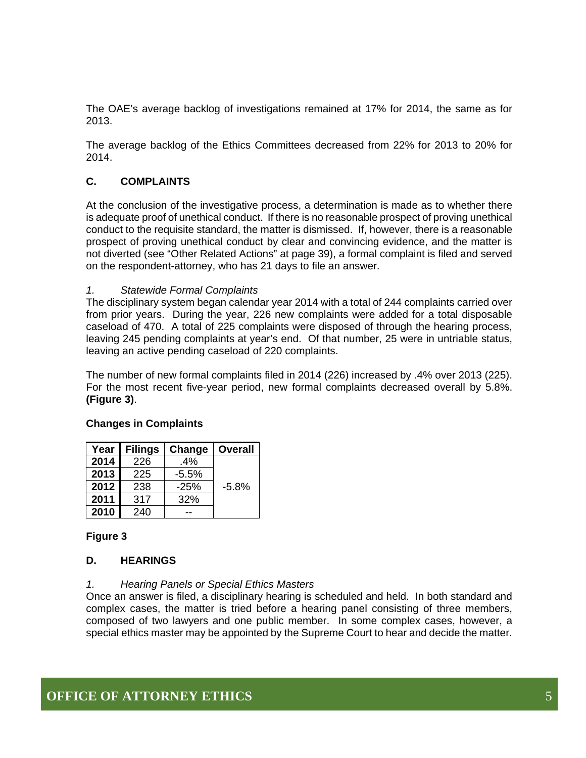The OAE's average backlog of investigations remained at 17% for 2014, the same as for 2013.

The average backlog of the Ethics Committees decreased from 22% for 2013 to 20% for 2014.

#### **C. COMPLAINTS**

At the conclusion of the investigative process, a determination is made as to whether there is adequate proof of unethical conduct. If there is no reasonable prospect of proving unethical conduct to the requisite standard, the matter is dismissed. If, however, there is a reasonable prospect of proving unethical conduct by clear and convincing evidence, and the matter is not diverted (see "Other Related Actions" at page 39), a formal complaint is filed and served on the respondent-attorney, who has 21 days to file an answer.

#### *1. Statewide Formal Complaints*

The disciplinary system began calendar year 2014 with a total of 244 complaints carried over from prior years. During the year, 226 new complaints were added for a total disposable caseload of 470. A total of 225 complaints were disposed of through the hearing process, leaving 245 pending complaints at year's end. Of that number, 25 were in untriable status, leaving an active pending caseload of 220 complaints.

The number of new formal complaints filed in 2014 (226) increased by .4% over 2013 (225). For the most recent five-year period, new formal complaints decreased overall by 5.8%. **(Figure 3)**.

| Year | <b>Filings</b> | Change  | <b>Overall</b> |
|------|----------------|---------|----------------|
| 2014 | 226            | .4%     |                |
| 2013 | 225            | $-5.5%$ |                |
| 2012 | 238            | $-25%$  | $-5.8%$        |
| 2011 | 317            | 32%     |                |
| 2010 | 240            |         |                |

#### **Changes in Complaints**

#### **Figure 3**

#### **D. HEARINGS**

#### *1. Hearing Panels or Special Ethics Masters*

Once an answer is filed, a disciplinary hearing is scheduled and held. In both standard and complex cases, the matter is tried before a hearing panel consisting of three members, composed of two lawyers and one public member. In some complex cases, however, a special ethics master may be appointed by the Supreme Court to hear and decide the matter.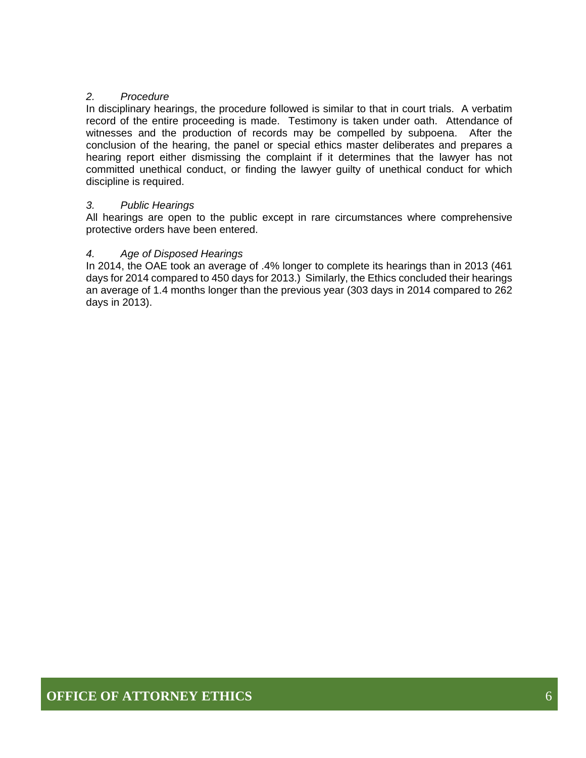#### *2. Procedure*

In disciplinary hearings, the procedure followed is similar to that in court trials. A verbatim record of the entire proceeding is made. Testimony is taken under oath. Attendance of witnesses and the production of records may be compelled by subpoena. After the conclusion of the hearing, the panel or special ethics master deliberates and prepares a hearing report either dismissing the complaint if it determines that the lawyer has not committed unethical conduct, or finding the lawyer guilty of unethical conduct for which discipline is required.

#### *3. Public Hearings*

All hearings are open to the public except in rare circumstances where comprehensive protective orders have been entered.

#### *4. Age of Disposed Hearings*

In 2014, the OAE took an average of .4% longer to complete its hearings than in 2013 (461 days for 2014 compared to 450 days for 2013.) Similarly, the Ethics concluded their hearings an average of 1.4 months longer than the previous year (303 days in 2014 compared to 262 days in 2013).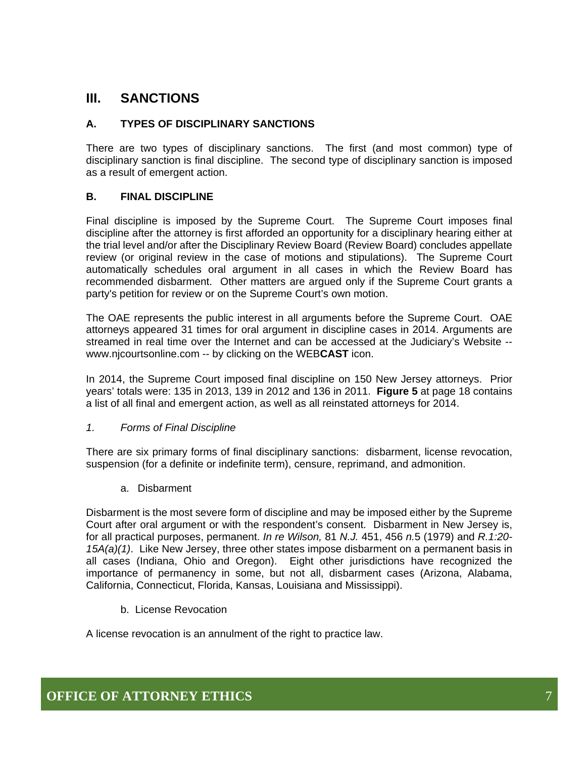## **III. SANCTIONS**

#### **A. TYPES OF DISCIPLINARY SANCTIONS**

There are two types of disciplinary sanctions. The first (and most common) type of disciplinary sanction is final discipline. The second type of disciplinary sanction is imposed as a result of emergent action.

#### **B. FINAL DISCIPLINE**

Final discipline is imposed by the Supreme Court. The Supreme Court imposes final discipline after the attorney is first afforded an opportunity for a disciplinary hearing either at the trial level and/or after the Disciplinary Review Board (Review Board) concludes appellate review (or original review in the case of motions and stipulations). The Supreme Court automatically schedules oral argument in all cases in which the Review Board has recommended disbarment. Other matters are argued only if the Supreme Court grants a party's petition for review or on the Supreme Court's own motion.

The OAE represents the public interest in all arguments before the Supreme Court. OAE attorneys appeared 31 times for oral argument in discipline cases in 2014. Arguments are streamed in real time over the Internet and can be accessed at the Judiciary's Website - www.njcourtsonline.com -- by clicking on the WEB**CAST** icon.

In 2014, the Supreme Court imposed final discipline on 150 New Jersey attorneys. Prior years' totals were: 135 in 2013, 139 in 2012 and 136 in 2011. **Figure 5** at page 18 contains a list of all final and emergent action, as well as all reinstated attorneys for 2014.

#### *1. Forms of Final Discipline*

There are six primary forms of final disciplinary sanctions: disbarment, license revocation, suspension (for a definite or indefinite term), censure, reprimand, and admonition.

a. Disbarment

Disbarment is the most severe form of discipline and may be imposed either by the Supreme Court after oral argument or with the respondent's consent. Disbarment in New Jersey is, for all practical purposes, permanent. *In re Wilson,* 81 *N.J.* 451, 456 *n.*5 (1979) and *R.1:20- 15A(a)(1)*. Like New Jersey, three other states impose disbarment on a permanent basis in all cases (Indiana, Ohio and Oregon). Eight other jurisdictions have recognized the importance of permanency in some, but not all, disbarment cases (Arizona, Alabama, California, Connecticut, Florida, Kansas, Louisiana and Mississippi).

b. License Revocation

A license revocation is an annulment of the right to practice law.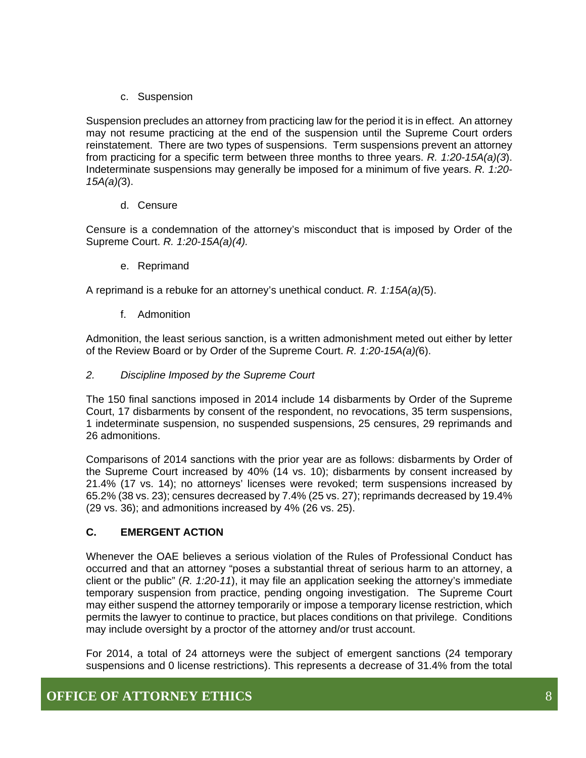c. Suspension

Suspension precludes an attorney from practicing law for the period it is in effect. An attorney may not resume practicing at the end of the suspension until the Supreme Court orders reinstatement. There are two types of suspensions. Term suspensions prevent an attorney from practicing for a specific term between three months to three years. *R. 1:20-15A(a)(3*). Indeterminate suspensions may generally be imposed for a minimum of five years. *R. 1:20- 15A(a)(*3).

d. Censure

Censure is a condemnation of the attorney's misconduct that is imposed by Order of the Supreme Court. *R. 1:20-15A(a)(4).* 

e. Reprimand

A reprimand is a rebuke for an attorney's unethical conduct. *R. 1:15A(a)(*5).

f. Admonition

Admonition, the least serious sanction, is a written admonishment meted out either by letter of the Review Board or by Order of the Supreme Court. *R. 1:20-15A(a)(*6).

*2. Discipline Imposed by the Supreme Court* 

The 150 final sanctions imposed in 2014 include 14 disbarments by Order of the Supreme Court, 17 disbarments by consent of the respondent, no revocations, 35 term suspensions, 1 indeterminate suspension, no suspended suspensions, 25 censures, 29 reprimands and 26 admonitions.

Comparisons of 2014 sanctions with the prior year are as follows: disbarments by Order of the Supreme Court increased by 40% (14 vs. 10); disbarments by consent increased by 21.4% (17 vs. 14); no attorneys' licenses were revoked; term suspensions increased by 65.2% (38 vs. 23); censures decreased by 7.4% (25 vs. 27); reprimands decreased by 19.4% (29 vs. 36); and admonitions increased by 4% (26 vs. 25).

#### **C. EMERGENT ACTION**

Whenever the OAE believes a serious violation of the Rules of Professional Conduct has occurred and that an attorney "poses a substantial threat of serious harm to an attorney, a client or the public" (*R. 1:20-11*), it may file an application seeking the attorney's immediate temporary suspension from practice, pending ongoing investigation. The Supreme Court may either suspend the attorney temporarily or impose a temporary license restriction, which permits the lawyer to continue to practice, but places conditions on that privilege. Conditions may include oversight by a proctor of the attorney and/or trust account.

For 2014, a total of 24 attorneys were the subject of emergent sanctions (24 temporary suspensions and 0 license restrictions). This represents a decrease of 31.4% from the total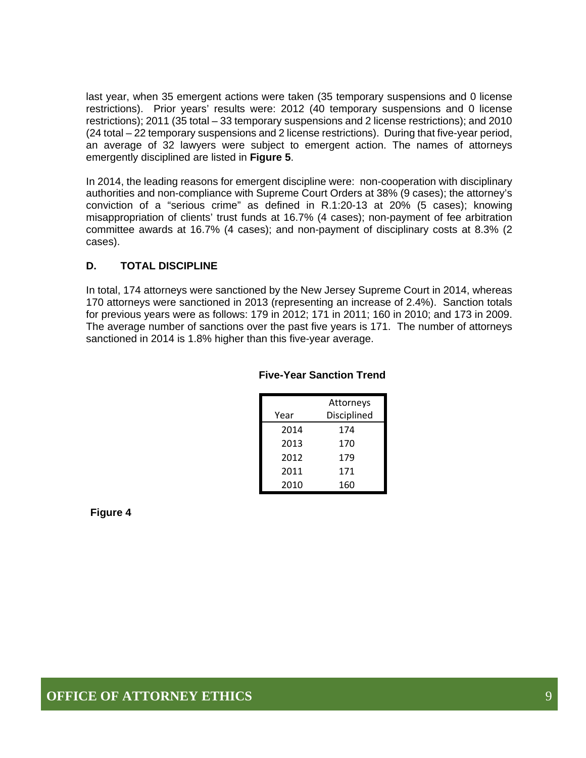last year, when 35 emergent actions were taken (35 temporary suspensions and 0 license restrictions). Prior years' results were: 2012 (40 temporary suspensions and 0 license restrictions); 2011 (35 total – 33 temporary suspensions and 2 license restrictions); and 2010 (24 total – 22 temporary suspensions and 2 license restrictions). During that five-year period, an average of 32 lawyers were subject to emergent action. The names of attorneys emergently disciplined are listed in **Figure 5**.

In 2014, the leading reasons for emergent discipline were: non-cooperation with disciplinary authorities and non-compliance with Supreme Court Orders at 38% (9 cases); the attorney's conviction of a "serious crime" as defined in R.1:20-13 at 20% (5 cases); knowing misappropriation of clients' trust funds at 16.7% (4 cases); non-payment of fee arbitration committee awards at 16.7% (4 cases); and non-payment of disciplinary costs at 8.3% (2 cases).

#### **D. TOTAL DISCIPLINE**

In total, 174 attorneys were sanctioned by the New Jersey Supreme Court in 2014, whereas 170 attorneys were sanctioned in 2013 (representing an increase of 2.4%). Sanction totals for previous years were as follows: 179 in 2012; 171 in 2011; 160 in 2010; and 173 in 2009. The average number of sanctions over the past five years is 171. The number of attorneys sanctioned in 2014 is 1.8% higher than this five-year average.

|      | Attorneys   |
|------|-------------|
| Year | Disciplined |
| 2014 | 174         |
| 2013 | 170         |
| 2012 | 179         |
| 2011 | 171         |
| 2010 | 160         |

#### **Five-Year Sanction Trend**

**Figure 4**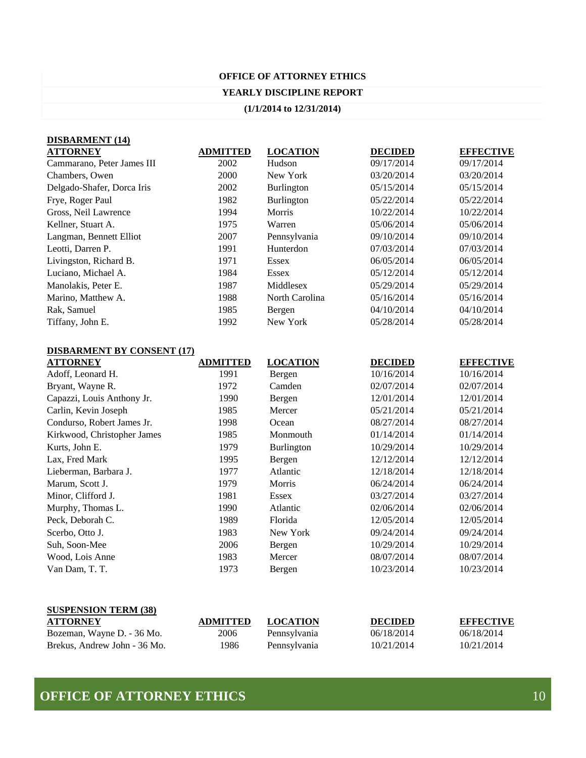#### **YEARLY DISCIPLINE REPORT**

#### **(1/1/2014 to 12/31/2014)**

| <b>DISBARMENT</b> (14)     |                 |                   |                |                  |
|----------------------------|-----------------|-------------------|----------------|------------------|
| <b>ATTORNEY</b>            | <b>ADMITTED</b> | <b>LOCATION</b>   | <b>DECIDED</b> | <b>EFFECTIVE</b> |
| Cammarano, Peter James III | 2002            | Hudson            | 09/17/2014     | 09/17/2014       |
| Chambers, Owen             | 2000            | New York          | 03/20/2014     | 03/20/2014       |
| Delgado-Shafer, Dorca Iris | 2002            | <b>Burlington</b> | 05/15/2014     | 05/15/2014       |
| Frye, Roger Paul           | 1982            | <b>Burlington</b> | 05/22/2014     | 05/22/2014       |
| Gross, Neil Lawrence       | 1994            | <b>Morris</b>     | 10/22/2014     | 10/22/2014       |
| Kellner, Stuart A.         | 1975            | Warren            | 05/06/2014     | 05/06/2014       |
| Langman, Bennett Elliot    | 2007            | Pennsylvania      | 09/10/2014     | 09/10/2014       |
| Leotti, Darren P.          | 1991            | Hunterdon         | 07/03/2014     | 07/03/2014       |
| Livingston, Richard B.     | 1971            | Essex             | 06/05/2014     | 06/05/2014       |
| Luciano, Michael A.        | 1984            | <b>Essex</b>      | 05/12/2014     | 05/12/2014       |
| Manolakis, Peter E.        | 1987            | Middlesex         | 05/29/2014     | 05/29/2014       |
| Marino, Matthew A.         | 1988            | North Carolina    | 05/16/2014     | 05/16/2014       |
| Rak, Samuel                | 1985            | Bergen            | 04/10/2014     | 04/10/2014       |
| Tiffany, John E.           | 1992            | New York          | 05/28/2014     | 05/28/2014       |

#### **DISBARMENT BY CONSENT (17)**

| <b>ATTORNEY</b>             | <b>ADMITTED</b> | <b>LOCATION</b>   | <b>DECIDED</b> | <b>EFFECTIVE</b> |
|-----------------------------|-----------------|-------------------|----------------|------------------|
| Adoff, Leonard H.           | 1991            | Bergen            | 10/16/2014     | 10/16/2014       |
| Bryant, Wayne R.            | 1972            | Camden            | 02/07/2014     | 02/07/2014       |
| Capazzi, Louis Anthony Jr.  | 1990            | Bergen            | 12/01/2014     | 12/01/2014       |
| Carlin, Kevin Joseph        | 1985            | Mercer            | 05/21/2014     | 05/21/2014       |
| Condurso, Robert James Jr.  | 1998            | Ocean             | 08/27/2014     | 08/27/2014       |
| Kirkwood, Christopher James | 1985            | Monmouth          | 01/14/2014     | 01/14/2014       |
| Kurts, John E.              | 1979            | <b>Burlington</b> | 10/29/2014     | 10/29/2014       |
| Lax, Fred Mark              | 1995            | Bergen            | 12/12/2014     | 12/12/2014       |
| Lieberman, Barbara J.       | 1977            | Atlantic          | 12/18/2014     | 12/18/2014       |
| Marum, Scott J.             | 1979            | Morris            | 06/24/2014     | 06/24/2014       |
| Minor, Clifford J.          | 1981            | Essex             | 03/27/2014     | 03/27/2014       |
| Murphy, Thomas L.           | 1990            | Atlantic          | 02/06/2014     | 02/06/2014       |
| Peck, Deborah C.            | 1989            | Florida           | 12/05/2014     | 12/05/2014       |
| Scerbo, Otto J.             | 1983            | New York          | 09/24/2014     | 09/24/2014       |
| Suh, Soon-Mee               | 2006            | Bergen            | 10/29/2014     | 10/29/2014       |
| Wood, Lois Anne             | 1983            | Mercer            | 08/07/2014     | 08/07/2014       |
| Van Dam, T. T.              | 1973            | Bergen            | 10/23/2014     | 10/23/2014       |
|                             |                 |                   |                |                  |

| <b>SUSPENSION TERM (38)</b>  |                 |                 |                |                  |  |  |
|------------------------------|-----------------|-----------------|----------------|------------------|--|--|
| <b>ATTORNEY</b>              | <b>ADMITTED</b> | <b>LOCATION</b> | <b>DECIDED</b> | <b>EFFECTIVE</b> |  |  |
| Bozeman, Wayne D. - 36 Mo.   | 2006            | Pennsylvania    | 06/18/2014     | 06/18/2014       |  |  |
| Brekus, Andrew John - 36 Mo. | 1986            | Pennsylvania    | 10/21/2014     | 10/21/2014       |  |  |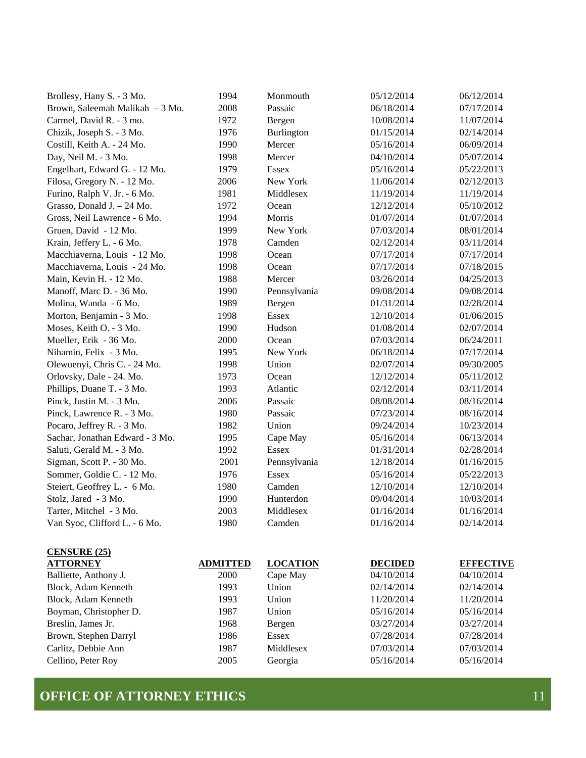| Brollesy, Hany S. - 3 Mo.       | 1994 | Monmouth     | 05/12/2014 | 06/12/2014 |
|---------------------------------|------|--------------|------------|------------|
| Brown, Saleemah Malikah - 3 Mo. | 2008 | Passaic      | 06/18/2014 | 07/17/2014 |
| Carmel, David R. - 3 mo.        | 1972 | Bergen       | 10/08/2014 | 11/07/2014 |
| Chizik, Joseph S. - 3 Mo.       | 1976 | Burlington   | 01/15/2014 | 02/14/2014 |
| Costill, Keith A. - 24 Mo.      | 1990 | Mercer       | 05/16/2014 | 06/09/2014 |
| Day, Neil M. - 3 Mo.            | 1998 | Mercer       | 04/10/2014 | 05/07/2014 |
| Engelhart, Edward G. - 12 Mo.   | 1979 | <b>Essex</b> | 05/16/2014 | 05/22/2013 |
| Filosa, Gregory N. - 12 Mo.     | 2006 | New York     | 11/06/2014 | 02/12/2013 |
| Furino, Ralph V. Jr. - 6 Mo.    | 1981 | Middlesex    | 11/19/2014 | 11/19/2014 |
| Grasso, Donald J. - 24 Mo.      | 1972 | Ocean        | 12/12/2014 | 05/10/2012 |
| Gross, Neil Lawrence - 6 Mo.    | 1994 | Morris       | 01/07/2014 | 01/07/2014 |
| Gruen, David - 12 Mo.           | 1999 | New York     | 07/03/2014 | 08/01/2014 |
| Krain, Jeffery L. - 6 Mo.       | 1978 | Camden       | 02/12/2014 | 03/11/2014 |
| Macchiaverna, Louis - 12 Mo.    | 1998 | Ocean        | 07/17/2014 | 07/17/2014 |
| Macchiaverna, Louis - 24 Mo.    | 1998 | Ocean        | 07/17/2014 | 07/18/2015 |
| Main, Kevin H. - 12 Mo.         | 1988 | Mercer       | 03/26/2014 | 04/25/2013 |
| Manoff, Marc D. - 36 Mo.        | 1990 | Pennsylvania | 09/08/2014 | 09/08/2014 |
| Molina, Wanda - 6 Mo.           | 1989 | Bergen       | 01/31/2014 | 02/28/2014 |
| Morton, Benjamin - 3 Mo.        | 1998 | <b>Essex</b> | 12/10/2014 | 01/06/2015 |
| Moses, Keith O. - 3 Mo.         | 1990 | Hudson       | 01/08/2014 | 02/07/2014 |
| Mueller, Erik - 36 Mo.          | 2000 | Ocean        | 07/03/2014 | 06/24/2011 |
| Nihamin, Felix - 3 Mo.          | 1995 | New York     | 06/18/2014 | 07/17/2014 |
| Olewuenyi, Chris C. - 24 Mo.    | 1998 | Union        | 02/07/2014 | 09/30/2005 |
| Orlovsky, Dale - 24. Mo.        | 1973 | Ocean        | 12/12/2014 | 05/11/2012 |
| Phillips, Duane T. - 3 Mo.      | 1993 | Atlantic     | 02/12/2014 | 03/11/2014 |
| Pinck, Justin M. - 3 Mo.        | 2006 | Passaic      | 08/08/2014 | 08/16/2014 |
| Pinck, Lawrence R. - 3 Mo.      | 1980 | Passaic      | 07/23/2014 | 08/16/2014 |
| Pocaro, Jeffrey R. - 3 Mo.      | 1982 | Union        | 09/24/2014 | 10/23/2014 |
| Sachar, Jonathan Edward - 3 Mo. | 1995 | Cape May     | 05/16/2014 | 06/13/2014 |
| Saluti, Gerald M. - 3 Mo.       | 1992 | Essex        | 01/31/2014 | 02/28/2014 |
| Sigman, Scott P. - 30 Mo.       | 2001 | Pennsylvania | 12/18/2014 | 01/16/2015 |
| Sommer, Goldie C. - 12 Mo.      | 1976 | <b>Essex</b> | 05/16/2014 | 05/22/2013 |
| Steiert, Geoffrey L. - 6 Mo.    | 1980 | Camden       | 12/10/2014 | 12/10/2014 |
| Stolz, Jared - 3 Mo.            | 1990 | Hunterdon    | 09/04/2014 | 10/03/2014 |
| Tarter, Mitchel - 3 Mo.         | 2003 | Middlesex    | 01/16/2014 | 01/16/2014 |
| Van Syoc, Clifford L. - 6 Mo.   | 1980 | Camden       | 01/16/2014 | 02/14/2014 |

| <b>CENSURE (25)</b>    |                 |                 |                |                  |
|------------------------|-----------------|-----------------|----------------|------------------|
| <b>ATTORNEY</b>        | <b>ADMITTED</b> | <b>LOCATION</b> | <b>DECIDED</b> | <b>EFFECTIVE</b> |
| Balliette, Anthony J.  | <b>2000</b>     | Cape May        | 04/10/2014     | 04/10/2014       |
| Block, Adam Kenneth    | 1993            | Union           | 02/14/2014     | 02/14/2014       |
| Block, Adam Kenneth    | 1993            | Union           | 11/20/2014     | 11/20/2014       |
| Boyman, Christopher D. | 1987            | Union           | 05/16/2014     | 05/16/2014       |
| Breslin. James Jr.     | 1968            | Bergen          | 03/27/2014     | 03/27/2014       |
| Brown, Stephen Darryl  | 1986            | <b>Essex</b>    | 07/28/2014     | 07/28/2014       |
| Carlitz, Debbie Ann    | 1987            | Middlesex       | 07/03/2014     | 07/03/2014       |
| Cellino, Peter Roy     | 2005            | Georgia         | 05/16/2014     | 05/16/2014       |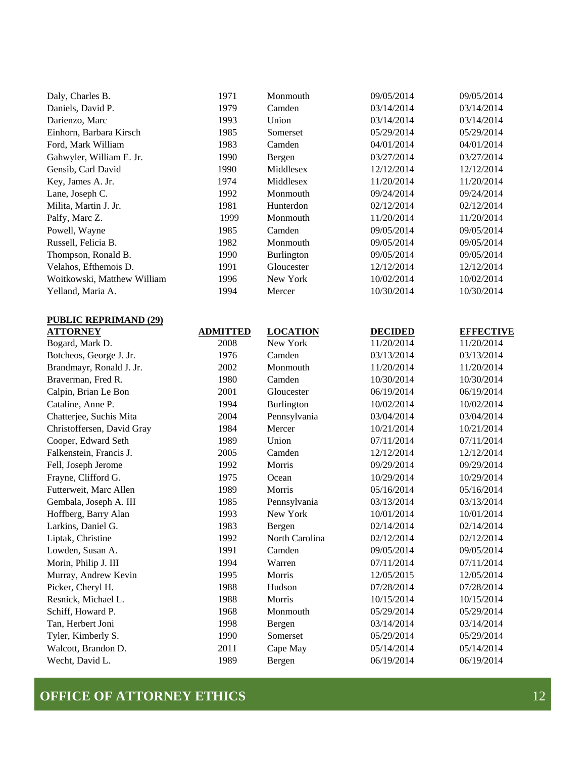| Daly, Charles B.            | 1971 | Monmouth          | 09/05/2014 | 09/05/2014 |
|-----------------------------|------|-------------------|------------|------------|
| Daniels, David P.           | 1979 | Camden            | 03/14/2014 | 03/14/2014 |
| Darienzo, Marc              | 1993 | Union             | 03/14/2014 | 03/14/2014 |
| Einhorn, Barbara Kirsch     | 1985 | Somerset          | 05/29/2014 | 05/29/2014 |
| Ford, Mark William          | 1983 | Camden            | 04/01/2014 | 04/01/2014 |
| Gahwyler, William E. Jr.    | 1990 | Bergen            | 03/27/2014 | 03/27/2014 |
| Gensib, Carl David          | 1990 | Middlesex         | 12/12/2014 | 12/12/2014 |
| Key, James A. Jr.           | 1974 | Middlesex         | 11/20/2014 | 11/20/2014 |
| Lane, Joseph C.             | 1992 | Monmouth          | 09/24/2014 | 09/24/2014 |
| Milita, Martin J. Jr.       | 1981 | Hunterdon         | 02/12/2014 | 02/12/2014 |
| Palfy, Marc Z.              | 1999 | Monmouth          | 11/20/2014 | 11/20/2014 |
| Powell, Wayne               | 1985 | Camden            | 09/05/2014 | 09/05/2014 |
| Russell, Felicia B.         | 1982 | Monmouth          | 09/05/2014 | 09/05/2014 |
| Thompson, Ronald B.         | 1990 | <b>Burlington</b> | 09/05/2014 | 09/05/2014 |
| Velahos, Efthemois D.       | 1991 | Gloucester        | 12/12/2014 | 12/12/2014 |
| Woitkowski, Matthew William | 1996 | New York          | 10/02/2014 | 10/02/2014 |
| Yelland, Maria A.           | 1994 | Mercer            | 10/30/2014 | 10/30/2014 |

| <b>PUBLIC REPRIMAND (29)</b> |                 |                   |                |                  |
|------------------------------|-----------------|-------------------|----------------|------------------|
| <b>ATTORNEY</b>              | <b>ADMITTED</b> | <b>LOCATION</b>   | <b>DECIDED</b> | <b>EFFECTIVE</b> |
| Bogard, Mark D.              | 2008            | New York          | 11/20/2014     | 11/20/2014       |
| Botcheos, George J. Jr.      | 1976            | Camden            | 03/13/2014     | 03/13/2014       |
| Brandmayr, Ronald J. Jr.     | 2002            | Monmouth          | 11/20/2014     | 11/20/2014       |
| Braverman, Fred R.           | 1980            | Camden            | 10/30/2014     | 10/30/2014       |
| Calpin, Brian Le Bon         | 2001            | Gloucester        | 06/19/2014     | 06/19/2014       |
| Cataline, Anne P.            | 1994            | <b>Burlington</b> | 10/02/2014     | 10/02/2014       |
| Chatterjee, Suchis Mita      | 2004            | Pennsylvania      | 03/04/2014     | 03/04/2014       |
| Christoffersen, David Gray   | 1984            | Mercer            | 10/21/2014     | 10/21/2014       |
| Cooper, Edward Seth          | 1989            | Union             | 07/11/2014     | 07/11/2014       |
| Falkenstein, Francis J.      | 2005            | Camden            | 12/12/2014     | 12/12/2014       |
| Fell, Joseph Jerome          | 1992            | Morris            | 09/29/2014     | 09/29/2014       |
| Frayne, Clifford G.          | 1975            | Ocean             | 10/29/2014     | 10/29/2014       |
| Futterweit, Marc Allen       | 1989            | <b>Morris</b>     | 05/16/2014     | 05/16/2014       |
| Gembala, Joseph A. III       | 1985            | Pennsylvania      | 03/13/2014     | 03/13/2014       |
| Hoffberg, Barry Alan         | 1993            | New York          | 10/01/2014     | 10/01/2014       |
| Larkins, Daniel G.           | 1983            | Bergen            | 02/14/2014     | 02/14/2014       |
| Liptak, Christine            | 1992            | North Carolina    | 02/12/2014     | 02/12/2014       |
| Lowden, Susan A.             | 1991            | Camden            | 09/05/2014     | 09/05/2014       |
| Morin, Philip J. III         | 1994            | Warren            | 07/11/2014     | 07/11/2014       |
| Murray, Andrew Kevin         | 1995            | Morris            | 12/05/2015     | 12/05/2014       |
| Picker, Cheryl H.            | 1988            | Hudson            | 07/28/2014     | 07/28/2014       |
| Resnick, Michael L.          | 1988            | Morris            | 10/15/2014     | 10/15/2014       |
| Schiff, Howard P.            | 1968            | Monmouth          | 05/29/2014     | 05/29/2014       |
| Tan, Herbert Joni            | 1998            | Bergen            | 03/14/2014     | 03/14/2014       |
| Tyler, Kimberly S.           | 1990            | Somerset          | 05/29/2014     | 05/29/2014       |
| Walcott, Brandon D.          | 2011            | Cape May          | 05/14/2014     | 05/14/2014       |
| Wecht, David L.              | 1989            | Bergen            | 06/19/2014     | 06/19/2014       |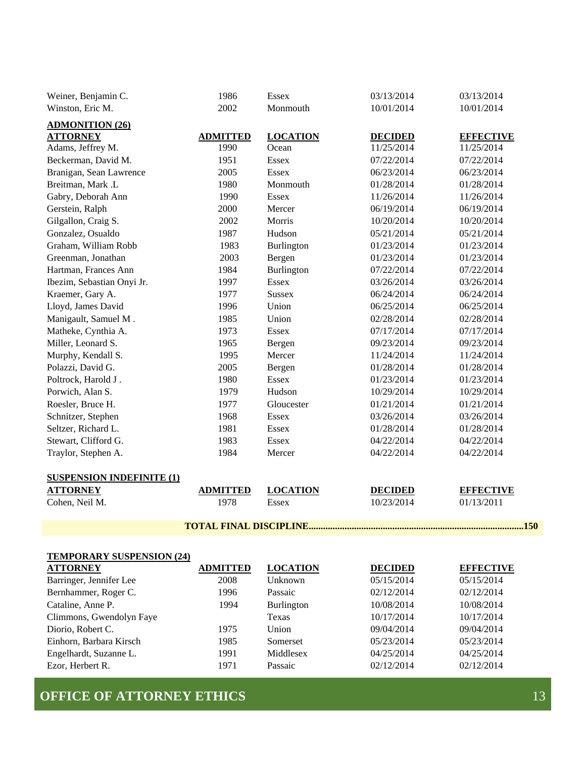| Weiner, Benjamin C.               | 1986            | <b>Essex</b>                    | 03/13/2014                   | 03/13/2014       |
|-----------------------------------|-----------------|---------------------------------|------------------------------|------------------|
| Winston, Eric M.                  | 2002            | Monmouth                        | 10/01/2014                   | 10/01/2014       |
| <b>ADMONITION (26)</b>            |                 |                                 |                              |                  |
| <b>ATTORNEY</b>                   | <b>ADMITTED</b> | <b>LOCATION</b>                 | <b>DECIDED</b>               | <b>EFFECTIVE</b> |
| Adams, Jeffrey M.                 | 1990            | Ocean                           | 11/25/2014                   | 11/25/2014       |
| Beckerman, David M.               | 1951            | Essex                           | 07/22/2014                   | 07/22/2014       |
| Branigan, Sean Lawrence           | 2005            | <b>Essex</b>                    | 06/23/2014                   | 06/23/2014       |
| Breitman, Mark .L                 | 1980            | Monmouth                        | 01/28/2014                   | 01/28/2014       |
| Gabry, Deborah Ann                | 1990            | <b>Essex</b>                    | 11/26/2014                   | 11/26/2014       |
| Gerstein, Ralph                   | 2000            | Mercer                          | 06/19/2014                   | 06/19/2014       |
| Gilgallon, Craig S.               | 2002            | Morris                          | 10/20/2014                   | 10/20/2014       |
| Gonzalez, Osualdo                 | 1987            | Hudson                          | 05/21/2014                   | 05/21/2014       |
| Graham, William Robb              | 1983            | Burlington                      | 01/23/2014                   | 01/23/2014       |
| Greenman, Jonathan                | 2003            | Bergen                          | 01/23/2014                   | 01/23/2014       |
| Hartman, Frances Ann              | 1984            | Burlington                      | 07/22/2014                   | 07/22/2014       |
| Ibezim, Sebastian Onyi Jr.        | 1997            | <b>Essex</b>                    | 03/26/2014                   | 03/26/2014       |
| Kraemer, Gary A.                  | 1977            | <b>Sussex</b>                   | 06/24/2014                   | 06/24/2014       |
| Lloyd, James David                | 1996            | Union                           | 06/25/2014                   | 06/25/2014       |
| Manigault, Samuel M.              | 1985            | Union                           | 02/28/2014                   | 02/28/2014       |
| Matheke, Cynthia A.               | 1973            | Essex                           | 07/17/2014                   | 07/17/2014       |
| Miller, Leonard S.                | 1965            | Bergen                          | 09/23/2014                   | 09/23/2014       |
| Murphy, Kendall S.                | 1995            | Mercer                          | 11/24/2014                   | 11/24/2014       |
| Polazzi, David G.                 | 2005            | Bergen                          | 01/28/2014                   | 01/28/2014       |
| Poltrock, Harold J.               | 1980            | <b>Essex</b>                    | 01/23/2014                   | 01/23/2014       |
| Porwich, Alan S.                  | 1979            | Hudson                          | 10/29/2014                   | 10/29/2014       |
| Roesler, Bruce H.                 | 1977            | Gloucester                      | 01/21/2014                   | 01/21/2014       |
| Schnitzer, Stephen                | 1968            | Essex                           | 03/26/2014                   | 03/26/2014       |
| Seltzer, Richard L.               | 1981            | <b>Essex</b>                    | 01/28/2014                   | 01/28/2014       |
| Stewart, Clifford G.              | 1983            | <b>Essex</b>                    | 04/22/2014                   | 04/22/2014       |
| Traylor, Stephen A.               | 1984            | Mercer                          | 04/22/2014                   | 04/22/2014       |
| <b>SUSPENSION INDEFINITE (1)</b>  |                 |                                 |                              |                  |
|                                   | <b>ADMITTED</b> |                                 |                              | <b>EFFECTIVE</b> |
| <b>ATTORNEY</b><br>Cohen, Neil M. | 1978            | <b>LOCATION</b><br><b>Essex</b> | <b>DECIDED</b><br>10/23/2014 | 01/13/2011       |
|                                   |                 |                                 |                              |                  |
|                                   |                 | <b>TOTAL FINAL DISCIPLINE</b>   |                              |                  |
|                                   |                 |                                 |                              |                  |

| <b>TEMPORARY SUSPENSION (24)</b> |                 |                   |                |                  |
|----------------------------------|-----------------|-------------------|----------------|------------------|
| <b>ATTORNEY</b>                  | <b>ADMITTED</b> | <b>LOCATION</b>   | <b>DECIDED</b> | <b>EFFECTIVE</b> |
| Barringer, Jennifer Lee          | 2008            | Unknown           | 05/15/2014     | 05/15/2014       |
| Bernhammer, Roger C.             | 1996            | Passaic           | 02/12/2014     | 02/12/2014       |
| Cataline, Anne P.                | 1994            | <b>Burlington</b> | 10/08/2014     | 10/08/2014       |
| Climmons, Gwendolyn Faye         |                 | Texas             | 10/17/2014     | 10/17/2014       |
| Diorio, Robert C.                | 1975            | Union             | 09/04/2014     | 09/04/2014       |
| Einhorn, Barbara Kirsch          | 1985            | Somerset          | 05/23/2014     | 05/23/2014       |
| Engelhardt, Suzanne L.           | 1991            | Middlesex         | 04/25/2014     | 04/25/2014       |
| Ezor, Herbert R.                 | 1971            | Passaic           | 02/12/2014     | 02/12/2014       |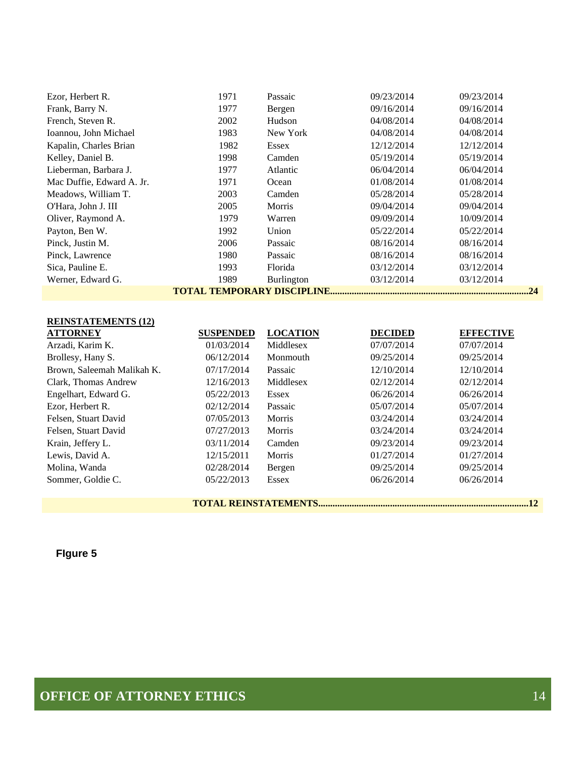| Ezor, Herbert R.           | 1971             | Passaic         | 09/23/2014     | 09/23/2014       |
|----------------------------|------------------|-----------------|----------------|------------------|
| Frank, Barry N.            | 1977             | Bergen          | 09/16/2014     | 09/16/2014       |
| French, Steven R.          | 2002             | Hudson          | 04/08/2014     | 04/08/2014       |
| Ioannou, John Michael      | 1983             | New York        | 04/08/2014     | 04/08/2014       |
| Kapalin, Charles Brian     | 1982             | <b>Essex</b>    | 12/12/2014     | 12/12/2014       |
| Kelley, Daniel B.          | 1998             | Camden          | 05/19/2014     | 05/19/2014       |
| Lieberman, Barbara J.      | 1977             | Atlantic        | 06/04/2014     | 06/04/2014       |
| Mac Duffie, Edward A. Jr.  | 1971             | Ocean           | 01/08/2014     | 01/08/2014       |
| Meadows, William T.        | 2003             | Camden          | 05/28/2014     | 05/28/2014       |
| O'Hara, John J. III        | 2005             | Morris          | 09/04/2014     | 09/04/2014       |
| Oliver, Raymond A.         | 1979             | Warren          | 09/09/2014     | 10/09/2014       |
| Payton, Ben W.             | 1992             | Union           | 05/22/2014     | 05/22/2014       |
| Pinck, Justin M.           | 2006             | Passaic         | 08/16/2014     | 08/16/2014       |
| Pinck, Lawrence            | 1980             | Passaic         | 08/16/2014     | 08/16/2014       |
| Sica, Pauline E.           | 1993             | Florida         | 03/12/2014     | 03/12/2014       |
| Werner, Edward G.          | 1989             | Burlington      | 03/12/2014     | 03/12/2014       |
|                            |                  |                 |                | .24              |
|                            |                  |                 |                |                  |
| <b>REINSTATEMENTS (12)</b> |                  |                 |                |                  |
| <b>ATTORNEY</b>            | <b>SUSPENDED</b> | <b>LOCATION</b> | <b>DECIDED</b> | <b>EFFECTIVE</b> |

| ALIURNEI                   | <b>SUSPENDED</b> | LUCATION      | DECIDED    | <b>LILLUL</b> |
|----------------------------|------------------|---------------|------------|---------------|
| Arzadi, Karim K.           | 01/03/2014       | Middlesex     | 07/07/2014 | 07/07/2014    |
| Brollesy, Hany S.          | 06/12/2014       | Monmouth      | 09/25/2014 | 09/25/2014    |
| Brown, Saleemah Malikah K. | 07/17/2014       | Passaic       | 12/10/2014 | 12/10/2014    |
| Clark, Thomas Andrew       | 12/16/2013       | Middlesex     | 02/12/2014 | 02/12/2014    |
| Engelhart, Edward G.       | 05/22/2013       | <b>Essex</b>  | 06/26/2014 | 06/26/2014    |
| Ezor, Herbert R.           | 02/12/2014       | Passaic       | 05/07/2014 | 05/07/2014    |
| Felsen, Stuart David       | 07/05/2013       | <b>Morris</b> | 03/24/2014 | 03/24/2014    |
| Felsen, Stuart David       | 07/27/2013       | Morris        | 03/24/2014 | 03/24/2014    |
| Krain, Jeffery L.          | 03/11/2014       | Camden        | 09/23/2014 | 09/23/2014    |
| Lewis, David A.            | 12/15/2011       | <b>Morris</b> | 01/27/2014 | 01/27/2014    |
| Molina, Wanda              | 02/28/2014       | Bergen        | 09/25/2014 | 09/25/2014    |
| Sommer, Goldie C.          | 05/22/2013       | <b>Essex</b>  | 06/26/2014 | 06/26/2014    |
|                            |                  |               |            |               |

**TOTAL REINSTATEMENTS........................................................................................12** 

**FIgure 5**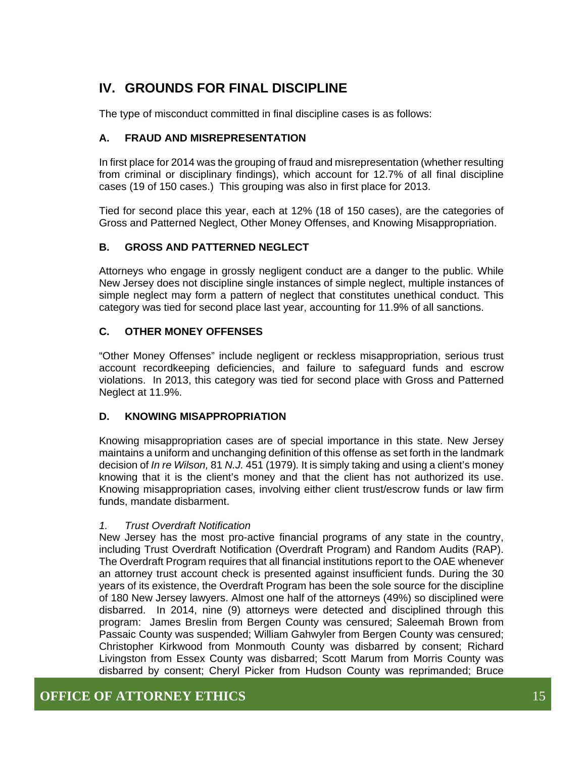## **IV. GROUNDS FOR FINAL DISCIPLINE**

The type of misconduct committed in final discipline cases is as follows:

#### **A. FRAUD AND MISREPRESENTATION**

In first place for 2014 was the grouping of fraud and misrepresentation (whether resulting from criminal or disciplinary findings), which account for 12.7% of all final discipline cases (19 of 150 cases.) This grouping was also in first place for 2013.

Tied for second place this year, each at 12% (18 of 150 cases), are the categories of Gross and Patterned Neglect, Other Money Offenses, and Knowing Misappropriation.

#### **B. GROSS AND PATTERNED NEGLECT**

Attorneys who engage in grossly negligent conduct are a danger to the public. While New Jersey does not discipline single instances of simple neglect, multiple instances of simple neglect may form a pattern of neglect that constitutes unethical conduct. This category was tied for second place last year, accounting for 11.9% of all sanctions.

#### **C. OTHER MONEY OFFENSES**

"Other Money Offenses" include negligent or reckless misappropriation, serious trust account recordkeeping deficiencies, and failure to safeguard funds and escrow violations. In 2013, this category was tied for second place with Gross and Patterned Neglect at 11.9%.

#### **D. KNOWING MISAPPROPRIATION**

Knowing misappropriation cases are of special importance in this state. New Jersey maintains a uniform and unchanging definition of this offense as set forth in the landmark decision of *In re Wilson,* 81 *N.J.* 451 (1979)*.* It is simply taking and using a client's money knowing that it is the client's money and that the client has not authorized its use. Knowing misappropriation cases, involving either client trust/escrow funds or law firm funds, mandate disbarment.

#### *1. Trust Overdraft Notification*

New Jersey has the most pro-active financial programs of any state in the country, including Trust Overdraft Notification (Overdraft Program) and Random Audits (RAP). The Overdraft Program requires that all financial institutions report to the OAE whenever an attorney trust account check is presented against insufficient funds. During the 30 years of its existence, the Overdraft Program has been the sole source for the discipline of 180 New Jersey lawyers. Almost one half of the attorneys (49%) so disciplined were disbarred. In 2014, nine (9) attorneys were detected and disciplined through this program: James Breslin from Bergen County was censured; Saleemah Brown from Passaic County was suspended; William Gahwyler from Bergen County was censured; Christopher Kirkwood from Monmouth County was disbarred by consent; Richard Livingston from Essex County was disbarred; Scott Marum from Morris County was disbarred by consent; Cheryl Picker from Hudson County was reprimanded; Bruce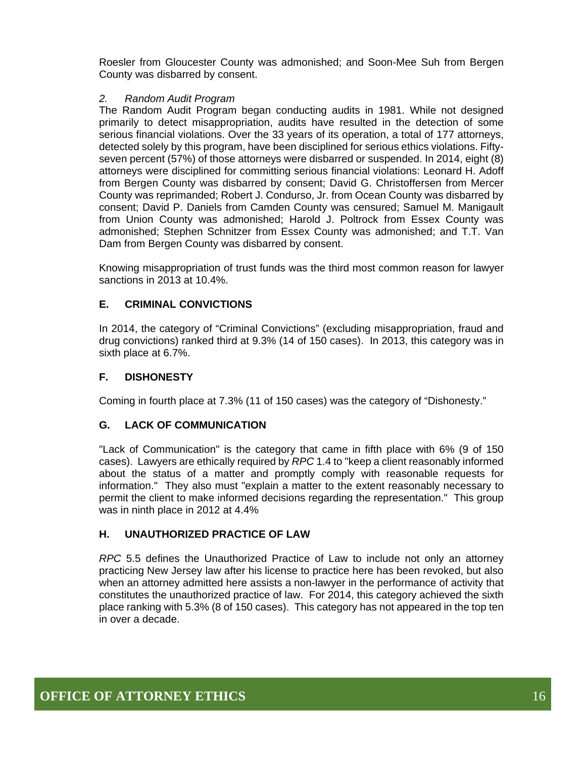Roesler from Gloucester County was admonished; and Soon-Mee Suh from Bergen County was disbarred by consent.

#### *2. Random Audit Program*

The Random Audit Program began conducting audits in 1981. While not designed primarily to detect misappropriation, audits have resulted in the detection of some serious financial violations. Over the 33 years of its operation, a total of 177 attorneys, detected solely by this program, have been disciplined for serious ethics violations. Fiftyseven percent (57%) of those attorneys were disbarred or suspended. In 2014, eight (8) attorneys were disciplined for committing serious financial violations: Leonard H. Adoff from Bergen County was disbarred by consent; David G. Christoffersen from Mercer County was reprimanded; Robert J. Condurso, Jr. from Ocean County was disbarred by consent; David P. Daniels from Camden County was censured; Samuel M. Manigault from Union County was admonished; Harold J. Poltrock from Essex County was admonished; Stephen Schnitzer from Essex County was admonished; and T.T. Van Dam from Bergen County was disbarred by consent.

Knowing misappropriation of trust funds was the third most common reason for lawyer sanctions in 2013 at 10.4%.

#### **E. CRIMINAL CONVICTIONS**

In 2014, the category of "Criminal Convictions" (excluding misappropriation, fraud and drug convictions) ranked third at 9.3% (14 of 150 cases). In 2013, this category was in sixth place at 6.7%.

#### **F. DISHONESTY**

Coming in fourth place at 7.3% (11 of 150 cases) was the category of "Dishonesty."

#### **G. LACK OF COMMUNICATION**

"Lack of Communication" is the category that came in fifth place with 6% (9 of 150 cases). Lawyers are ethically required by *RPC* 1.4 to "keep a client reasonably informed about the status of a matter and promptly comply with reasonable requests for information." They also must "explain a matter to the extent reasonably necessary to permit the client to make informed decisions regarding the representation." This group was in ninth place in 2012 at 4.4%

#### **H. UNAUTHORIZED PRACTICE OF LAW**

*RPC* 5.5 defines the Unauthorized Practice of Law to include not only an attorney practicing New Jersey law after his license to practice here has been revoked, but also when an attorney admitted here assists a non-lawyer in the performance of activity that constitutes the unauthorized practice of law. For 2014, this category achieved the sixth place ranking with 5.3% (8 of 150 cases). This category has not appeared in the top ten in over a decade.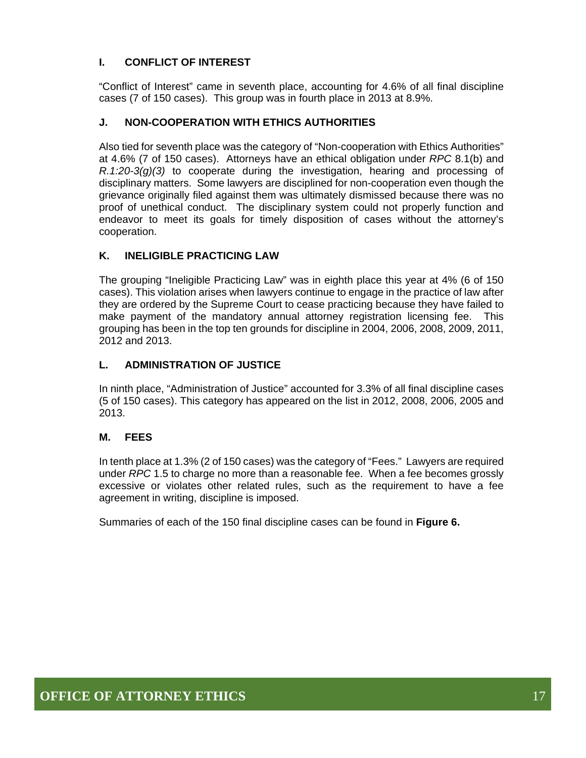#### **I. CONFLICT OF INTEREST**

"Conflict of Interest" came in seventh place, accounting for 4.6% of all final discipline cases (7 of 150 cases). This group was in fourth place in 2013 at 8.9%.

#### **J. NON-COOPERATION WITH ETHICS AUTHORITIES**

Also tied for seventh place was the category of "Non-cooperation with Ethics Authorities" at 4.6% (7 of 150 cases). Attorneys have an ethical obligation under *RPC* 8.1(b) and *R.1:20-3(g)(3)* to cooperate during the investigation, hearing and processing of disciplinary matters. Some lawyers are disciplined for non-cooperation even though the grievance originally filed against them was ultimately dismissed because there was no proof of unethical conduct. The disciplinary system could not properly function and endeavor to meet its goals for timely disposition of cases without the attorney's cooperation.

#### **K. INELIGIBLE PRACTICING LAW**

The grouping "Ineligible Practicing Law" was in eighth place this year at 4% (6 of 150 cases). This violation arises when lawyers continue to engage in the practice of law after they are ordered by the Supreme Court to cease practicing because they have failed to make payment of the mandatory annual attorney registration licensing fee. This grouping has been in the top ten grounds for discipline in 2004, 2006, 2008, 2009, 2011, 2012 and 2013.

#### **L. ADMINISTRATION OF JUSTICE**

In ninth place, "Administration of Justice" accounted for 3.3% of all final discipline cases (5 of 150 cases). This category has appeared on the list in 2012, 2008, 2006, 2005 and 2013.

#### **M. FEES**

In tenth place at 1.3% (2 of 150 cases) was the category of "Fees." Lawyers are required under *RPC* 1.5 to charge no more than a reasonable fee. When a fee becomes grossly excessive or violates other related rules, such as the requirement to have a fee agreement in writing, discipline is imposed.

Summaries of each of the 150 final discipline cases can be found in **Figure 6.**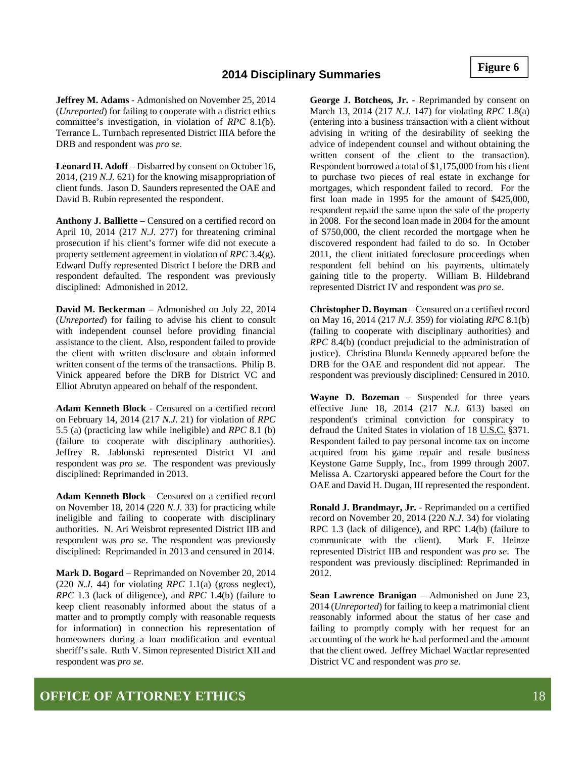**Figure 6** 

#### **2014 Disciplinary Summaries**

**Jeffrey M. Adams** - Admonished on November 25, 2014 (*Unreported*) for failing to cooperate with a district ethics committee's investigation, in violation of *RPC* 8.1(b). Terrance L. Turnbach represented District IIIA before the DRB and respondent was *pro se*.

**Leonard H. Adoff** – Disbarred by consent on October 16, 2014, (219 *N.J.* 621) for the knowing misappropriation of client funds. Jason D. Saunders represented the OAE and David B. Rubin represented the respondent.

**Anthony J. Balliette** – Censured on a certified record on April 10, 2014 (217 *N.J.* 277) for threatening criminal prosecution if his client's former wife did not execute a property settlement agreement in violation of *RPC* 3.4(g). Edward Duffy represented District I before the DRB and respondent defaulted. The respondent was previously disciplined: Admonished in 2012.

**David M. Beckerman –** Admonished on July 22, 2014 (*Unreported*) for failing to advise his client to consult with independent counsel before providing financial assistance to the client. Also, respondent failed to provide the client with written disclosure and obtain informed written consent of the terms of the transactions. Philip B. Vinick appeared before the DRB for District VC and Elliot Abrutyn appeared on behalf of the respondent.

**Adam Kenneth Block** - Censured on a certified record on February 14, 2014 (217 *N.J.* 21) for violation of *RPC* 5.5 (a) (practicing law while ineligible) and *RPC* 8.1 (b) (failure to cooperate with disciplinary authorities). Jeffrey R. Jablonski represented District VI and respondent was *pro se*. The respondent was previously disciplined: Reprimanded in 2013.

**Adam Kenneth Block** – Censured on a certified record on November 18, 2014 (220 *N.J.* 33) for practicing while ineligible and failing to cooperate with disciplinary authorities. N. Ari Weisbrot represented District IIB and respondent was *pro se*. The respondent was previously disciplined: Reprimanded in 2013 and censured in 2014.

**Mark D. Bogard** – Reprimanded on November 20, 2014 (220 *N.J.* 44) for violating *RPC* 1.1(a) (gross neglect), *RPC* 1.3 (lack of diligence), and *RPC* 1.4(b) (failure to keep client reasonably informed about the status of a matter and to promptly comply with reasonable requests for information) in connection his representation of homeowners during a loan modification and eventual sheriff's sale. Ruth V. Simon represented District XII and respondent was *pro se*.

**George J. Botcheos, Jr. -** Reprimanded by consent on March 13, 2014 (217 *N.J.* 147) for violating *RPC* 1.8(a) (entering into a business transaction with a client without advising in writing of the desirability of seeking the advice of independent counsel and without obtaining the written consent of the client to the transaction). Respondent borrowed a total of \$1,175,000 from his client to purchase two pieces of real estate in exchange for mortgages, which respondent failed to record. For the first loan made in 1995 for the amount of \$425,000, respondent repaid the same upon the sale of the property in 2008. For the second loan made in 2004 for the amount of \$750,000, the client recorded the mortgage when he discovered respondent had failed to do so. In October 2011, the client initiated foreclosure proceedings when respondent fell behind on his payments, ultimately gaining title to the property. William B. Hildebrand represented District IV and respondent was *pro se*.

**Christopher D. Boyman** – Censured on a certified record on May 16, 2014 (217 *N.J.* 359) for violating *RPC* 8.1(b) (failing to cooperate with disciplinary authorities) and *RPC* 8.4(b) (conduct prejudicial to the administration of justice). Christina Blunda Kennedy appeared before the DRB for the OAE and respondent did not appear. The respondent was previously disciplined: Censured in 2010.

**Wayne D. Bozeman** – Suspended for three years effective June 18, 2014 (217 *N.J.* 613) based on respondent's criminal conviction for conspiracy to defraud the United States in violation of 18 U.S.C. §371. Respondent failed to pay personal income tax on income acquired from his game repair and resale business Keystone Game Supply, Inc., from 1999 through 2007. Melissa A. Czartoryski appeared before the Court for the OAE and David H. Dugan, III represented the respondent.

**Ronald J. Brandmayr, Jr.** - Reprimanded on a certified record on November 20, 2014 (220 *N.J.* 34) for violating RPC 1.3 (lack of diligence), and RPC 1.4(b) (failure to communicate with the client). Mark F. Heinze represented District IIB and respondent was *pro se*. The respondent was previously disciplined: Reprimanded in 2012.

**Sean Lawrence Branigan** – Admonished on June 23, 2014 (*Unreported*) for failing to keep a matrimonial client reasonably informed about the status of her case and failing to promptly comply with her request for an accounting of the work he had performed and the amount that the client owed. Jeffrey Michael Wactlar represented District VC and respondent was *pro se*.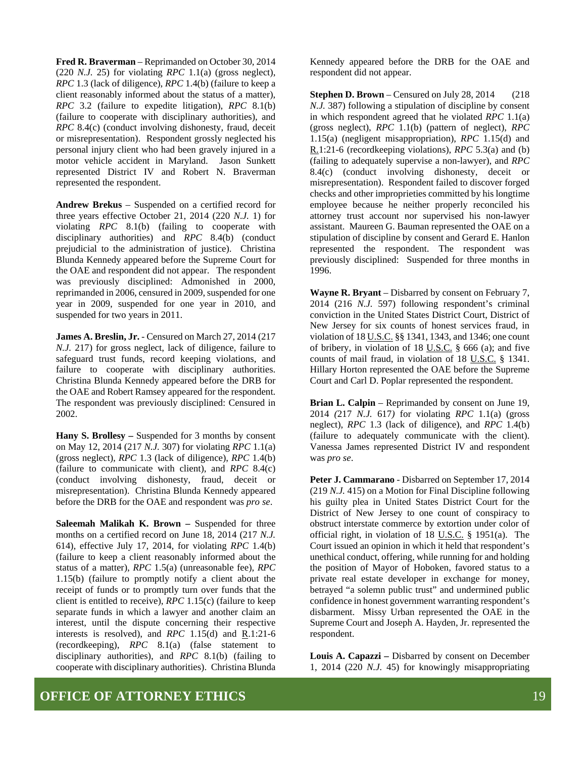**Fred R. Braverman** – Reprimanded on October 30, 2014 (220 *N.J.* 25) for violating *RPC* 1.1(a) (gross neglect), *RPC* 1.3 (lack of diligence), *RPC* 1.4(b) (failure to keep a client reasonably informed about the status of a matter), *RPC* 3.2 (failure to expedite litigation), *RPC* 8.1(b) (failure to cooperate with disciplinary authorities), and *RPC* 8.4(c) (conduct involving dishonesty, fraud, deceit or misrepresentation). Respondent grossly neglected his personal injury client who had been gravely injured in a motor vehicle accident in Maryland. Jason Sunkett represented District IV and Robert N. Braverman represented the respondent.

**Andrew Brekus** – Suspended on a certified record for three years effective October 21, 2014 (220 *N.J.* 1) for violating *RPC* 8.1(b) (failing to cooperate with disciplinary authorities) and *RPC* 8.4(b) (conduct prejudicial to the administration of justice). Christina Blunda Kennedy appeared before the Supreme Court for the OAE and respondent did not appear. The respondent was previously disciplined: Admonished in 2000, reprimanded in 2006, censured in 2009, suspended for one year in 2009, suspended for one year in 2010, and suspended for two years in 2011.

**James A. Breslin, Jr.** - Censured on March 27, 2014 (217 *N.J.* 217) for gross neglect, lack of diligence, failure to safeguard trust funds, record keeping violations, and failure to cooperate with disciplinary authorities. Christina Blunda Kennedy appeared before the DRB for the OAE and Robert Ramsey appeared for the respondent. The respondent was previously disciplined: Censured in 2002.

**Hany S. Brollesy –** Suspended for 3 months by consent on May 12, 2014 (217 *N.J.* 307) for violating *RPC* 1.1(a) (gross neglect), *RPC* 1.3 (lack of diligence), *RPC* 1.4(b) (failure to communicate with client), and *RPC* 8.4(c) (conduct involving dishonesty, fraud, deceit or misrepresentation). Christina Blunda Kennedy appeared before the DRB for the OAE and respondent was *pro se*.

**Saleemah Malikah K. Brown –** Suspended for three months on a certified record on June 18, 2014 (217 *N.J.* 614), effective July 17, 2014, for violating *RPC* 1.4(b) (failure to keep a client reasonably informed about the status of a matter), *RPC* 1.5(a) (unreasonable fee), *RPC* 1.15(b) (failure to promptly notify a client about the receipt of funds or to promptly turn over funds that the client is entitled to receive), *RPC* 1.15(c) (failure to keep separate funds in which a lawyer and another claim an interest, until the dispute concerning their respective interests is resolved), and *RPC* 1.15(d) and R.1:21-6 (recordkeeping), *RPC* 8.1(a) (false statement to disciplinary authorities), and *RPC* 8.1(b) (failing to cooperate with disciplinary authorities). Christina Blunda

Kennedy appeared before the DRB for the OAE and respondent did not appear.

**Stephen D. Brown** – Censured on July 28, 2014 (218 *N.J.* 387) following a stipulation of discipline by consent in which respondent agreed that he violated *RPC* 1.1(a) (gross neglect), *RPC* 1.1(b) (pattern of neglect), *RPC* 1.15(a) (negligent misappropriation), *RPC* 1.15(d) and R.1:21-6 (recordkeeping violations), *RPC* 5.3(a) and (b) (failing to adequately supervise a non-lawyer), and *RPC* 8.4(c) (conduct involving dishonesty, deceit or misrepresentation). Respondent failed to discover forged checks and other improprieties committed by his longtime employee because he neither properly reconciled his attorney trust account nor supervised his non-lawyer assistant. Maureen G. Bauman represented the OAE on a stipulation of discipline by consent and Gerard E. Hanlon represented the respondent. The respondent was previously disciplined: Suspended for three months in 1996.

**Wayne R. Bryant** – Disbarred by consent on February 7, 2014 (216 *N.J.* 597) following respondent's criminal conviction in the United States District Court, District of New Jersey for six counts of honest services fraud, in violation of 18 U.S.C. §§ 1341, 1343, and 1346; one count of bribery, in violation of 18 U.S.C.  $\S$  666 (a); and five counts of mail fraud, in violation of 18 U.S.C. § 1341. Hillary Horton represented the OAE before the Supreme Court and Carl D. Poplar represented the respondent.

**Brian L. Calpin** – Reprimanded by consent on June 19, 2014 *(*217 *N.J.* 617*)* for violating *RPC* 1.1(a) (gross neglect), *RPC* 1.3 (lack of diligence), and *RPC* 1.4(b) (failure to adequately communicate with the client). Vanessa James represented District IV and respondent was *pro se*.

**Peter J. Cammarano** - Disbarred on September 17, 2014 (219 *N.J.* 415) on a Motion for Final Discipline following his guilty plea in United States District Court for the District of New Jersey to one count of conspiracy to obstruct interstate commerce by extortion under color of official right, in violation of 18 U.S.C. § 1951(a). The Court issued an opinion in which it held that respondent's unethical conduct, offering, while running for and holding the position of Mayor of Hoboken, favored status to a private real estate developer in exchange for money, betrayed "a solemn public trust" and undermined public confidence in honest government warranting respondent's disbarment. Missy Urban represented the OAE in the Supreme Court and Joseph A. Hayden, Jr. represented the respondent.

**Louis A. Capazzi –** Disbarred by consent on December 1, 2014 (220 *N.J.* 45) for knowingly misappropriating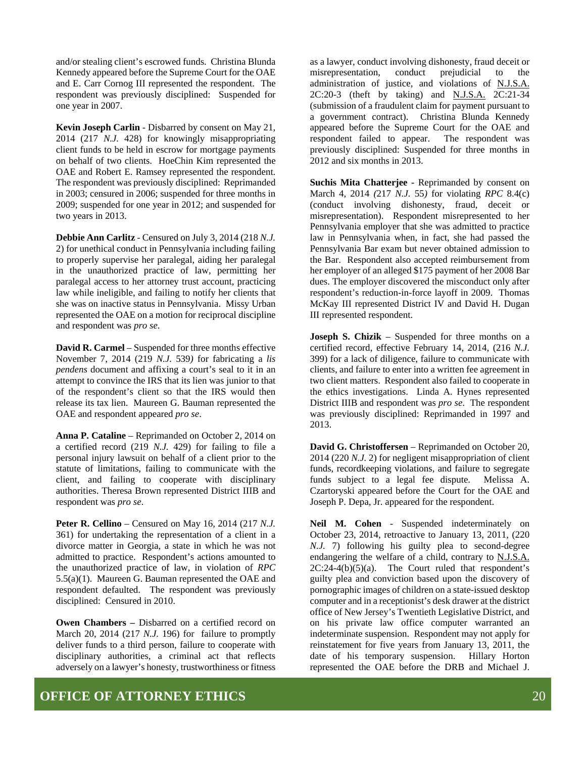and/or stealing client's escrowed funds. Christina Blunda Kennedy appeared before the Supreme Court for the OAE and E. Carr Cornog III represented the respondent. The respondent was previously disciplined: Suspended for one year in 2007.

**Kevin Joseph Carlin** - Disbarred by consent on May 21, 2014 (217 *N.J.* 428) for knowingly misappropriating client funds to be held in escrow for mortgage payments on behalf of two clients. HoeChin Kim represented the OAE and Robert E. Ramsey represented the respondent. The respondent was previously disciplined: Reprimanded in 2003; censured in 2006; suspended for three months in 2009; suspended for one year in 2012; and suspended for two years in 2013.

**Debbie Ann Carlitz** - Censured on July 3, 2014 (218 *N.J.* 2) for unethical conduct in Pennsylvania including failing to properly supervise her paralegal, aiding her paralegal in the unauthorized practice of law, permitting her paralegal access to her attorney trust account, practicing law while ineligible, and failing to notify her clients that she was on inactive status in Pennsylvania. Missy Urban represented the OAE on a motion for reciprocal discipline and respondent was *pro se*.

**David R. Carmel** – Suspended for three months effective November 7, 2014 (219 *N.J.* 539*)* for fabricating a *lis pendens* document and affixing a court's seal to it in an attempt to convince the IRS that its lien was junior to that of the respondent's client so that the IRS would then release its tax lien. Maureen G. Bauman represented the OAE and respondent appeared *pro se*.

**Anna P. Cataline** – Reprimanded on October 2, 2014 on a certified record (219 *N.J.* 429) for failing to file a personal injury lawsuit on behalf of a client prior to the statute of limitations, failing to communicate with the client, and failing to cooperate with disciplinary authorities. Theresa Brown represented District IIIB and respondent was *pro se*.

**Peter R. Cellino** – Censured on May 16, 2014 (217 *N.J.*  361) for undertaking the representation of a client in a divorce matter in Georgia, a state in which he was not admitted to practice. Respondent's actions amounted to the unauthorized practice of law, in violation of *RPC* 5.5(a)(1). Maureen G. Bauman represented the OAE and respondent defaulted. The respondent was previously disciplined: Censured in 2010.

**Owen Chambers –** Disbarred on a certified record on March 20, 2014 (217 *N.J.* 196) for failure to promptly deliver funds to a third person, failure to cooperate with disciplinary authorities, a criminal act that reflects adversely on a lawyer's honesty, trustworthiness or fitness

as a lawyer, conduct involving dishonesty, fraud deceit or misrepresentation, conduct prejudicial to the administration of justice, and violations of N.J.S.A. 2C:20-3 (theft by taking) and N.J.S.A. 2C:21-34 (submission of a fraudulent claim for payment pursuant to a government contract). Christina Blunda Kennedy appeared before the Supreme Court for the OAE and respondent failed to appear. The respondent was previously disciplined: Suspended for three months in 2012 and six months in 2013.

**Suchis Mita Chatterjee -** Reprimanded by consent on March 4, 2014 *(*217 *N.J.* 55*)* for violating *RPC* 8.4(c) (conduct involving dishonesty, fraud, deceit or misrepresentation). Respondent misrepresented to her Pennsylvania employer that she was admitted to practice law in Pennsylvania when, in fact, she had passed the Pennsylvania Bar exam but never obtained admission to the Bar. Respondent also accepted reimbursement from her employer of an alleged \$175 payment of her 2008 Bar dues. The employer discovered the misconduct only after respondent's reduction-in-force layoff in 2009. Thomas McKay III represented District IV and David H. Dugan III represented respondent.

**Joseph S. Chizik** – Suspended for three months on a certified record, effective February 14, 2014, (216 *N.J.* 399) for a lack of diligence, failure to communicate with clients, and failure to enter into a written fee agreement in two client matters. Respondent also failed to cooperate in the ethics investigations. Linda A. Hynes represented District IIIB and respondent was *pro se*. The respondent was previously disciplined: Reprimanded in 1997 and 2013.

**David G. Christoffersen** – Reprimanded on October 20, 2014 (220 *N.J.* 2) for negligent misappropriation of client funds, recordkeeping violations, and failure to segregate funds subject to a legal fee dispute. Melissa A. Czartoryski appeared before the Court for the OAE and Joseph P. Depa, Jr. appeared for the respondent.

**Neil M. Cohen** - Suspended indeterminately on October 23, 2014, retroactive to January 13, 2011, (220 *N.J.* 7) following his guilty plea to second-degree endangering the welfare of a child, contrary to N.J.S.A.  $2C:24-4(b)(5)(a)$ . The Court ruled that respondent's guilty plea and conviction based upon the discovery of pornographic images of children on a state-issued desktop computer and in a receptionist's desk drawer at the district office of New Jersey's Twentieth Legislative District, and on his private law office computer warranted an indeterminate suspension. Respondent may not apply for reinstatement for five years from January 13, 2011, the date of his temporary suspension. Hillary Horton represented the OAE before the DRB and Michael J.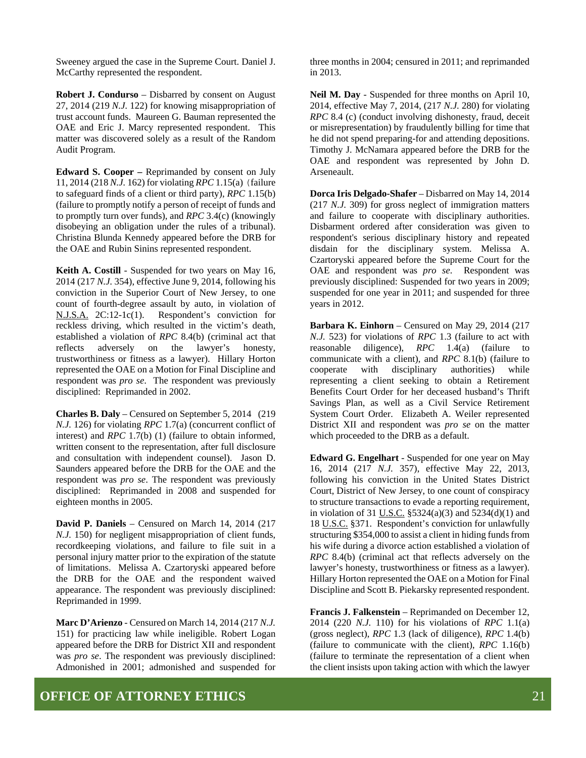Sweeney argued the case in the Supreme Court. Daniel J. McCarthy represented the respondent.

**Robert J. Condurso** – Disbarred by consent on August 27, 2014 (219 *N.J.* 122) for knowing misappropriation of trust account funds. Maureen G. Bauman represented the OAE and Eric J. Marcy represented respondent. This matter was discovered solely as a result of the Random Audit Program.

**Edward S. Cooper –** Reprimanded by consent on July 11, 2014 (218 *N.J.* 162) for violating *RPC* 1.15(a) (failure to safeguard finds of a client or third party), *RPC* 1.15(b) (failure to promptly notify a person of receipt of funds and to promptly turn over funds), and *RPC* 3.4(c) (knowingly disobeying an obligation under the rules of a tribunal). Christina Blunda Kennedy appeared before the DRB for the OAE and Rubin Sinins represented respondent.

**Keith A. Costill** - Suspended for two years on May 16, 2014 (217 *N.J.* 354), effective June 9, 2014, following his conviction in the Superior Court of New Jersey, to one count of fourth-degree assault by auto, in violation of N.J.S.A. 2C:12-1c(1). Respondent's conviction for reckless driving, which resulted in the victim's death, established a violation of *RPC* 8.4(b) (criminal act that reflects adversely on the lawyer's honesty, trustworthiness or fitness as a lawyer). Hillary Horton represented the OAE on a Motion for Final Discipline and respondent was *pro se*. The respondent was previously disciplined: Reprimanded in 2002.

**Charles B. Daly** – Censured on September 5, 2014 (219 *N.J.* 126) for violating *RPC* 1.7(a) (concurrent conflict of interest) and *RPC* 1.7(b) (1) (failure to obtain informed, written consent to the representation, after full disclosure and consultation with independent counsel). Jason D. Saunders appeared before the DRB for the OAE and the respondent was *pro se*. The respondent was previously disciplined: Reprimanded in 2008 and suspended for eighteen months in 2005.

**David P. Daniels** – Censured on March 14, 2014 (217 *N.J.* 150) for negligent misappropriation of client funds, recordkeeping violations, and failure to file suit in a personal injury matter prior to the expiration of the statute of limitations. Melissa A. Czartoryski appeared before the DRB for the OAE and the respondent waived appearance. The respondent was previously disciplined: Reprimanded in 1999.

**Marc D'Arienzo** - Censured on March 14, 2014 (217 *N.J.* 151) for practicing law while ineligible. Robert Logan appeared before the DRB for District XII and respondent was *pro se*. The respondent was previously disciplined: Admonished in 2001; admonished and suspended for three months in 2004; censured in 2011; and reprimanded in 2013.

**Neil M. Day** - Suspended for three months on April 10, 2014, effective May 7, 2014, (217 *N.J.* 280) for violating *RPC* 8.4 (c) (conduct involving dishonesty, fraud, deceit or misrepresentation) by fraudulently billing for time that he did not spend preparing-for and attending depositions. Timothy J. McNamara appeared before the DRB for the OAE and respondent was represented by John D. Arseneault.

**Dorca Iris Delgado-Shafer** – Disbarred on May 14, 2014 (217 *N.J.* 309) for gross neglect of immigration matters and failure to cooperate with disciplinary authorities. Disbarment ordered after consideration was given to respondent's serious disciplinary history and repeated disdain for the disciplinary system. Melissa A. Czartoryski appeared before the Supreme Court for the OAE and respondent was *pro se*. Respondent was previously disciplined: Suspended for two years in 2009; suspended for one year in 2011; and suspended for three years in 2012.

**Barbara K. Einhorn** – Censured on May 29, 2014 (217 *N.J.* 523) for violations of *RPC* 1.3 (failure to act with reasonable diligence), *RPC* 1.4(a) (failure to communicate with a client), and *RPC* 8.1(b) (failure to cooperate with disciplinary authorities) while representing a client seeking to obtain a Retirement Benefits Court Order for her deceased husband's Thrift Savings Plan, as well as a Civil Service Retirement System Court Order. Elizabeth A. Weiler represented District XII and respondent was *pro se* on the matter which proceeded to the DRB as a default.

**Edward G. Engelhart** - Suspended for one year on May 16, 2014 (217 *N.J.* 357), effective May 22, 2013, following his conviction in the United States District Court, District of New Jersey, to one count of conspiracy to structure transactions to evade a reporting requirement, in violation of 31 <u>U.S.C.</u> §5324(a)(3) and  $5234(d)(1)$  and 18 U.S.C. §371. Respondent's conviction for unlawfully structuring \$354,000 to assist a client in hiding funds from his wife during a divorce action established a violation of *RPC* 8.4(b) (criminal act that reflects adversely on the lawyer's honesty, trustworthiness or fitness as a lawyer). Hillary Horton represented the OAE on a Motion for Final Discipline and Scott B. Piekarsky represented respondent.

**Francis J. Falkenstein** – Reprimanded on December 12, 2014 (220 *N.J.* 110) for his violations of *RPC* 1.1(a) (gross neglect), *RPC* 1.3 (lack of diligence), *RPC* 1.4(b) (failure to communicate with the client), *RPC* 1.16(b) (failure to terminate the representation of a client when the client insists upon taking action with which the lawyer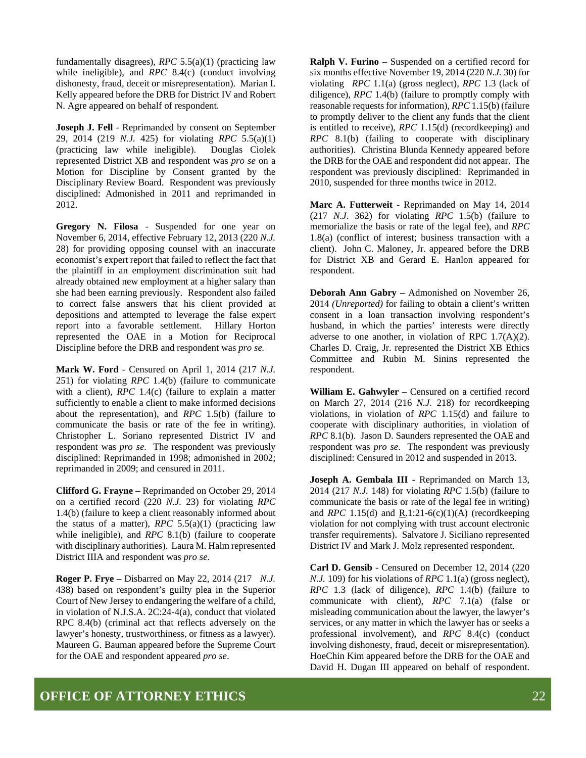fundamentally disagrees), *RPC* 5.5(a)(1) (practicing law while ineligible), and *RPC* 8.4(c) (conduct involving dishonesty, fraud, deceit or misrepresentation). Marian I. Kelly appeared before the DRB for District IV and Robert N. Agre appeared on behalf of respondent.

**Joseph J. Fell** - Reprimanded by consent on September 29, 2014 (219 *N.J.* 425) for violating *RPC* 5.5(a)(1) (practicing law while ineligible). Douglas Ciolek represented District XB and respondent was *pro se* on a Motion for Discipline by Consent granted by the Disciplinary Review Board. Respondent was previously disciplined: Admonished in 2011 and reprimanded in 2012.

**Gregory N. Filosa** - Suspended for one year on November 6, 2014, effective February 12, 2013 (220 *N.J.* 28) for providing opposing counsel with an inaccurate economist's expert report that failed to reflect the fact that the plaintiff in an employment discrimination suit had already obtained new employment at a higher salary than she had been earning previously. Respondent also failed to correct false answers that his client provided at depositions and attempted to leverage the false expert report into a favorable settlement. Hillary Horton represented the OAE in a Motion for Reciprocal Discipline before the DRB and respondent was *pro se.*

**Mark W. Ford** - Censured on April 1, 2014 (217 *N.J.*  251) for violating *RPC* 1.4(b) (failure to communicate with a client), *RPC* 1.4(c) (failure to explain a matter sufficiently to enable a client to make informed decisions about the representation), and *RPC* 1.5(b) (failure to communicate the basis or rate of the fee in writing). Christopher L. Soriano represented District IV and respondent was *pro se*. The respondent was previously disciplined: Reprimanded in 1998; admonished in 2002; reprimanded in 2009; and censured in 2011.

**Clifford G. Frayne** – Reprimanded on October 29, 2014 on a certified record (220 *N.J.* 23) for violating *RPC*  1.4(b) (failure to keep a client reasonably informed about the status of a matter), *RPC* 5.5(a)(1) (practicing law while ineligible), and *RPC* 8.1(b) (failure to cooperate with disciplinary authorities). Laura M. Halm represented District IIIA and respondent was *pro se*.

**Roger P. Frye** – Disbarred on May 22, 2014 (217 *N.J.* 438) based on respondent's guilty plea in the Superior Court of New Jersey to endangering the welfare of a child, in violation of N.J.S.A. 2C:24-4(a), conduct that violated RPC 8.4(b) (criminal act that reflects adversely on the lawyer's honesty, trustworthiness, or fitness as a lawyer). Maureen G. Bauman appeared before the Supreme Court for the OAE and respondent appeared *pro se*.

**Ralph V. Furino** – Suspended on a certified record for six months effective November 19, 2014 (220 *N.J.* 30) for violating *RPC* 1.1(a) (gross neglect), *RPC* 1.3 (lack of diligence), *RPC* 1.4(b) (failure to promptly comply with reasonable requests for information), *RPC* 1.15(b) (failure to promptly deliver to the client any funds that the client is entitled to receive), *RPC* 1.15(d) (recordkeeping) and *RPC* 8.1(b) (failing to cooperate with disciplinary authorities). Christina Blunda Kennedy appeared before the DRB for the OAE and respondent did not appear. The respondent was previously disciplined: Reprimanded in 2010, suspended for three months twice in 2012.

**Marc A. Futterweit** - Reprimanded on May 14, 2014 (217 *N.J.* 362) for violating *RPC* 1.5(b) (failure to memorialize the basis or rate of the legal fee), and *RPC* 1.8(a) (conflict of interest; business transaction with a client). John C. Maloney, Jr. appeared before the DRB for District XB and Gerard E. Hanlon appeared for respondent.

**Deborah Ann Gabry** – Admonished on November 26, 2014 *(Unreported)* for failing to obtain a client's written consent in a loan transaction involving respondent's husband, in which the parties' interests were directly adverse to one another, in violation of RPC 1.7(A)(2). Charles D. Craig, Jr. represented the District XB Ethics Committee and Rubin M. Sinins represented the respondent.

**William E. Gahwyler** – Censured on a certified record on March 27, 2014 (216 *N.J.* 218) for recordkeeping violations, in violation of *RPC* 1.15(d) and failure to cooperate with disciplinary authorities, in violation of *RPC* 8.1(b). Jason D. Saunders represented the OAE and respondent was *pro se*. The respondent was previously disciplined: Censured in 2012 and suspended in 2013.

**Joseph A. Gembala III -** Reprimanded on March 13, 2014 (217 *N.J.* 148) for violating *RPC* 1.5(b) (failure to communicate the basis or rate of the legal fee in writing) and *RPC* 1.15(d) and R.1:21-6(c)(1)(A) (recordkeeping violation for not complying with trust account electronic transfer requirements). Salvatore J. Siciliano represented District IV and Mark J. Molz represented respondent.

**Carl D. Gensib** - Censured on December 12, 2014 (220 *N.J.* 109) for his violations of *RPC* 1.1(a) (gross neglect), *RPC* 1.3 (lack of diligence), *RPC* 1.4(b) (failure to communicate with client), *RPC* 7.1(a) (false or misleading communication about the lawyer, the lawyer's services, or any matter in which the lawyer has or seeks a professional involvement), and *RPC* 8.4(c) (conduct involving dishonesty, fraud, deceit or misrepresentation). HoeChin Kim appeared before the DRB for the OAE and David H. Dugan III appeared on behalf of respondent.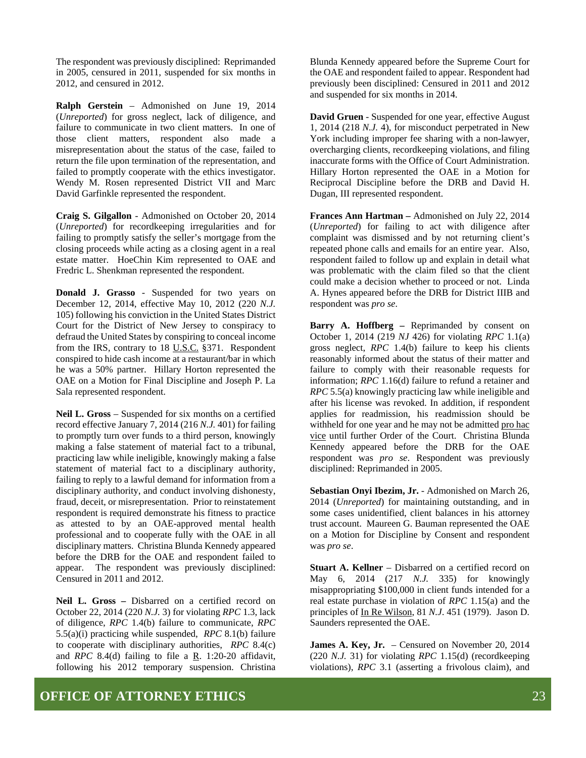The respondent was previously disciplined: Reprimanded in 2005, censured in 2011, suspended for six months in 2012, and censured in 2012.

**Ralph Gerstein** – Admonished on June 19, 2014 (*Unreported*) for gross neglect, lack of diligence, and failure to communicate in two client matters. In one of those client matters, respondent also made a misrepresentation about the status of the case, failed to return the file upon termination of the representation, and failed to promptly cooperate with the ethics investigator. Wendy M. Rosen represented District VII and Marc David Garfinkle represented the respondent.

**Craig S. Gilgallon** - Admonished on October 20, 2014 (*Unreported*) for recordkeeping irregularities and for failing to promptly satisfy the seller's mortgage from the closing proceeds while acting as a closing agent in a real estate matter. HoeChin Kim represented to OAE and Fredric L. Shenkman represented the respondent.

**Donald J. Grasso** - Suspended for two years on December 12, 2014, effective May 10, 2012 (220 *N.J.* 105) following his conviction in the United States District Court for the District of New Jersey to conspiracy to defraud the United States by conspiring to conceal income from the IRS, contrary to 18 U.S.C. §371. Respondent conspired to hide cash income at a restaurant/bar in which he was a 50% partner. Hillary Horton represented the OAE on a Motion for Final Discipline and Joseph P. La Sala represented respondent.

**Neil L. Gross** – Suspended for six months on a certified record effective January 7, 2014 (216 *N.J.* 401) for failing to promptly turn over funds to a third person, knowingly making a false statement of material fact to a tribunal, practicing law while ineligible, knowingly making a false statement of material fact to a disciplinary authority, failing to reply to a lawful demand for information from a disciplinary authority, and conduct involving dishonesty, fraud, deceit, or misrepresentation. Prior to reinstatement respondent is required demonstrate his fitness to practice as attested to by an OAE-approved mental health professional and to cooperate fully with the OAE in all disciplinary matters. Christina Blunda Kennedy appeared before the DRB for the OAE and respondent failed to appear. The respondent was previously disciplined: Censured in 2011 and 2012.

**Neil L. Gross –** Disbarred on a certified record on October 22, 2014 (220 *N.J.* 3) for violating *RPC* 1.3, lack of diligence, *RPC* 1.4(b) failure to communicate, *RPC* 5.5(a)(i) practicing while suspended, *RPC* 8.1(b) failure to cooperate with disciplinary authorities, *RPC* 8.4(c) and *RPC* 8.4(d) failing to file a  $R$ . 1:20-20 affidavit, following his 2012 temporary suspension. Christina

Blunda Kennedy appeared before the Supreme Court for the OAE and respondent failed to appear. Respondent had previously been disciplined: Censured in 2011 and 2012 and suspended for six months in 2014.

**David Gruen** - Suspended for one year, effective August 1, 2014 (218 *N.J.* 4), for misconduct perpetrated in New York including improper fee sharing with a non-lawyer, overcharging clients, recordkeeping violations, and filing inaccurate forms with the Office of Court Administration. Hillary Horton represented the OAE in a Motion for Reciprocal Discipline before the DRB and David H. Dugan, III represented respondent.

**Frances Ann Hartman –** Admonished on July 22, 2014 (*Unreported*) for failing to act with diligence after complaint was dismissed and by not returning client's repeated phone calls and emails for an entire year. Also, respondent failed to follow up and explain in detail what was problematic with the claim filed so that the client could make a decision whether to proceed or not. Linda A. Hynes appeared before the DRB for District IIIB and respondent was *pro se*.

**Barry A. Hoffberg –** Reprimanded by consent on October 1, 2014 (219 *NJ* 426) for violating *RPC* 1.1(a) gross neglect, *RPC* 1.4(b) failure to keep his clients reasonably informed about the status of their matter and failure to comply with their reasonable requests for information; *RPC* 1.16(d) failure to refund a retainer and *RPC* 5.5(a) knowingly practicing law while ineligible and after his license was revoked. In addition, if respondent applies for readmission, his readmission should be withheld for one year and he may not be admitted pro hac vice until further Order of the Court. Christina Blunda Kennedy appeared before the DRB for the OAE respondent was *pro se*. Respondent was previously disciplined: Reprimanded in 2005.

**Sebastian Onyi Ibezim, Jr.** - Admonished on March 26, 2014 (*Unreported*) for maintaining outstanding, and in some cases unidentified, client balances in his attorney trust account. Maureen G. Bauman represented the OAE on a Motion for Discipline by Consent and respondent was *pro se*.

**Stuart A. Kellner** – Disbarred on a certified record on May 6, 2014 (217 *N.J.* 335) for knowingly misappropriating \$100,000 in client funds intended for a real estate purchase in violation of *RPC* 1.15(a) and the principles of In Re Wilson, 81 *N.J*. 451 (1979). Jason D. Saunders represented the OAE.

**James A. Key, Jr.** – Censured on November 20, 2014 (220 *N.J.* 31) for violating *RPC* 1.15(d) (recordkeeping violations), *RPC* 3.1 (asserting a frivolous claim), and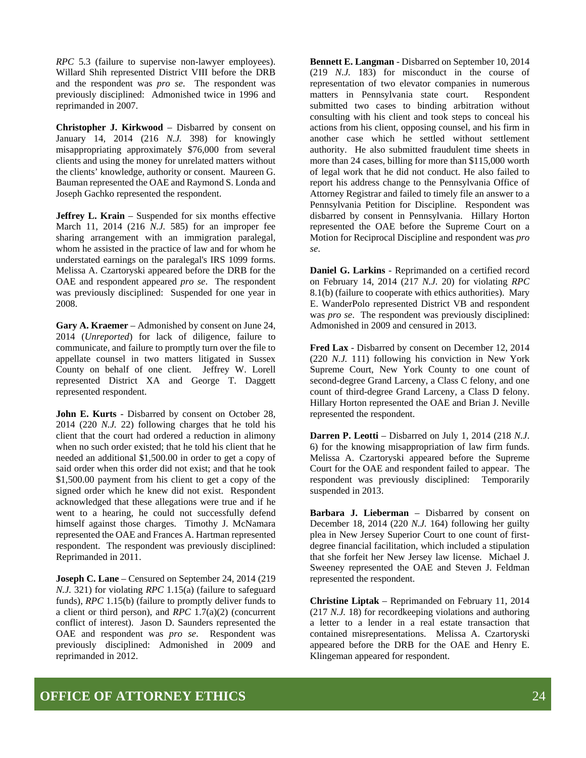*RPC* 5.3 (failure to supervise non-lawyer employees). Willard Shih represented District VIII before the DRB and the respondent was *pro se*. The respondent was previously disciplined: Admonished twice in 1996 and reprimanded in 2007.

**Christopher J. Kirkwood** – Disbarred by consent on January 14, 2014 (216 *N.J.* 398) for knowingly misappropriating approximately \$76,000 from several clients and using the money for unrelated matters without the clients' knowledge, authority or consent. Maureen G. Bauman represented the OAE and Raymond S. Londa and Joseph Gachko represented the respondent.

**Jeffrey L. Krain** – Suspended for six months effective March 11, 2014 (216 *N.J.* 585) for an improper fee sharing arrangement with an immigration paralegal, whom he assisted in the practice of law and for whom he understated earnings on the paralegal's IRS 1099 forms. Melissa A. Czartoryski appeared before the DRB for the OAE and respondent appeared *pro se*. The respondent was previously disciplined: Suspended for one year in 2008.

**Gary A. Kraemer** – Admonished by consent on June 24, 2014 (*Unreported*) for lack of diligence, failure to communicate, and failure to promptly turn over the file to appellate counsel in two matters litigated in Sussex County on behalf of one client. Jeffrey W. Lorell represented District XA and George T. Daggett represented respondent.

**John E. Kurts** - Disbarred by consent on October 28, 2014 (220 *N.J.* 22) following charges that he told his client that the court had ordered a reduction in alimony when no such order existed; that he told his client that he needed an additional \$1,500.00 in order to get a copy of said order when this order did not exist; and that he took \$1,500.00 payment from his client to get a copy of the signed order which he knew did not exist. Respondent acknowledged that these allegations were true and if he went to a hearing, he could not successfully defend himself against those charges. Timothy J. McNamara represented the OAE and Frances A. Hartman represented respondent. The respondent was previously disciplined: Reprimanded in 2011.

**Joseph C. Lane** – Censured on September 24, 2014 (219 *N.J.* 321) for violating *RPC* 1.15(a) (failure to safeguard funds), *RPC* 1.15(b) (failure to promptly deliver funds to a client or third person), and *RPC* 1.7(a)(2) (concurrent conflict of interest). Jason D. Saunders represented the OAE and respondent was *pro se*. Respondent was previously disciplined: Admonished in 2009 and reprimanded in 2012.

**Bennett E. Langman** - Disbarred on September 10, 2014 (219 *N.J.* 183) for misconduct in the course of representation of two elevator companies in numerous matters in Pennsylvania state court. Respondent submitted two cases to binding arbitration without consulting with his client and took steps to conceal his actions from his client, opposing counsel, and his firm in another case which he settled without settlement authority. He also submitted fraudulent time sheets in more than 24 cases, billing for more than \$115,000 worth of legal work that he did not conduct. He also failed to report his address change to the Pennsylvania Office of Attorney Registrar and failed to timely file an answer to a Pennsylvania Petition for Discipline. Respondent was disbarred by consent in Pennsylvania. Hillary Horton represented the OAE before the Supreme Court on a Motion for Reciprocal Discipline and respondent was *pro se*.

**Daniel G. Larkins** - Reprimanded on a certified record on February 14, 2014 (217 *N.J.* 20) for violating *RPC* 8.1(b) (failure to cooperate with ethics authorities). Mary E. WanderPolo represented District VB and respondent was *pro se*. The respondent was previously disciplined: Admonished in 2009 and censured in 2013.

**Fred Lax** - Disbarred by consent on December 12, 2014 (220 *N.J.* 111) following his conviction in New York Supreme Court, New York County to one count of second-degree Grand Larceny, a Class C felony, and one count of third-degree Grand Larceny, a Class D felony. Hillary Horton represented the OAE and Brian J. Neville represented the respondent.

**Darren P. Leotti** – Disbarred on July 1, 2014 (218 *N.J*. 6) for the knowing misappropriation of law firm funds. Melissa A. Czartoryski appeared before the Supreme Court for the OAE and respondent failed to appear. The respondent was previously disciplined: Temporarily suspended in 2013.

**Barbara J. Lieberman** – Disbarred by consent on December 18, 2014 (220 *N.J.* 164) following her guilty plea in New Jersey Superior Court to one count of firstdegree financial facilitation, which included a stipulation that she forfeit her New Jersey law license. Michael J. Sweeney represented the OAE and Steven J. Feldman represented the respondent.

**Christine Liptak** – Reprimanded on February 11, 2014 (217 *N.J.* 18) for recordkeeping violations and authoring a letter to a lender in a real estate transaction that contained misrepresentations. Melissa A. Czartoryski appeared before the DRB for the OAE and Henry E. Klingeman appeared for respondent.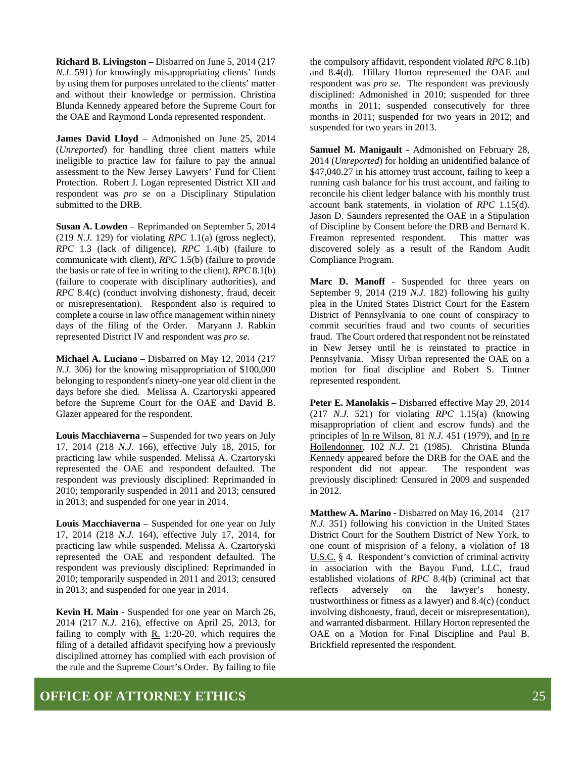**Richard B. Livingston –** Disbarred on June 5, 2014 (217 *N.J.* 591) for knowingly misappropriating clients' funds by using them for purposes unrelated to the clients' matter and without their knowledge or permission. Christina Blunda Kennedy appeared before the Supreme Court for the OAE and Raymond Londa represented respondent.

**James David Lloyd** – Admonished on June 25, 2014 (*Unreported*) for handling three client matters while ineligible to practice law for failure to pay the annual assessment to the New Jersey Lawyers' Fund for Client Protection. Robert J. Logan represented District XII and respondent was *pro se* on a Disciplinary Stipulation submitted to the DRB.

**Susan A. Lowden** – Reprimanded on September 5, 2014 (219 *N.J.* 129) for violating *RPC* 1.1(a) (gross neglect), *RPC* 1.3 (lack of diligence), *RPC* 1.4(b) (failure to communicate with client), *RPC* 1.5(b) (failure to provide the basis or rate of fee in writing to the client), *RPC* 8.1(b) (failure to cooperate with disciplinary authorities), and *RPC* 8.4(c) (conduct involving dishonesty, fraud, deceit or misrepresentation). Respondent also is required to complete a course in law office management within ninety days of the filing of the Order. Maryann J. Rabkin represented District IV and respondent was *pro se*.

**Michael A. Luciano** – Disbarred on May 12, 2014 (217 *N.J.* 306) for the knowing misappropriation of \$100,000 belonging to respondent's ninety-one year old client in the days before she died. Melissa A. Czartoryski appeared before the Supreme Court for the OAE and David B. Glazer appeared for the respondent.

**Louis Macchiaverna** – Suspended for two years on July 17, 2014 (218 *N.J.* 166), effective July 18, 2015, for practicing law while suspended. Melissa A. Czartoryski represented the OAE and respondent defaulted. The respondent was previously disciplined: Reprimanded in 2010; temporarily suspended in 2011 and 2013; censured in 2013; and suspended for one year in 2014.

**Louis Macchiaverna** – Suspended for one year on July 17, 2014 (218 *N.J.* 164), effective July 17, 2014, for practicing law while suspended. Melissa A. Czartoryski represented the OAE and respondent defaulted. The respondent was previously disciplined: Reprimanded in 2010; temporarily suspended in 2011 and 2013; censured in 2013; and suspended for one year in 2014.

**Kevin H. Main** - Suspended for one year on March 26, 2014 (217 *N.J.* 216), effective on April 25, 2013, for failing to comply with R. 1:20-20, which requires the filing of a detailed affidavit specifying how a previously disciplined attorney has complied with each provision of the rule and the Supreme Court's Order. By failing to file

the compulsory affidavit, respondent violated *RPC* 8.1(b) and 8.4(d). Hillary Horton represented the OAE and respondent was *pro se*. The respondent was previously disciplined: Admonished in 2010; suspended for three months in 2011; suspended consecutively for three months in 2011; suspended for two years in 2012; and suspended for two years in 2013.

**Samuel M. Manigault** - Admonished on February 28, 2014 (*Unreported*) for holding an unidentified balance of \$47,040.27 in his attorney trust account, failing to keep a running cash balance for his trust account, and failing to reconcile his client ledger balance with his monthly trust account bank statements, in violation of *RPC* 1.15(d). Jason D. Saunders represented the OAE in a Stipulation of Discipline by Consent before the DRB and Bernard K. Freamon represented respondent. This matter was discovered solely as a result of the Random Audit Compliance Program.

**Marc D. Manoff** - Suspended for three years on September 9, 2014 (219 *N.J.* 182) following his guilty plea in the United States District Court for the Eastern District of Pennsylvania to one count of conspiracy to commit securities fraud and two counts of securities fraud. The Court ordered that respondent not be reinstated in New Jersey until he is reinstated to practice in Pennsylvania. Missy Urban represented the OAE on a motion for final discipline and Robert S. Tintner represented respondent.

**Peter E. Manolakis** – Disbarred effective May 29, 2014 (217 *N.J.* 521) for violating *RPC* 1.15(a) (knowing misappropriation of client and escrow funds) and the principles of In re Wilson, 81 *N.J.* 451 (1979), and In re Hollendonner, 102 *N.J.* 21 (1985). Christina Blunda Kennedy appeared before the DRB for the OAE and the respondent did not appear. The respondent was previously disciplined: Censured in 2009 and suspended in 2012.

**Matthew A. Marino** - Disbarred on May 16, 2014 (217 *N.J.* 351) following his conviction in the United States District Court for the Southern District of New York, to one count of misprision of a felony, a violation of 18 U.S.C. § 4. Respondent's conviction of criminal activity in association with the Bayou Fund, LLC, fraud established violations of *RPC* 8.4(b) (criminal act that reflects adversely on the lawyer's honesty, trustworthiness or fitness as a lawyer) and 8.4(c) (conduct involving dishonesty, fraud, deceit or misrepresentation), and warranted disbarment. Hillary Horton represented the OAE on a Motion for Final Discipline and Paul B. Brickfield represented the respondent.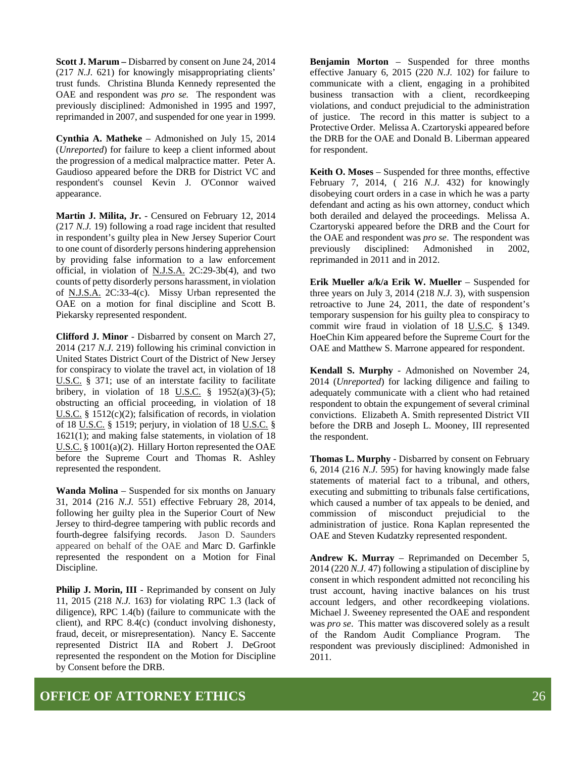**Scott J. Marum –** Disbarred by consent on June 24, 2014 (217 *N.J.* 621) for knowingly misappropriating clients' trust funds. Christina Blunda Kennedy represented the OAE and respondent was *pro se.* The respondent was previously disciplined: Admonished in 1995 and 1997, reprimanded in 2007, and suspended for one year in 1999.

**Cynthia A. Matheke** – Admonished on July 15, 2014 (*Unreported*) for failure to keep a client informed about the progression of a medical malpractice matter. Peter A. Gaudioso appeared before the DRB for District VC and respondent's counsel Kevin J. O'Connor waived appearance.

**Martin J. Milita, Jr.** - Censured on February 12, 2014 (217 *N.J.* 19) following a road rage incident that resulted in respondent's guilty plea in New Jersey Superior Court to one count of disorderly persons hindering apprehension by providing false information to a law enforcement official, in violation of N.J.S.A. 2C:29-3b(4), and two counts of petty disorderly persons harassment, in violation of N.J.S.A. 2C:33-4(c). Missy Urban represented the OAE on a motion for final discipline and Scott B. Piekarsky represented respondent.

**Clifford J. Minor** - Disbarred by consent on March 27, 2014 (217 *N.J.* 219) following his criminal conviction in United States District Court of the District of New Jersey for conspiracy to violate the travel act, in violation of 18 U.S.C. § 371; use of an interstate facility to facilitate bribery, in violation of 18 U.S.C.  $\frac{1}{2}$  1952(a)(3)-(5); obstructing an official proceeding, in violation of 18 U.S.C. § 1512(c)(2); falsification of records, in violation of 18 U.S.C. § 1519; perjury, in violation of 18 U.S.C. § 1621(1); and making false statements, in violation of 18 U.S.C. § 1001(a)(2). Hillary Horton represented the OAE before the Supreme Court and Thomas R. Ashley represented the respondent.

**Wanda Molina** – Suspended for six months on January 31, 2014 (216 *N.J.* 551) effective February 28, 2014, following her guilty plea in the Superior Court of New Jersey to third-degree tampering with public records and fourth-degree falsifying records. Jason D. Saunders appeared on behalf of the OAE and Marc D. Garfinkle represented the respondent on a Motion for Final Discipline.

**Philip J. Morin, III** - Reprimanded by consent on July 11, 2015 (218 *N.J.* 163) for violating RPC 1.3 (lack of diligence), RPC 1.4(b) (failure to communicate with the client), and RPC 8.4(c) (conduct involving dishonesty, fraud, deceit, or misrepresentation). Nancy E. Saccente represented District IIA and Robert J. DeGroot represented the respondent on the Motion for Discipline by Consent before the DRB.

**Benjamin Morton** – Suspended for three months effective January 6, 2015 (220 *N.J.* 102) for failure to communicate with a client, engaging in a prohibited business transaction with a client, recordkeeping violations, and conduct prejudicial to the administration of justice. The record in this matter is subject to a Protective Order. Melissa A. Czartoryski appeared before the DRB for the OAE and Donald B. Liberman appeared for respondent.

**Keith O. Moses** – Suspended for three months, effective February 7, 2014, ( 216 *N.J.* 432) for knowingly disobeying court orders in a case in which he was a party defendant and acting as his own attorney, conduct which both derailed and delayed the proceedings. Melissa A. Czartoryski appeared before the DRB and the Court for the OAE and respondent was *pro se*. The respondent was previously disciplined: Admonished in 2002, reprimanded in 2011 and in 2012.

**Erik Mueller a/k/a Erik W. Mueller** – Suspended for three years on July 3, 2014 (218 *N.J.* 3), with suspension retroactive to June 24, 2011, the date of respondent's temporary suspension for his guilty plea to conspiracy to commit wire fraud in violation of 18 U.S.C*.* § 1349. HoeChin Kim appeared before the Supreme Court for the OAE and Matthew S. Marrone appeared for respondent.

**Kendall S. Murphy** - Admonished on November 24, 2014 (*Unreported*) for lacking diligence and failing to adequately communicate with a client who had retained respondent to obtain the expungement of several criminal convictions. Elizabeth A. Smith represented District VII before the DRB and Joseph L. Mooney, III represented the respondent.

**Thomas L. Murphy** - Disbarred by consent on February 6, 2014 (216 *N.J.* 595) for having knowingly made false statements of material fact to a tribunal, and others, executing and submitting to tribunals false certifications, which caused a number of tax appeals to be denied, and commission of misconduct prejudicial to the administration of justice. Rona Kaplan represented the OAE and Steven Kudatzky represented respondent.

**Andrew K. Murray** – Reprimanded on December 5, 2014 (220 *N.J.* 47) following a stipulation of discipline by consent in which respondent admitted not reconciling his trust account, having inactive balances on his trust account ledgers, and other recordkeeping violations. Michael J. Sweeney represented the OAE and respondent was *pro se*. This matter was discovered solely as a result of the Random Audit Compliance Program. The respondent was previously disciplined: Admonished in 2011.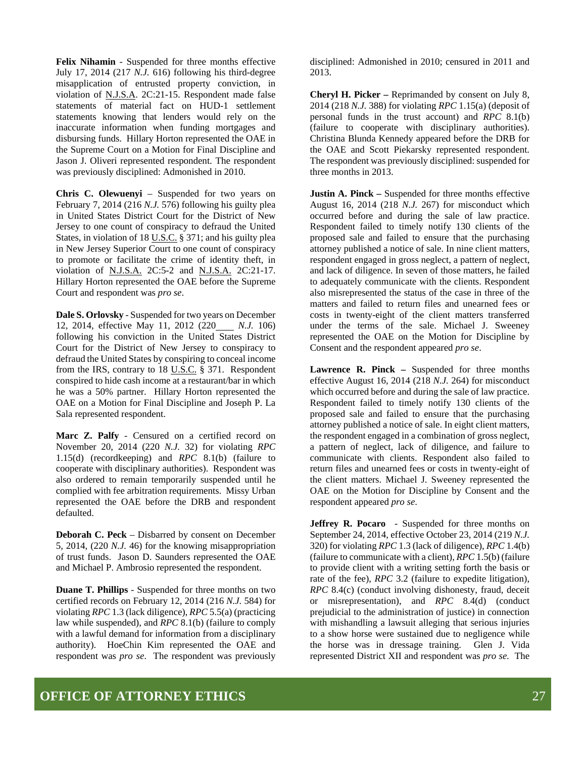**Felix Nihamin** - Suspended for three months effective July 17, 2014 (217 *N.J.* 616) following his third-degree misapplication of entrusted property conviction, in violation of N.J.S.A. 2C:21-15. Respondent made false statements of material fact on HUD-1 settlement statements knowing that lenders would rely on the inaccurate information when funding mortgages and disbursing funds. Hillary Horton represented the OAE in the Supreme Court on a Motion for Final Discipline and Jason J. Oliveri represented respondent. The respondent was previously disciplined: Admonished in 2010.

**Chris C. Olewuenyi** – Suspended for two years on February 7, 2014 (216 *N.J.* 576) following his guilty plea in United States District Court for the District of New Jersey to one count of conspiracy to defraud the United States, in violation of 18 U.S.C. § 371; and his guilty plea in New Jersey Superior Court to one count of conspiracy to promote or facilitate the crime of identity theft, in violation of <u>N.J.S.A.</u> 2C:5-2 and <u>N.J.S.A.</u> 2C:21-17. Hillary Horton represented the OAE before the Supreme Court and respondent was *pro se*.

**Dale S. Orlovsky** - Suspended for two years on December 12, 2014, effective May 11, 2012 (220 *N.J.* 106) following his conviction in the United States District Court for the District of New Jersey to conspiracy to defraud the United States by conspiring to conceal income from the IRS, contrary to 18 U.S.C. § 371. Respondent conspired to hide cash income at a restaurant/bar in which he was a 50% partner. Hillary Horton represented the OAE on a Motion for Final Discipline and Joseph P. La Sala represented respondent.

**Marc Z. Palfy** - Censured on a certified record on November 20, 2014 (220 *N.J.* 32) for violating *RPC*  1.15(d) (recordkeeping) and *RPC* 8.1(b) (failure to cooperate with disciplinary authorities). Respondent was also ordered to remain temporarily suspended until he complied with fee arbitration requirements. Missy Urban represented the OAE before the DRB and respondent defaulted.

**Deborah C. Peck** – Disbarred by consent on December 5, 2014, (220 *N.J.* 46) for the knowing misappropriation of trust funds. Jason D. Saunders represented the OAE and Michael P. Ambrosio represented the respondent.

**Duane T. Phillips** - Suspended for three months on two certified records on February 12, 2014 (216 *N.J.* 584) for violating *RPC* 1.3 (lack diligence), *RPC* 5.5(a) (practicing law while suspended), and *RPC* 8.1(b) (failure to comply with a lawful demand for information from a disciplinary authority). HoeChin Kim represented the OAE and respondent was *pro se*. The respondent was previously disciplined: Admonished in 2010; censured in 2011 and 2013.

**Cheryl H. Picker –** Reprimanded by consent on July 8, 2014 (218 *N.J.* 388) for violating *RPC* 1.15(a) (deposit of personal funds in the trust account) and *RPC* 8.1(b) (failure to cooperate with disciplinary authorities). Christina Blunda Kennedy appeared before the DRB for the OAE and Scott Piekarsky represented respondent. The respondent was previously disciplined: suspended for three months in 2013.

**Justin A. Pinck –** Suspended for three months effective August 16, 2014 (218 *N.J.* 267) for misconduct which occurred before and during the sale of law practice. Respondent failed to timely notify 130 clients of the proposed sale and failed to ensure that the purchasing attorney published a notice of sale. In nine client matters, respondent engaged in gross neglect, a pattern of neglect, and lack of diligence. In seven of those matters, he failed to adequately communicate with the clients. Respondent also misrepresented the status of the case in three of the matters and failed to return files and unearned fees or costs in twenty-eight of the client matters transferred under the terms of the sale. Michael J. Sweeney represented the OAE on the Motion for Discipline by Consent and the respondent appeared *pro se*.

**Lawrence R. Pinck –** Suspended for three months effective August 16, 2014 (218 *N.J.* 264) for misconduct which occurred before and during the sale of law practice. Respondent failed to timely notify 130 clients of the proposed sale and failed to ensure that the purchasing attorney published a notice of sale. In eight client matters, the respondent engaged in a combination of gross neglect, a pattern of neglect, lack of diligence, and failure to communicate with clients. Respondent also failed to return files and unearned fees or costs in twenty-eight of the client matters. Michael J. Sweeney represented the OAE on the Motion for Discipline by Consent and the respondent appeared *pro se*.

**Jeffrey R. Pocaro** - Suspended for three months on September 24, 2014, effective October 23, 2014 (219 *N.J.* 320) for violating *RPC* 1.3 (lack of diligence), *RPC* 1.4(b) (failure to communicate with a client), *RPC* 1.5(b) (failure to provide client with a writing setting forth the basis or rate of the fee), *RPC* 3.2 (failure to expedite litigation), *RPC* 8.4(c) (conduct involving dishonesty, fraud, deceit or misrepresentation), and *RPC* 8.4(d) (conduct prejudicial to the administration of justice) in connection with mishandling a lawsuit alleging that serious injuries to a show horse were sustained due to negligence while the horse was in dressage training. Glen J. Vida represented District XII and respondent was *pro se.* The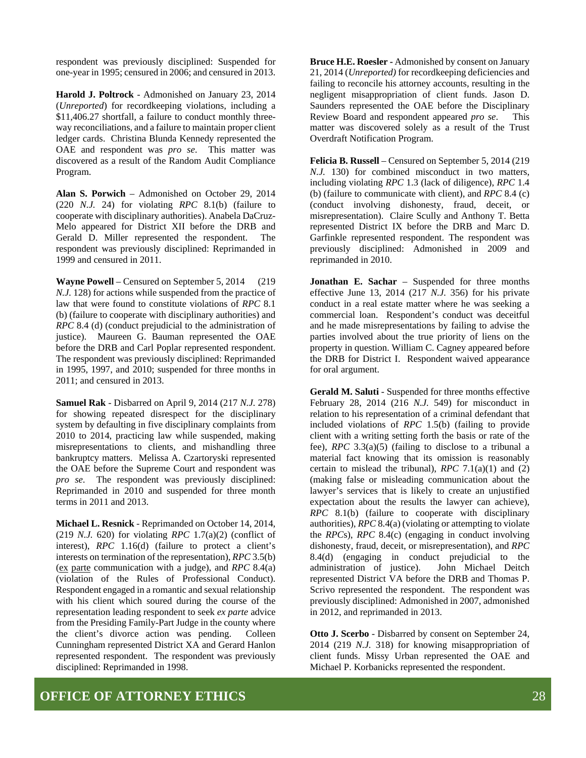respondent was previously disciplined: Suspended for one-year in 1995; censured in 2006; and censured in 2013.

**Harold J. Poltrock** - Admonished on January 23, 2014 (*Unreported*) for recordkeeping violations, including a \$11,406.27 shortfall, a failure to conduct monthly threeway reconciliations, and a failure to maintain proper client ledger cards. Christina Blunda Kennedy represented the OAE and respondent was *pro se*. This matter was discovered as a result of the Random Audit Compliance Program.

**Alan S. Porwich** – Admonished on October 29, 2014 (220 *N.J.* 24) for violating *RPC* 8.1(b) (failure to cooperate with disciplinary authorities). Anabela DaCruz-Melo appeared for District XII before the DRB and Gerald D. Miller represented the respondent. The respondent was previously disciplined: Reprimanded in 1999 and censured in 2011.

**Wayne Powell** – Censured on September 5, 2014 (219 *N.J.* 128) for actions while suspended from the practice of law that were found to constitute violations of *RPC* 8.1 (b) (failure to cooperate with disciplinary authorities) and *RPC* 8.4 (d) (conduct prejudicial to the administration of justice). Maureen G. Bauman represented the OAE before the DRB and Carl Poplar represented respondent. The respondent was previously disciplined: Reprimanded in 1995, 1997, and 2010; suspended for three months in 2011; and censured in 2013.

**Samuel Rak** - Disbarred on April 9, 2014 (217 *N.J.* 278) for showing repeated disrespect for the disciplinary system by defaulting in five disciplinary complaints from 2010 to 2014, practicing law while suspended, making misrepresentations to clients, and mishandling three bankruptcy matters. Melissa A. Czartoryski represented the OAE before the Supreme Court and respondent was *pro se*. The respondent was previously disciplined: Reprimanded in 2010 and suspended for three month terms in 2011 and 2013.

**Michael L. Resnick** - Reprimanded on October 14, 2014, (219 *N.J.* 620) for violating *RPC* 1.7(a)(2) (conflict of interest), *RPC* 1.16(d) (failure to protect a client's interests on termination of the representation), *RPC* 3.5(b) (ex parte communication with a judge), and *RPC* 8.4(a) (violation of the Rules of Professional Conduct). Respondent engaged in a romantic and sexual relationship with his client which soured during the course of the representation leading respondent to seek *ex parte* advice from the Presiding Family-Part Judge in the county where the client's divorce action was pending. Colleen Cunningham represented District XA and Gerard Hanlon represented respondent. The respondent was previously disciplined: Reprimanded in 1998.

**Bruce H.E. Roesler -** Admonished by consent on January 21, 2014 (*Unreported)* for recordkeeping deficiencies and failing to reconcile his attorney accounts, resulting in the negligent misappropriation of client funds. Jason D. Saunders represented the OAE before the Disciplinary Review Board and respondent appeared *pro se*. This matter was discovered solely as a result of the Trust Overdraft Notification Program.

**Felicia B. Russell** – Censured on September 5, 2014 (219 *N.J.* 130) for combined misconduct in two matters, including violating *RPC* 1.3 (lack of diligence), *RPC* 1.4 (b) (failure to communicate with client), and *RPC* 8.4 (c) (conduct involving dishonesty, fraud, deceit, or misrepresentation). Claire Scully and Anthony T. Betta represented District IX before the DRB and Marc D. Garfinkle represented respondent. The respondent was previously disciplined: Admonished in 2009 and reprimanded in 2010.

**Jonathan E. Sachar** – Suspended for three months effective June 13, 2014 (217 *N.J.* 356) for his private conduct in a real estate matter where he was seeking a commercial loan. Respondent's conduct was deceitful and he made misrepresentations by failing to advise the parties involved about the true priority of liens on the property in question. William C. Cagney appeared before the DRB for District I. Respondent waived appearance for oral argument.

**Gerald M. Saluti** - Suspended for three months effective February 28, 2014 (216 *N.J.* 549) for misconduct in relation to his representation of a criminal defendant that included violations of *RPC* 1.5(b) (failing to provide client with a writing setting forth the basis or rate of the fee), *RPC* 3.3(a)(5) (failing to disclose to a tribunal a material fact knowing that its omission is reasonably certain to mislead the tribunal), *RPC* 7.1(a)(1) and (2) (making false or misleading communication about the lawyer's services that is likely to create an unjustified expectation about the results the lawyer can achieve), *RPC* 8.1(b) (failure to cooperate with disciplinary authorities), *RPC* 8.4(a) (violating or attempting to violate the *RPC*s), *RPC* 8.4(c) (engaging in conduct involving dishonesty, fraud, deceit, or misrepresentation), and *RPC* 8.4(d) (engaging in conduct prejudicial to the administration of justice). John Michael Deitch represented District VA before the DRB and Thomas P. Scrivo represented the respondent. The respondent was previously disciplined: Admonished in 2007, admonished in 2012, and reprimanded in 2013.

**Otto J. Scerbo** - Disbarred by consent on September 24, 2014 (219 *N.J.* 318) for knowing misappropriation of client funds. Missy Urban represented the OAE and Michael P. Korbanicks represented the respondent.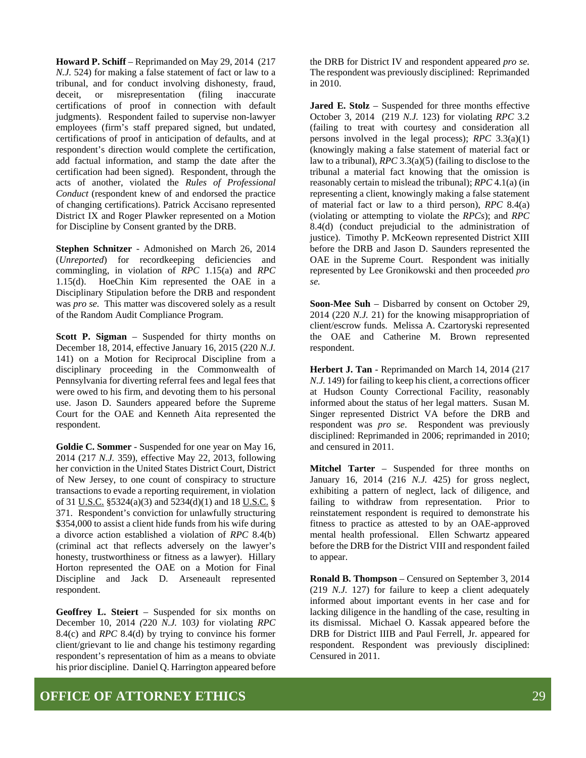**Howard P. Schiff** – Reprimanded on May 29, 2014 (217 *N.J.* 524) for making a false statement of fact or law to a tribunal, and for conduct involving dishonesty, fraud, deceit, or misrepresentation (filing inaccurate certifications of proof in connection with default judgments). Respondent failed to supervise non-lawyer employees (firm's staff prepared signed, but undated, certifications of proof in anticipation of defaults, and at respondent's direction would complete the certification, add factual information, and stamp the date after the certification had been signed). Respondent, through the acts of another, violated the *Rules of Professional Conduct* (respondent knew of and endorsed the practice of changing certifications). Patrick Accisano represented District IX and Roger Plawker represented on a Motion for Discipline by Consent granted by the DRB.

**Stephen Schnitzer** - Admonished on March 26, 2014 (*Unreported*) for recordkeeping deficiencies and commingling, in violation of *RPC* 1.15(a) and *RPC* 1.15(d). HoeChin Kim represented the OAE in a Disciplinary Stipulation before the DRB and respondent was *pro se.* This matter was discovered solely as a result of the Random Audit Compliance Program.

**Scott P. Sigman** – Suspended for thirty months on December 18, 2014, effective January 16, 2015 (220 *N.J.* 141) on a Motion for Reciprocal Discipline from a disciplinary proceeding in the Commonwealth of Pennsylvania for diverting referral fees and legal fees that were owed to his firm, and devoting them to his personal use. Jason D. Saunders appeared before the Supreme Court for the OAE and Kenneth Aita represented the respondent.

**Goldie C. Sommer** - Suspended for one year on May 16, 2014 (217 *N.J.* 359), effective May 22, 2013, following her conviction in the United States District Court, District of New Jersey, to one count of conspiracy to structure transactions to evade a reporting requirement, in violation of 31 U.S.C. §5324(a)(3) and 5234(d)(1) and 18 U.S.C. § 371. Respondent's conviction for unlawfully structuring \$354,000 to assist a client hide funds from his wife during a divorce action established a violation of *RPC* 8.4(b) (criminal act that reflects adversely on the lawyer's honesty, trustworthiness or fitness as a lawyer). Hillary Horton represented the OAE on a Motion for Final Discipline and Jack D. Arseneault represented respondent.

**Geoffrey L. Steiert** – Suspended for six months on December 10, 2014 *(*220 *N.J.* 103*)* for violating *RPC*  8.4(c) and *RPC* 8.4(d) by trying to convince his former client/grievant to lie and change his testimony regarding respondent's representation of him as a means to obviate his prior discipline. Daniel Q. Harrington appeared before

the DRB for District IV and respondent appeared *pro se.* The respondent was previously disciplined: Reprimanded in 2010.

**Jared E. Stolz** – Suspended for three months effective October 3, 2014 (219 *N.J.* 123) for violating *RPC* 3.2 (failing to treat with courtesy and consideration all persons involved in the legal process); *RPC* 3.3(a)(1) (knowingly making a false statement of material fact or law to a tribunal), *RPC* 3.3(a)(5) (failing to disclose to the tribunal a material fact knowing that the omission is reasonably certain to mislead the tribunal); *RPC* 4.1(a) (in representing a client, knowingly making a false statement of material fact or law to a third person), *RPC* 8.4(a) (violating or attempting to violate the *RPCs*); and *RPC* 8.4(d) (conduct prejudicial to the administration of justice). Timothy P. McKeown represented District XIII before the DRB and Jason D. Saunders represented the OAE in the Supreme Court. Respondent was initially represented by Lee Gronikowski and then proceeded *pro se.* 

**Soon-Mee Suh** – Disbarred by consent on October 29, 2014 (220 *N.J.* 21) for the knowing misappropriation of client/escrow funds. Melissa A. Czartoryski represented the OAE and Catherine M. Brown represented respondent.

**Herbert J. Tan** - Reprimanded on March 14, 2014 (217 *N.J.* 149) for failing to keep his client, a corrections officer at Hudson County Correctional Facility, reasonably informed about the status of her legal matters. Susan M. Singer represented District VA before the DRB and respondent was *pro se*. Respondent was previously disciplined: Reprimanded in 2006; reprimanded in 2010; and censured in 2011.

**Mitchel Tarter** – Suspended for three months on January 16, 2014 (216 *N.J.* 425) for gross neglect, exhibiting a pattern of neglect, lack of diligence, and failing to withdraw from representation. Prior to reinstatement respondent is required to demonstrate his fitness to practice as attested to by an OAE-approved mental health professional. Ellen Schwartz appeared before the DRB for the District VIII and respondent failed to appear.

**Ronald B. Thompson** – Censured on September 3, 2014 (219 *N.J.* 127) for failure to keep a client adequately informed about important events in her case and for lacking diligence in the handling of the case, resulting in its dismissal. Michael O. Kassak appeared before the DRB for District IIIB and Paul Ferrell, Jr. appeared for respondent. Respondent was previously disciplined: Censured in 2011.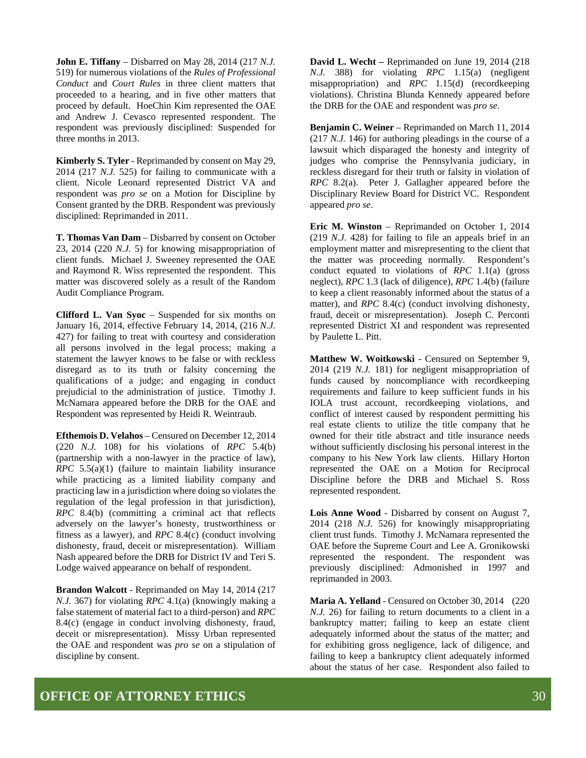**John E. Tiffany** – Disbarred on May 28, 2014 (217 *N.J.* 519) for numerous violations of the *Rules of Professional Conduct* and *Court Rules* in three client matters that proceeded to a hearing, and in five other matters that proceed by default. HoeChin Kim represented the OAE and Andrew J. Cevasco represented respondent. The respondent was previously disciplined: Suspended for three months in 2013.

**Kimberly S. Tyler** - Reprimanded by consent on May 29, 2014 (217 *N.J.* 525) for failing to communicate with a client. Nicole Leonard represented District VA and respondent was *pro se* on a Motion for Discipline by Consent granted by the DRB. Respondent was previously disciplined: Reprimanded in 2011.

**T. Thomas Van Dam** – Disbarred by consent on October 23, 2014 (220 *N.J.* 5) for knowing misappropriation of client funds. Michael J. Sweeney represented the OAE and Raymond R. Wiss represented the respondent. This matter was discovered solely as a result of the Random Audit Compliance Program.

**Clifford L. Van Syoc** – Suspended for six months on January 16, 2014, effective February 14, 2014, (216 *N.J.* 427) for failing to treat with courtesy and consideration all persons involved in the legal process; making a statement the lawyer knows to be false or with reckless disregard as to its truth or falsity concerning the qualifications of a judge; and engaging in conduct prejudicial to the administration of justice. Timothy J. McNamara appeared before the DRB for the OAE and Respondent was represented by Heidi R. Weintraub.

**Efthemois D. Velahos** – Censured on December 12, 2014 (220 *N.J.* 108) for his violations of *RPC* 5.4(b) (partnership with a non-lawyer in the practice of law), *RPC* 5.5(a)(1) (failure to maintain liability insurance while practicing as a limited liability company and practicing law in a jurisdiction where doing so violates the regulation of the legal profession in that jurisdiction), *RPC* 8.4(b) (committing a criminal act that reflects adversely on the lawyer's honesty, trustworthiness or fitness as a lawyer), and *RPC* 8.4(c) (conduct involving dishonesty, fraud, deceit or misrepresentation). William Nash appeared before the DRB for District IV and Teri S. Lodge waived appearance on behalf of respondent.

**Brandon Walcott** - Reprimanded on May 14, 2014 (217 *N.J.* 367) for violating *RPC* 4.1(a) (knowingly making a false statement of material fact to a third-person) and *RPC* 8.4(c) (engage in conduct involving dishonesty, fraud, deceit or misrepresentation). Missy Urban represented the OAE and respondent was *pro se* on a stipulation of discipline by consent.

**David L. Wecht –** Reprimanded on June 19, 2014 (218 *N.J.* 388) for violating *RPC* 1.15(a) (negligent misappropriation) and *RPC* 1.15(d) (recordkeeping violations). Christina Blunda Kennedy appeared before the DRB for the OAE and respondent was *pro se*.

**Benjamin C. Weiner** – Reprimanded on March 11, 2014 (217 *N.J.* 146) for authoring pleadings in the course of a lawsuit which disparaged the honesty and integrity of judges who comprise the Pennsylvania judiciary, in reckless disregard for their truth or falsity in violation of *RPC* 8.2(a). Peter J. Gallagher appeared before the Disciplinary Review Board for District VC. Respondent appeared *pro se*.

**Eric M. Winston** – Reprimanded on October 1, 2014 (219 *N.J.* 428) for failing to file an appeals brief in an employment matter and misrepresenting to the client that the matter was proceeding normally. Respondent's conduct equated to violations of *RPC* 1.1(a) (gross neglect), *RPC* 1.3 (lack of diligence), *RPC* 1.4(b) (failure to keep a client reasonably informed about the status of a matter), and *RPC* 8.4(c) (conduct involving dishonesty, fraud, deceit or misrepresentation). Joseph C. Perconti represented District XI and respondent was represented by Paulette L. Pitt.

**Matthew W. Woitkowski** - Censured on September 9, 2014 (219 *N.J.* 181) for negligent misappropriation of funds caused by noncompliance with recordkeeping requirements and failure to keep sufficient funds in his IOLA trust account, recordkeeping violations, and conflict of interest caused by respondent permitting his real estate clients to utilize the title company that he owned for their title abstract and title insurance needs without sufficiently disclosing his personal interest in the company to his New York law clients. Hillary Horton represented the OAE on a Motion for Reciprocal Discipline before the DRB and Michael S. Ross represented respondent.

**Lois Anne Wood** - Disbarred by consent on August 7, 2014 (218 *N.J.* 526) for knowingly misappropriating client trust funds. Timothy J. McNamara represented the OAE before the Supreme Court and Lee A. Gronikowski represented the respondent. The respondent was previously disciplined: Admonished in 1997 and reprimanded in 2003.

**Maria A. Yelland** - Censured on October 30, 2014 (220 *N.J.* 26) for failing to return documents to a client in a bankruptcy matter; failing to keep an estate client adequately informed about the status of the matter; and for exhibiting gross negligence, lack of diligence, and failing to keep a bankruptcy client adequately informed about the status of her case. Respondent also failed to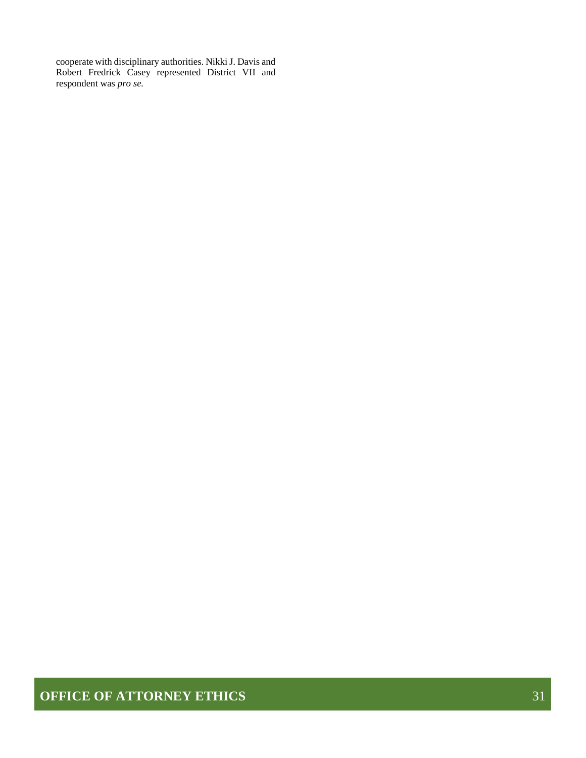cooperate with disciplinary authorities. Nikki J. Davis and Robert Fredrick Casey represented District VII and respondent was *pro se.*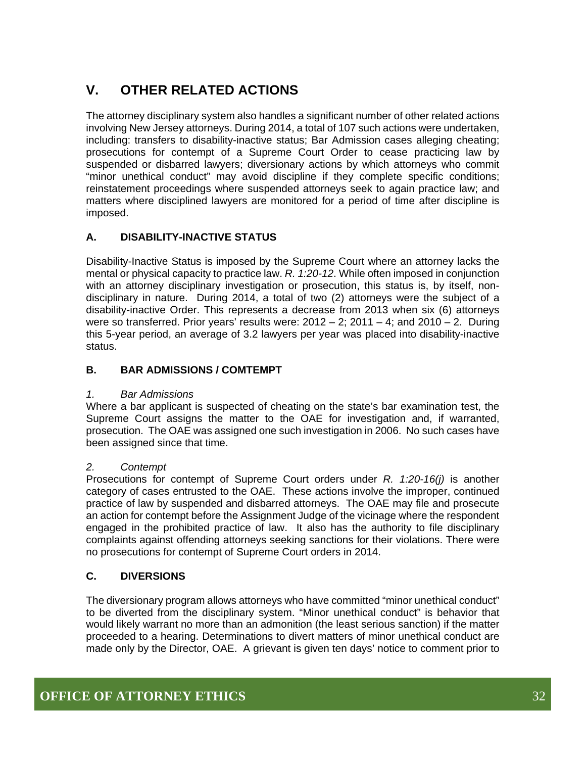## **V. OTHER RELATED ACTIONS**

The attorney disciplinary system also handles a significant number of other related actions involving New Jersey attorneys. During 2014, a total of 107 such actions were undertaken, including: transfers to disability-inactive status; Bar Admission cases alleging cheating; prosecutions for contempt of a Supreme Court Order to cease practicing law by suspended or disbarred lawyers; diversionary actions by which attorneys who commit "minor unethical conduct" may avoid discipline if they complete specific conditions; reinstatement proceedings where suspended attorneys seek to again practice law; and matters where disciplined lawyers are monitored for a period of time after discipline is imposed.

### **A. DISABILITY-INACTIVE STATUS**

Disability-Inactive Status is imposed by the Supreme Court where an attorney lacks the mental or physical capacity to practice law. *R. 1:20-12*. While often imposed in conjunction with an attorney disciplinary investigation or prosecution, this status is, by itself, nondisciplinary in nature. During 2014, a total of two (2) attorneys were the subject of a disability-inactive Order. This represents a decrease from 2013 when six (6) attorneys were so transferred. Prior years' results were:  $2012 - 2$ ;  $2011 - 4$ ; and  $2010 - 2$ . During this 5-year period, an average of 3.2 lawyers per year was placed into disability-inactive status.

#### **B. BAR ADMISSIONS / COMTEMPT**

#### *1. Bar Admissions*

Where a bar applicant is suspected of cheating on the state's bar examination test, the Supreme Court assigns the matter to the OAE for investigation and, if warranted, prosecution. The OAE was assigned one such investigation in 2006. No such cases have been assigned since that time.

#### *2. Contempt*

Prosecutions for contempt of Supreme Court orders under *R. 1:20-16(j)* is another category of cases entrusted to the OAE. These actions involve the improper, continued practice of law by suspended and disbarred attorneys. The OAE may file and prosecute an action for contempt before the Assignment Judge of the vicinage where the respondent engaged in the prohibited practice of law. It also has the authority to file disciplinary complaints against offending attorneys seeking sanctions for their violations. There were no prosecutions for contempt of Supreme Court orders in 2014.

#### **C. DIVERSIONS**

The diversionary program allows attorneys who have committed "minor unethical conduct" to be diverted from the disciplinary system. "Minor unethical conduct" is behavior that would likely warrant no more than an admonition (the least serious sanction) if the matter proceeded to a hearing. Determinations to divert matters of minor unethical conduct are made only by the Director, OAE. A grievant is given ten days' notice to comment prior to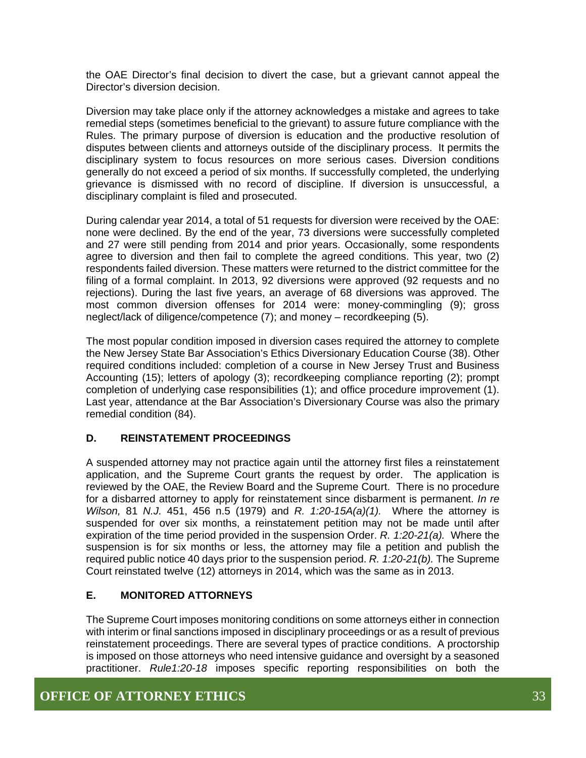the OAE Director's final decision to divert the case, but a grievant cannot appeal the Director's diversion decision.

Diversion may take place only if the attorney acknowledges a mistake and agrees to take remedial steps (sometimes beneficial to the grievant) to assure future compliance with the Rules. The primary purpose of diversion is education and the productive resolution of disputes between clients and attorneys outside of the disciplinary process. It permits the disciplinary system to focus resources on more serious cases. Diversion conditions generally do not exceed a period of six months. If successfully completed, the underlying grievance is dismissed with no record of discipline. If diversion is unsuccessful, a disciplinary complaint is filed and prosecuted.

During calendar year 2014, a total of 51 requests for diversion were received by the OAE: none were declined. By the end of the year, 73 diversions were successfully completed and 27 were still pending from 2014 and prior years. Occasionally, some respondents agree to diversion and then fail to complete the agreed conditions. This year, two (2) respondents failed diversion. These matters were returned to the district committee for the filing of a formal complaint. In 2013, 92 diversions were approved (92 requests and no rejections). During the last five years, an average of 68 diversions was approved. The most common diversion offenses for 2014 were: money-commingling (9); gross neglect/lack of diligence/competence (7); and money – recordkeeping (5).

The most popular condition imposed in diversion cases required the attorney to complete the New Jersey State Bar Association's Ethics Diversionary Education Course (38). Other required conditions included: completion of a course in New Jersey Trust and Business Accounting (15); letters of apology (3); recordkeeping compliance reporting (2); prompt completion of underlying case responsibilities (1); and office procedure improvement (1). Last year, attendance at the Bar Association's Diversionary Course was also the primary remedial condition (84).

#### **D. REINSTATEMENT PROCEEDINGS**

A suspended attorney may not practice again until the attorney first files a reinstatement application, and the Supreme Court grants the request by order. The application is reviewed by the OAE, the Review Board and the Supreme Court. There is no procedure for a disbarred attorney to apply for reinstatement since disbarment is permanent. *In re Wilson,* 81 *N.J.* 451, 456 n.5 (1979) and *R. 1:20-15A(a)(1).* Where the attorney is suspended for over six months, a reinstatement petition may not be made until after expiration of the time period provided in the suspension Order. *R. 1:20-21(a).* Where the suspension is for six months or less, the attorney may file a petition and publish the required public notice 40 days prior to the suspension period. *R. 1:20-21(b).* The Supreme Court reinstated twelve (12) attorneys in 2014, which was the same as in 2013.

#### **E. MONITORED ATTORNEYS**

The Supreme Court imposes monitoring conditions on some attorneys either in connection with interim or final sanctions imposed in disciplinary proceedings or as a result of previous reinstatement proceedings. There are several types of practice conditions. A proctorship is imposed on those attorneys who need intensive guidance and oversight by a seasoned practitioner. *Rule1:20-18* imposes specific reporting responsibilities on both the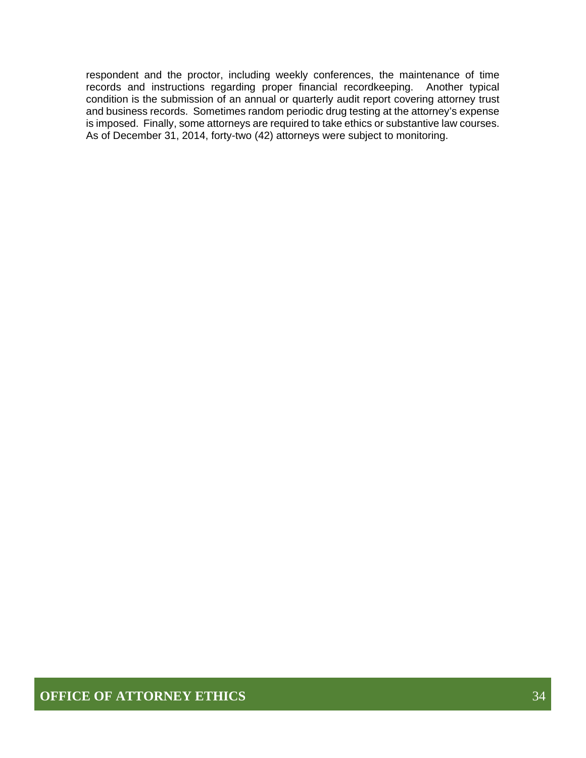respondent and the proctor, including weekly conferences, the maintenance of time records and instructions regarding proper financial recordkeeping. Another typical condition is the submission of an annual or quarterly audit report covering attorney trust and business records. Sometimes random periodic drug testing at the attorney's expense is imposed. Finally, some attorneys are required to take ethics or substantive law courses. As of December 31, 2014, forty-two (42) attorneys were subject to monitoring.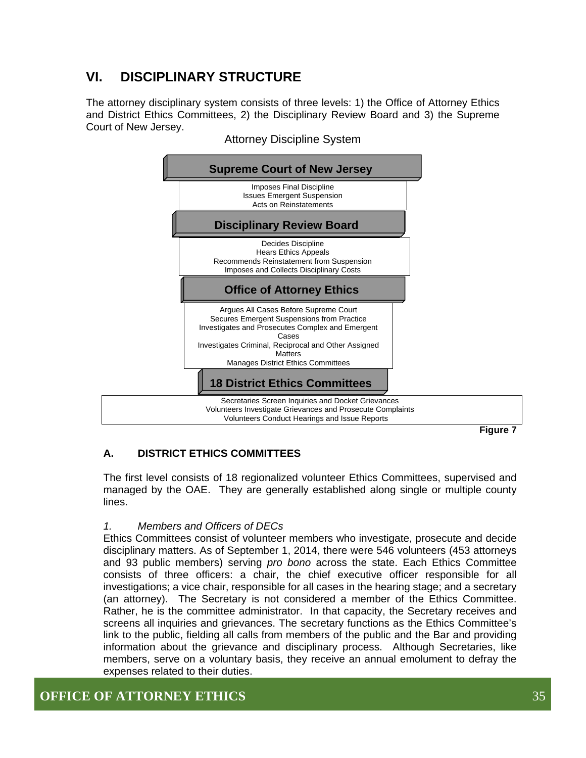## **VI. DISCIPLINARY STRUCTURE**

The attorney disciplinary system consists of three levels: 1) the Office of Attorney Ethics and District Ethics Committees, 2) the Disciplinary Review Board and 3) the Supreme Court of New Jersey.



Attorney Discipline System

**Figure 7** 

#### **A. DISTRICT ETHICS COMMITTEES**

The first level consists of 18 regionalized volunteer Ethics Committees, supervised and managed by the OAE. They are generally established along single or multiple county lines.

#### *1. Members and Officers of DECs*

Ethics Committees consist of volunteer members who investigate, prosecute and decide disciplinary matters. As of September 1, 2014, there were 546 volunteers (453 attorneys and 93 public members) serving *pro bono* across the state. Each Ethics Committee consists of three officers: a chair, the chief executive officer responsible for all investigations; a vice chair, responsible for all cases in the hearing stage; and a secretary (an attorney). The Secretary is not considered a member of the Ethics Committee. Rather, he is the committee administrator. In that capacity, the Secretary receives and screens all inquiries and grievances. The secretary functions as the Ethics Committee's link to the public, fielding all calls from members of the public and the Bar and providing information about the grievance and disciplinary process. Although Secretaries, like members, serve on a voluntary basis, they receive an annual emolument to defray the expenses related to their duties.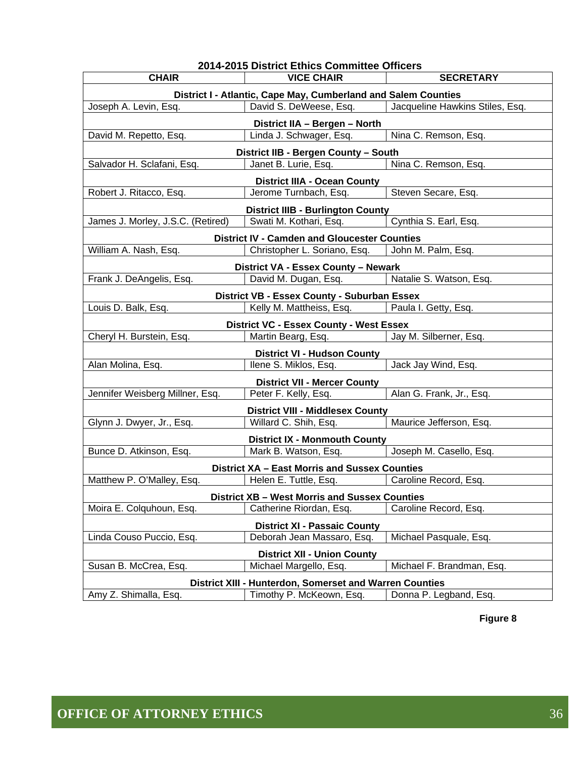| 2014-2015 District Ethics Committee Officers                               |                                                                |                                 |  |  |  |
|----------------------------------------------------------------------------|----------------------------------------------------------------|---------------------------------|--|--|--|
| <b>CHAIR</b>                                                               | <b>VICE CHAIR</b>                                              | <b>SECRETARY</b>                |  |  |  |
|                                                                            | District I - Atlantic, Cape May, Cumberland and Salem Counties |                                 |  |  |  |
| Joseph A. Levin, Esq.                                                      | David S. DeWeese, Esq.                                         | Jacqueline Hawkins Stiles, Esq. |  |  |  |
|                                                                            | District IIA - Bergen - North                                  |                                 |  |  |  |
| David M. Repetto, Esq.                                                     | Linda J. Schwager, Esq.                                        | Nina C. Remson, Esq.            |  |  |  |
|                                                                            | District IIB - Bergen County - South                           |                                 |  |  |  |
| Salvador H. Sclafani, Esq.<br>Nina C. Remson, Esq.<br>Janet B. Lurie, Esq. |                                                                |                                 |  |  |  |
|                                                                            | <b>District IIIA - Ocean County</b>                            |                                 |  |  |  |
| Robert J. Ritacco, Esq.                                                    | Jerome Turnbach, Esq.                                          | Steven Secare, Esq.             |  |  |  |
|                                                                            | <b>District IIIB - Burlington County</b>                       |                                 |  |  |  |
| James J. Morley, J.S.C. (Retired)                                          | Swati M. Kothari, Esq.                                         | Cynthia S. Earl, Esq.           |  |  |  |
|                                                                            | <b>District IV - Camden and Gloucester Counties</b>            |                                 |  |  |  |
| William A. Nash, Esq.                                                      | Christopher L. Soriano, Esq.                                   | John M. Palm, Esq.              |  |  |  |
|                                                                            | District VA - Essex County - Newark                            |                                 |  |  |  |
| Frank J. DeAngelis, Esq.                                                   | David M. Dugan, Esq.                                           | Natalie S. Watson, Esq.         |  |  |  |
|                                                                            | <b>District VB - Essex County - Suburban Essex</b>             |                                 |  |  |  |
| Louis D. Balk, Esq.                                                        | Kelly M. Mattheiss, Esq.                                       | Paula I. Getty, Esq.            |  |  |  |
|                                                                            | <b>District VC - Essex County - West Essex</b>                 |                                 |  |  |  |
| Cheryl H. Burstein, Esq.                                                   | Martin Bearg, Esq.                                             | Jay M. Silberner, Esq.          |  |  |  |
|                                                                            | <b>District VI - Hudson County</b>                             |                                 |  |  |  |
| Alan Molina, Esq.                                                          | Ilene S. Miklos, Esq.                                          | Jack Jay Wind, Esq.             |  |  |  |
|                                                                            | <b>District VII - Mercer County</b>                            |                                 |  |  |  |
| Jennifer Weisberg Millner, Esq.                                            | Peter F. Kelly, Esq.                                           | Alan G. Frank, Jr., Esq.        |  |  |  |
|                                                                            | <b>District VIII - Middlesex County</b>                        |                                 |  |  |  |
| Glynn J. Dwyer, Jr., Esq.                                                  | Willard C. Shih, Esq.                                          | Maurice Jefferson, Esq.         |  |  |  |
|                                                                            | <b>District IX - Monmouth County</b>                           |                                 |  |  |  |
| Bunce D. Atkinson, Esq.                                                    | Mark B. Watson, Esq.                                           | Joseph M. Casello, Esq.         |  |  |  |
|                                                                            | <b>District XA - East Morris and Sussex Counties</b>           |                                 |  |  |  |
| Matthew P. O'Malley, Esq.                                                  | Helen E. Tuttle, Esq.                                          | Caroline Record, Esq.           |  |  |  |
|                                                                            | <b>District XB - West Morris and Sussex Counties</b>           |                                 |  |  |  |
| Moira E. Colquhoun, Esq.                                                   | Catherine Riordan, Esq.                                        | Caroline Record, Esq.           |  |  |  |
| <b>District XI - Passaic County</b>                                        |                                                                |                                 |  |  |  |
| Linda Couso Puccio, Esq.                                                   | Deborah Jean Massaro, Esq.                                     | Michael Pasquale, Esq.          |  |  |  |
|                                                                            | <b>District XII - Union County</b>                             |                                 |  |  |  |
| Susan B. McCrea, Esq.                                                      | Michael Margello, Esq.                                         | Michael F. Brandman, Esq.       |  |  |  |
|                                                                            | District XIII - Hunterdon, Somerset and Warren Counties        |                                 |  |  |  |
| Amy Z. Shimalla, Esq.                                                      | Timothy P. McKeown, Esq.                                       | Donna P. Legband, Esq.          |  |  |  |
|                                                                            |                                                                |                                 |  |  |  |

**Figure 8**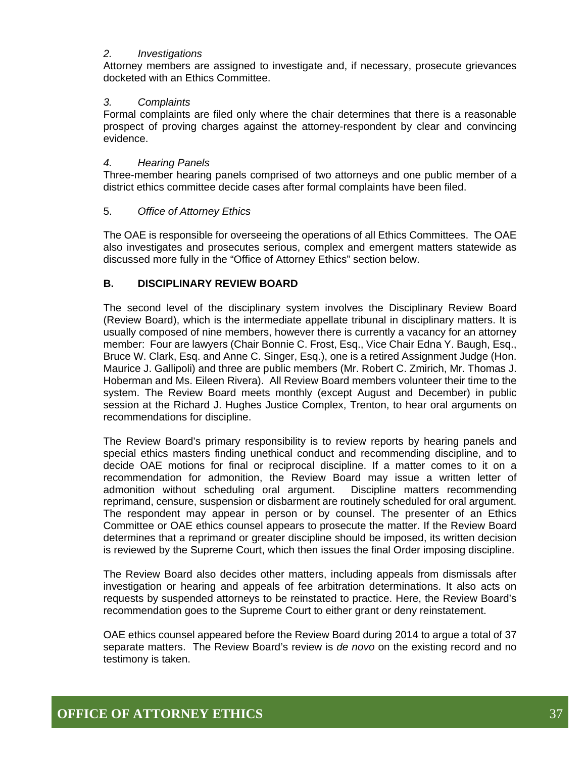#### *2. Investigations*

Attorney members are assigned to investigate and, if necessary, prosecute grievances docketed with an Ethics Committee.

#### *3. Complaints*

Formal complaints are filed only where the chair determines that there is a reasonable prospect of proving charges against the attorney-respondent by clear and convincing evidence.

#### *4. Hearing Panels*

Three-member hearing panels comprised of two attorneys and one public member of a district ethics committee decide cases after formal complaints have been filed.

#### 5. *Office of Attorney Ethics*

The OAE is responsible for overseeing the operations of all Ethics Committees. The OAE also investigates and prosecutes serious, complex and emergent matters statewide as discussed more fully in the "Office of Attorney Ethics" section below.

#### **B. DISCIPLINARY REVIEW BOARD**

The second level of the disciplinary system involves the Disciplinary Review Board (Review Board), which is the intermediate appellate tribunal in disciplinary matters. It is usually composed of nine members, however there is currently a vacancy for an attorney member: Four are lawyers (Chair Bonnie C. Frost, Esq., Vice Chair Edna Y. Baugh, Esq., Bruce W. Clark, Esq. and Anne C. Singer, Esq.), one is a retired Assignment Judge (Hon. Maurice J. Gallipoli) and three are public members (Mr. Robert C. Zmirich, Mr. Thomas J. Hoberman and Ms. Eileen Rivera). All Review Board members volunteer their time to the system. The Review Board meets monthly (except August and December) in public session at the Richard J. Hughes Justice Complex, Trenton, to hear oral arguments on recommendations for discipline.

The Review Board's primary responsibility is to review reports by hearing panels and special ethics masters finding unethical conduct and recommending discipline, and to decide OAE motions for final or reciprocal discipline. If a matter comes to it on a recommendation for admonition, the Review Board may issue a written letter of admonition without scheduling oral argument. Discipline matters recommending reprimand, censure, suspension or disbarment are routinely scheduled for oral argument. The respondent may appear in person or by counsel. The presenter of an Ethics Committee or OAE ethics counsel appears to prosecute the matter. If the Review Board determines that a reprimand or greater discipline should be imposed, its written decision is reviewed by the Supreme Court, which then issues the final Order imposing discipline.

The Review Board also decides other matters, including appeals from dismissals after investigation or hearing and appeals of fee arbitration determinations. It also acts on requests by suspended attorneys to be reinstated to practice. Here, the Review Board's recommendation goes to the Supreme Court to either grant or deny reinstatement.

OAE ethics counsel appeared before the Review Board during 2014 to argue a total of 37 separate matters. The Review Board's review is *de novo* on the existing record and no testimony is taken.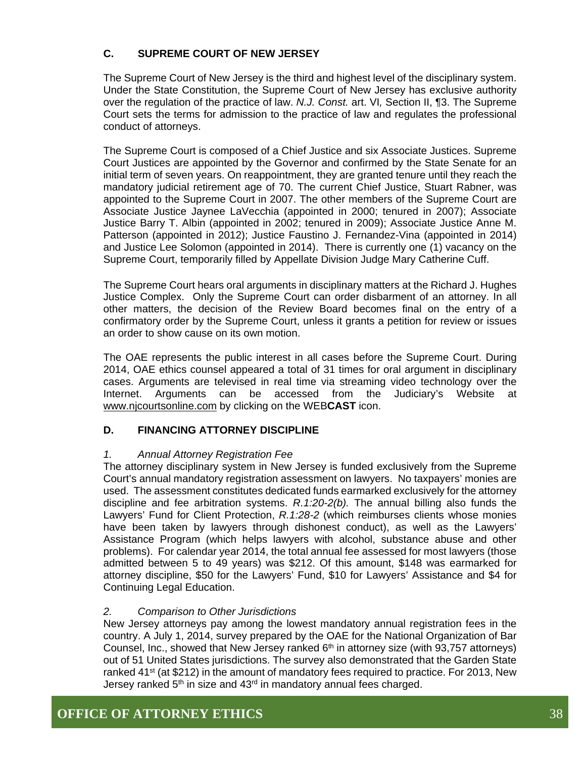#### **C. SUPREME COURT OF NEW JERSEY**

The Supreme Court of New Jersey is the third and highest level of the disciplinary system. Under the State Constitution, the Supreme Court of New Jersey has exclusive authority over the regulation of the practice of law. *N.J. Const.* art. VI*,* Section II, ¶3. The Supreme Court sets the terms for admission to the practice of law and regulates the professional conduct of attorneys.

The Supreme Court is composed of a Chief Justice and six Associate Justices. Supreme Court Justices are appointed by the Governor and confirmed by the State Senate for an initial term of seven years. On reappointment, they are granted tenure until they reach the mandatory judicial retirement age of 70. The current Chief Justice, Stuart Rabner, was appointed to the Supreme Court in 2007. The other members of the Supreme Court are Associate Justice Jaynee LaVecchia (appointed in 2000; tenured in 2007); Associate Justice Barry T. Albin (appointed in 2002; tenured in 2009); Associate Justice Anne M. Patterson (appointed in 2012); Justice Faustino J. Fernandez-Vina (appointed in 2014) and Justice Lee Solomon (appointed in 2014). There is currently one (1) vacancy on the Supreme Court, temporarily filled by Appellate Division Judge Mary Catherine Cuff.

The Supreme Court hears oral arguments in disciplinary matters at the Richard J. Hughes Justice Complex. Only the Supreme Court can order disbarment of an attorney. In all other matters, the decision of the Review Board becomes final on the entry of a confirmatory order by the Supreme Court, unless it grants a petition for review or issues an order to show cause on its own motion.

The OAE represents the public interest in all cases before the Supreme Court. During 2014, OAE ethics counsel appeared a total of 31 times for oral argument in disciplinary cases. Arguments are televised in real time via streaming video technology over the Internet. Arguments can be accessed from the Judiciary's Website at www.njcourtsonline.com by clicking on the WEB**CAST** icon.

#### **D. FINANCING ATTORNEY DISCIPLINE**

#### *1. Annual Attorney Registration Fee*

The attorney disciplinary system in New Jersey is funded exclusively from the Supreme Court's annual mandatory registration assessment on lawyers. No taxpayers' monies are used. The assessment constitutes dedicated funds earmarked exclusively for the attorney discipline and fee arbitration systems. *R.1:20-2(b).* The annual billing also funds the Lawyers' Fund for Client Protection, *R.1:28-2* (which reimburses clients whose monies have been taken by lawyers through dishonest conduct), as well as the Lawyers' Assistance Program (which helps lawyers with alcohol, substance abuse and other problems). For calendar year 2014, the total annual fee assessed for most lawyers (those admitted between 5 to 49 years) was \$212. Of this amount, \$148 was earmarked for attorney discipline, \$50 for the Lawyers' Fund, \$10 for Lawyers' Assistance and \$4 for Continuing Legal Education.

#### *2. Comparison to Other Jurisdictions*

New Jersey attorneys pay among the lowest mandatory annual registration fees in the country. A July 1, 2014, survey prepared by the OAE for the National Organization of Bar Counsel, Inc., showed that New Jersey ranked  $6<sup>th</sup>$  in attorney size (with 93,757 attorneys) out of 51 United States jurisdictions. The survey also demonstrated that the Garden State ranked  $41^{st}$  (at \$212) in the amount of mandatory fees required to practice. For 2013, New Jersey ranked  $5<sup>th</sup>$  in size and  $43<sup>rd</sup>$  in mandatory annual fees charged.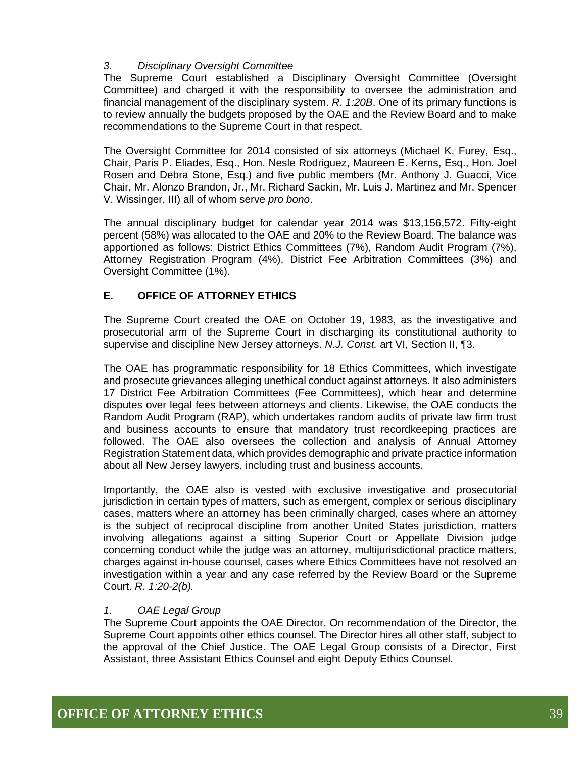#### *3. Disciplinary Oversight Committee*

The Supreme Court established a Disciplinary Oversight Committee (Oversight Committee) and charged it with the responsibility to oversee the administration and financial management of the disciplinary system. *R. 1:20B*. One of its primary functions is to review annually the budgets proposed by the OAE and the Review Board and to make recommendations to the Supreme Court in that respect.

The Oversight Committee for 2014 consisted of six attorneys (Michael K. Furey, Esq., Chair, Paris P. Eliades, Esq., Hon. Nesle Rodriguez, Maureen E. Kerns, Esq., Hon. Joel Rosen and Debra Stone, Esq.) and five public members (Mr. Anthony J. Guacci, Vice Chair, Mr. Alonzo Brandon, Jr., Mr. Richard Sackin, Mr. Luis J. Martinez and Mr. Spencer V. Wissinger, III) all of whom serve *pro bono*.

The annual disciplinary budget for calendar year 2014 was \$13,156,572. Fifty-eight percent (58%) was allocated to the OAE and 20% to the Review Board. The balance was apportioned as follows: District Ethics Committees (7%), Random Audit Program (7%), Attorney Registration Program (4%), District Fee Arbitration Committees (3%) and Oversight Committee (1%).

#### **E. OFFICE OF ATTORNEY ETHICS**

The Supreme Court created the OAE on October 19, 1983, as the investigative and prosecutorial arm of the Supreme Court in discharging its constitutional authority to supervise and discipline New Jersey attorneys. *N.J. Const.* art VI, Section II, ¶3.

The OAE has programmatic responsibility for 18 Ethics Committees, which investigate and prosecute grievances alleging unethical conduct against attorneys. It also administers 17 District Fee Arbitration Committees (Fee Committees), which hear and determine disputes over legal fees between attorneys and clients. Likewise, the OAE conducts the Random Audit Program (RAP), which undertakes random audits of private law firm trust and business accounts to ensure that mandatory trust recordkeeping practices are followed. The OAE also oversees the collection and analysis of Annual Attorney Registration Statement data, which provides demographic and private practice information about all New Jersey lawyers, including trust and business accounts.

Importantly, the OAE also is vested with exclusive investigative and prosecutorial jurisdiction in certain types of matters, such as emergent, complex or serious disciplinary cases, matters where an attorney has been criminally charged, cases where an attorney is the subject of reciprocal discipline from another United States jurisdiction, matters involving allegations against a sitting Superior Court or Appellate Division judge concerning conduct while the judge was an attorney, multijurisdictional practice matters, charges against in-house counsel, cases where Ethics Committees have not resolved an investigation within a year and any case referred by the Review Board or the Supreme Court. *R. 1:20-2(b).* 

#### *1. OAE Legal Group*

The Supreme Court appoints the OAE Director. On recommendation of the Director, the Supreme Court appoints other ethics counsel. The Director hires all other staff, subject to the approval of the Chief Justice. The OAE Legal Group consists of a Director, First Assistant, three Assistant Ethics Counsel and eight Deputy Ethics Counsel.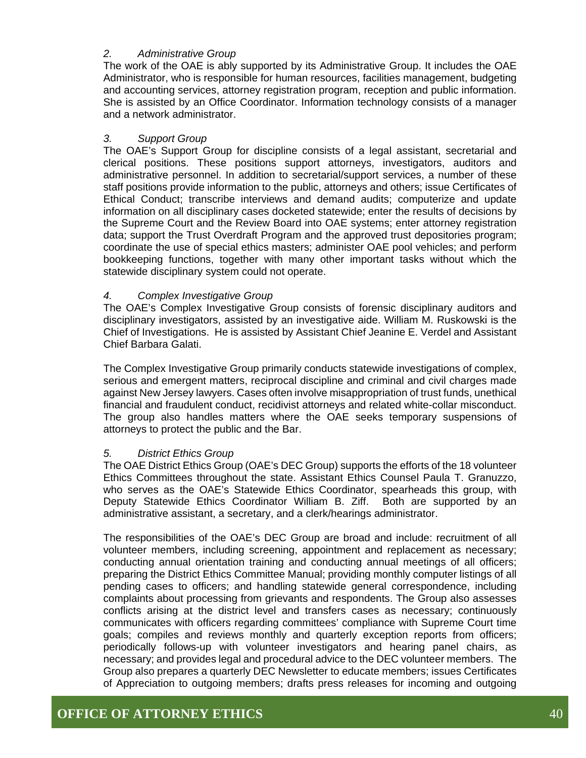#### *2. Administrative Group*

The work of the OAE is ably supported by its Administrative Group. It includes the OAE Administrator, who is responsible for human resources, facilities management, budgeting and accounting services, attorney registration program, reception and public information. She is assisted by an Office Coordinator. Information technology consists of a manager and a network administrator.

#### *3. Support Group*

The OAE's Support Group for discipline consists of a legal assistant, secretarial and clerical positions. These positions support attorneys, investigators, auditors and administrative personnel. In addition to secretarial/support services, a number of these staff positions provide information to the public, attorneys and others; issue Certificates of Ethical Conduct; transcribe interviews and demand audits; computerize and update information on all disciplinary cases docketed statewide; enter the results of decisions by the Supreme Court and the Review Board into OAE systems; enter attorney registration data; support the Trust Overdraft Program and the approved trust depositories program; coordinate the use of special ethics masters; administer OAE pool vehicles; and perform bookkeeping functions, together with many other important tasks without which the statewide disciplinary system could not operate.

#### *4. Complex Investigative Group*

The OAE's Complex Investigative Group consists of forensic disciplinary auditors and disciplinary investigators, assisted by an investigative aide. William M. Ruskowski is the Chief of Investigations. He is assisted by Assistant Chief Jeanine E. Verdel and Assistant Chief Barbara Galati.

The Complex Investigative Group primarily conducts statewide investigations of complex, serious and emergent matters, reciprocal discipline and criminal and civil charges made against New Jersey lawyers. Cases often involve misappropriation of trust funds, unethical financial and fraudulent conduct, recidivist attorneys and related white-collar misconduct. The group also handles matters where the OAE seeks temporary suspensions of attorneys to protect the public and the Bar.

#### *5. District Ethics Group*

The OAE District Ethics Group (OAE's DEC Group) supports the efforts of the 18 volunteer Ethics Committees throughout the state. Assistant Ethics Counsel Paula T. Granuzzo, who serves as the OAE's Statewide Ethics Coordinator, spearheads this group, with Deputy Statewide Ethics Coordinator William B. Ziff. Both are supported by an administrative assistant, a secretary, and a clerk/hearings administrator.

The responsibilities of the OAE's DEC Group are broad and include: recruitment of all volunteer members, including screening, appointment and replacement as necessary; conducting annual orientation training and conducting annual meetings of all officers; preparing the District Ethics Committee Manual; providing monthly computer listings of all pending cases to officers; and handling statewide general correspondence, including complaints about processing from grievants and respondents. The Group also assesses conflicts arising at the district level and transfers cases as necessary; continuously communicates with officers regarding committees' compliance with Supreme Court time goals; compiles and reviews monthly and quarterly exception reports from officers; periodically follows-up with volunteer investigators and hearing panel chairs, as necessary; and provides legal and procedural advice to the DEC volunteer members. The Group also prepares a quarterly DEC Newsletter to educate members; issues Certificates of Appreciation to outgoing members; drafts press releases for incoming and outgoing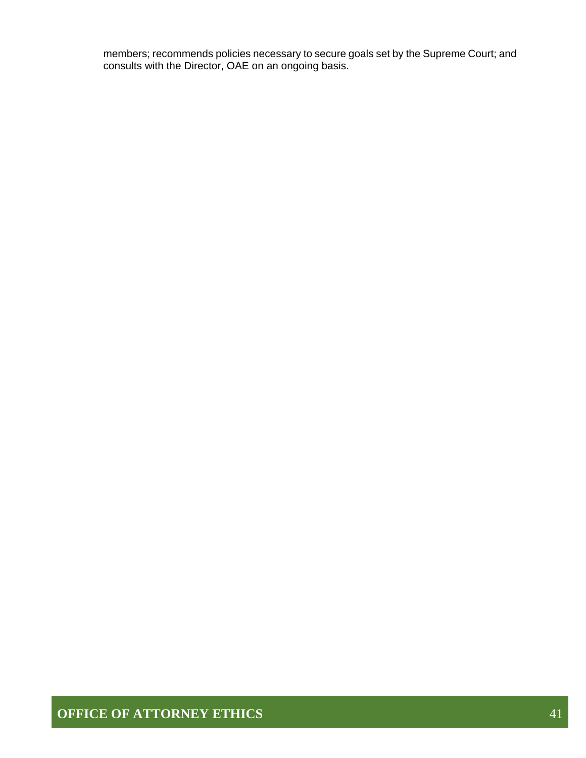members; recommends policies necessary to secure goals set by the Supreme Court; and consults with the Director, OAE on an ongoing basis.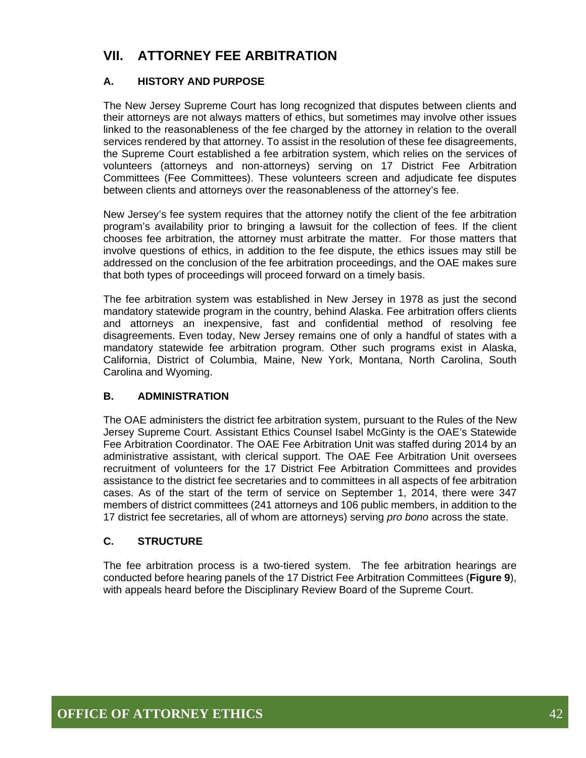## **VII. ATTORNEY FEE ARBITRATION**

#### **A. HISTORY AND PURPOSE**

The New Jersey Supreme Court has long recognized that disputes between clients and their attorneys are not always matters of ethics, but sometimes may involve other issues linked to the reasonableness of the fee charged by the attorney in relation to the overall services rendered by that attorney. To assist in the resolution of these fee disagreements, the Supreme Court established a fee arbitration system, which relies on the services of volunteers (attorneys and non-attorneys) serving on 17 District Fee Arbitration Committees (Fee Committees). These volunteers screen and adjudicate fee disputes between clients and attorneys over the reasonableness of the attorney's fee.

New Jersey's fee system requires that the attorney notify the client of the fee arbitration program's availability prior to bringing a lawsuit for the collection of fees. If the client chooses fee arbitration, the attorney must arbitrate the matter. For those matters that involve questions of ethics, in addition to the fee dispute, the ethics issues may still be addressed on the conclusion of the fee arbitration proceedings, and the OAE makes sure that both types of proceedings will proceed forward on a timely basis.

The fee arbitration system was established in New Jersey in 1978 as just the second mandatory statewide program in the country, behind Alaska. Fee arbitration offers clients and attorneys an inexpensive, fast and confidential method of resolving fee disagreements. Even today, New Jersey remains one of only a handful of states with a mandatory statewide fee arbitration program. Other such programs exist in Alaska, California, District of Columbia, Maine, New York, Montana, North Carolina, South Carolina and Wyoming.

#### **B. ADMINISTRATION**

The OAE administers the district fee arbitration system, pursuant to the Rules of the New Jersey Supreme Court. Assistant Ethics Counsel Isabel McGinty is the OAE's Statewide Fee Arbitration Coordinator. The OAE Fee Arbitration Unit was staffed during 2014 by an administrative assistant, with clerical support. The OAE Fee Arbitration Unit oversees recruitment of volunteers for the 17 District Fee Arbitration Committees and provides assistance to the district fee secretaries and to committees in all aspects of fee arbitration cases. As of the start of the term of service on September 1, 2014, there were 347 members of district committees (241 attorneys and 106 public members, in addition to the 17 district fee secretaries, all of whom are attorneys) serving *pro bono* across the state.

#### **C. STRUCTURE**

The fee arbitration process is a two-tiered system. The fee arbitration hearings are conducted before hearing panels of the 17 District Fee Arbitration Committees (**Figure 9**), with appeals heard before the Disciplinary Review Board of the Supreme Court.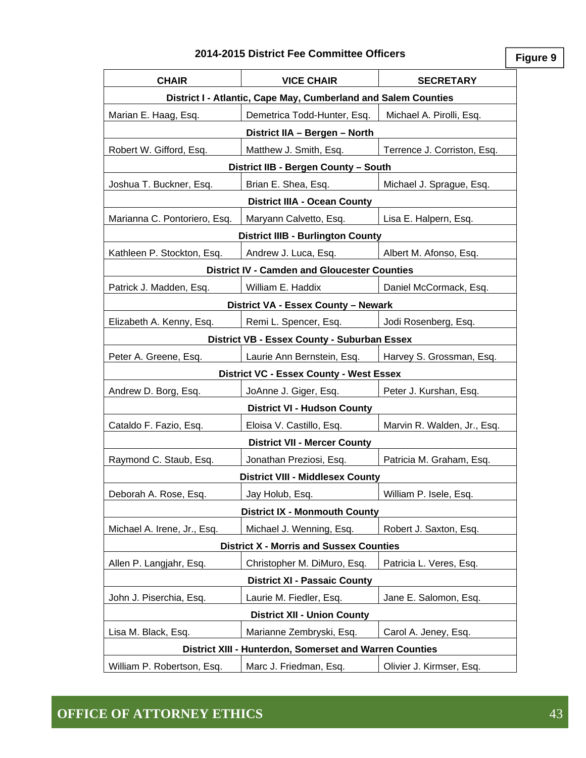#### **2014-2015 District Fee Committee Officers**

**Figure 9**

| <b>CHAIR</b>                                                   | <b>VICE CHAIR</b>                                       | <b>SECRETARY</b>            |  |  |  |  |
|----------------------------------------------------------------|---------------------------------------------------------|-----------------------------|--|--|--|--|
| District I - Atlantic, Cape May, Cumberland and Salem Counties |                                                         |                             |  |  |  |  |
| Marian E. Haag, Esq.                                           | Demetrica Todd-Hunter, Esq.                             | Michael A. Pirolli, Esq.    |  |  |  |  |
| District IIA - Bergen - North                                  |                                                         |                             |  |  |  |  |
| Robert W. Gifford, Esq.                                        | Matthew J. Smith, Esq.                                  | Terrence J. Corriston, Esq. |  |  |  |  |
| District IIB - Bergen County - South                           |                                                         |                             |  |  |  |  |
| Joshua T. Buckner, Esq.                                        | Brian E. Shea, Esq.                                     | Michael J. Sprague, Esq.    |  |  |  |  |
| <b>District IIIA - Ocean County</b>                            |                                                         |                             |  |  |  |  |
| Marianna C. Pontoriero, Esq.                                   | Maryann Calvetto, Esq.                                  | Lisa E. Halpern, Esq.       |  |  |  |  |
|                                                                | <b>District IIIB - Burlington County</b>                |                             |  |  |  |  |
| Kathleen P. Stockton, Esq.                                     | Andrew J. Luca, Esq.                                    | Albert M. Afonso, Esq.      |  |  |  |  |
|                                                                | <b>District IV - Camden and Gloucester Counties</b>     |                             |  |  |  |  |
| Patrick J. Madden, Esq.                                        | William E. Haddix                                       | Daniel McCormack, Esq.      |  |  |  |  |
|                                                                | District VA - Essex County - Newark                     |                             |  |  |  |  |
| Elizabeth A. Kenny, Esq.                                       | Remi L. Spencer, Esq.                                   | Jodi Rosenberg, Esq.        |  |  |  |  |
|                                                                | District VB - Essex County - Suburban Essex             |                             |  |  |  |  |
| Peter A. Greene, Esq.                                          | Laurie Ann Bernstein, Esq.                              | Harvey S. Grossman, Esq.    |  |  |  |  |
|                                                                | <b>District VC - Essex County - West Essex</b>          |                             |  |  |  |  |
| Andrew D. Borg, Esq.                                           | JoAnne J. Giger, Esq.                                   | Peter J. Kurshan, Esq.      |  |  |  |  |
|                                                                | <b>District VI - Hudson County</b>                      |                             |  |  |  |  |
| Cataldo F. Fazio, Esq.                                         | Eloisa V. Castillo, Esq.                                | Marvin R. Walden, Jr., Esq. |  |  |  |  |
|                                                                | <b>District VII - Mercer County</b>                     |                             |  |  |  |  |
| Raymond C. Staub, Esq.                                         | Jonathan Preziosi, Esq.                                 | Patricia M. Graham, Esq.    |  |  |  |  |
|                                                                | <b>District VIII - Middlesex County</b>                 |                             |  |  |  |  |
| Deborah A. Rose, Esq.                                          | Jay Holub, Esq.                                         | William P. Isele, Esq.      |  |  |  |  |
|                                                                | <b>District IX - Monmouth County</b>                    |                             |  |  |  |  |
| Michael A. Irene, Jr., Esq.                                    | Michael J. Wenning, Esq.                                | Robert J. Saxton, Esq.      |  |  |  |  |
|                                                                | <b>District X - Morris and Sussex Counties</b>          |                             |  |  |  |  |
| Allen P. Langjahr, Esq.                                        | Christopher M. DiMuro, Esq.                             | Patricia L. Veres, Esq.     |  |  |  |  |
|                                                                | <b>District XI - Passaic County</b>                     |                             |  |  |  |  |
| John J. Piserchia, Esq.                                        | Laurie M. Fiedler, Esq.                                 | Jane E. Salomon, Esq.       |  |  |  |  |
|                                                                | <b>District XII - Union County</b>                      |                             |  |  |  |  |
| Lisa M. Black, Esq.                                            | Marianne Zembryski, Esq.                                | Carol A. Jeney, Esq.        |  |  |  |  |
|                                                                | District XIII - Hunterdon, Somerset and Warren Counties |                             |  |  |  |  |
| William P. Robertson, Esq.                                     | Marc J. Friedman, Esq.                                  | Olivier J. Kirmser, Esq.    |  |  |  |  |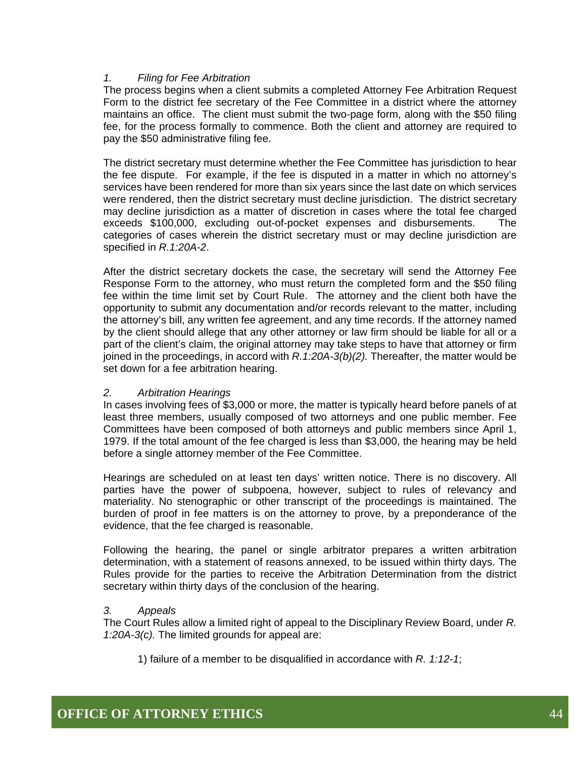#### *1. Filing for Fee Arbitration*

The process begins when a client submits a completed Attorney Fee Arbitration Request Form to the district fee secretary of the Fee Committee in a district where the attorney maintains an office. The client must submit the two-page form, along with the \$50 filing fee, for the process formally to commence. Both the client and attorney are required to pay the \$50 administrative filing fee.

The district secretary must determine whether the Fee Committee has jurisdiction to hear the fee dispute. For example, if the fee is disputed in a matter in which no attorney's services have been rendered for more than six years since the last date on which services were rendered, then the district secretary must decline jurisdiction. The district secretary may decline jurisdiction as a matter of discretion in cases where the total fee charged exceeds \$100,000, excluding out-of-pocket expenses and disbursements. The categories of cases wherein the district secretary must or may decline jurisdiction are specified in *R.1:20A-2*.

After the district secretary dockets the case, the secretary will send the Attorney Fee Response Form to the attorney, who must return the completed form and the \$50 filing fee within the time limit set by Court Rule. The attorney and the client both have the opportunity to submit any documentation and/or records relevant to the matter, including the attorney's bill, any written fee agreement, and any time records. If the attorney named by the client should allege that any other attorney or law firm should be liable for all or a part of the client's claim, the original attorney may take steps to have that attorney or firm joined in the proceedings, in accord with *R.1:20A-3(b)(2).* Thereafter, the matter would be set down for a fee arbitration hearing.

#### *2. Arbitration Hearings*

In cases involving fees of \$3,000 or more, the matter is typically heard before panels of at least three members, usually composed of two attorneys and one public member. Fee Committees have been composed of both attorneys and public members since April 1, 1979. If the total amount of the fee charged is less than \$3,000, the hearing may be held before a single attorney member of the Fee Committee.

Hearings are scheduled on at least ten days' written notice. There is no discovery. All parties have the power of subpoena, however, subject to rules of relevancy and materiality. No stenographic or other transcript of the proceedings is maintained. The burden of proof in fee matters is on the attorney to prove, by a preponderance of the evidence, that the fee charged is reasonable.

Following the hearing, the panel or single arbitrator prepares a written arbitration determination, with a statement of reasons annexed, to be issued within thirty days. The Rules provide for the parties to receive the Arbitration Determination from the district secretary within thirty days of the conclusion of the hearing.

#### *3. Appeals*

The Court Rules allow a limited right of appeal to the Disciplinary Review Board, under *R. 1:20A-3(c).* The limited grounds for appeal are:

1) failure of a member to be disqualified in accordance with *R. 1:12-1*;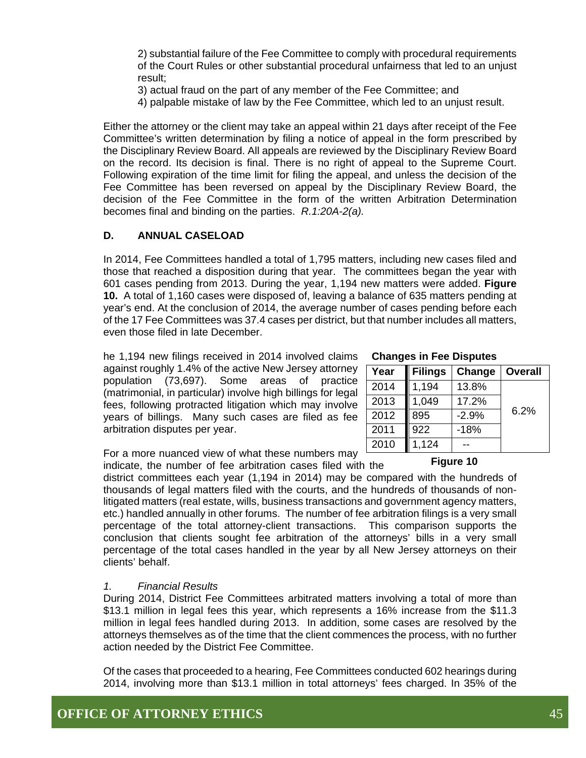2) substantial failure of the Fee Committee to comply with procedural requirements of the Court Rules or other substantial procedural unfairness that led to an unjust result;

- 3) actual fraud on the part of any member of the Fee Committee; and
- 4) palpable mistake of law by the Fee Committee, which led to an unjust result.

Either the attorney or the client may take an appeal within 21 days after receipt of the Fee Committee's written determination by filing a notice of appeal in the form prescribed by the Disciplinary Review Board. All appeals are reviewed by the Disciplinary Review Board on the record. Its decision is final. There is no right of appeal to the Supreme Court. Following expiration of the time limit for filing the appeal, and unless the decision of the Fee Committee has been reversed on appeal by the Disciplinary Review Board, the decision of the Fee Committee in the form of the written Arbitration Determination becomes final and binding on the parties. *R.1:20A-2(a).*

#### **D. ANNUAL CASELOAD**

In 2014, Fee Committees handled a total of 1,795 matters, including new cases filed and those that reached a disposition during that year. The committees began the year with 601 cases pending from 2013. During the year, 1,194 new matters were added. **Figure 10.** A total of 1,160 cases were disposed of, leaving a balance of 635 matters pending at year's end. At the conclusion of 2014, the average number of cases pending before each of the 17 Fee Committees was 37.4 cases per district, but that number includes all matters, even those filed in late December.

he 1,194 new filings received in 2014 involved claims against roughly 1.4% of the active New Jersey attorney population (73,697). Some areas of practice (matrimonial, in particular) involve high billings for legal fees, following protracted litigation which may involve years of billings. Many such cases are filed as fee arbitration disputes per year.

For a more nuanced view of what these numbers may indicate, the number of fee arbitration cases filed with the

district committees each year (1,194 in 2014) may be compared with the hundreds of thousands of legal matters filed with the courts, and the hundreds of thousands of nonlitigated matters (real estate, wills, business transactions and government agency matters, etc.) handled annually in other forums. The number of fee arbitration filings is a very small percentage of the total attorney-client transactions. This comparison supports the conclusion that clients sought fee arbitration of the attorneys' bills in a very small percentage of the total cases handled in the year by all New Jersey attorneys on their clients' behalf.

#### *1. Financial Results*

During 2014, District Fee Committees arbitrated matters involving a total of more than \$13.1 million in legal fees this year, which represents a 16% increase from the \$11.3 million in legal fees handled during 2013. In addition, some cases are resolved by the attorneys themselves as of the time that the client commences the process, with no further action needed by the District Fee Committee.

Of the cases that proceeded to a hearing, Fee Committees conducted 602 hearings during 2014, involving more than \$13.1 million in total attorneys' fees charged. In 35% of the

**Changes in Fee Disputes** 

| Year | <b>Filings</b> | Change  | <b>Overall</b> |
|------|----------------|---------|----------------|
| 2014 | 1,194          | 13.8%   |                |
| 2013 | 1,049          | 17.2%   |                |
| 2012 | 895            | $-2.9%$ | 6.2%           |
| 2011 | 922            | -18%    |                |
| 2010 | 1,124          |         |                |

#### **Figure 10**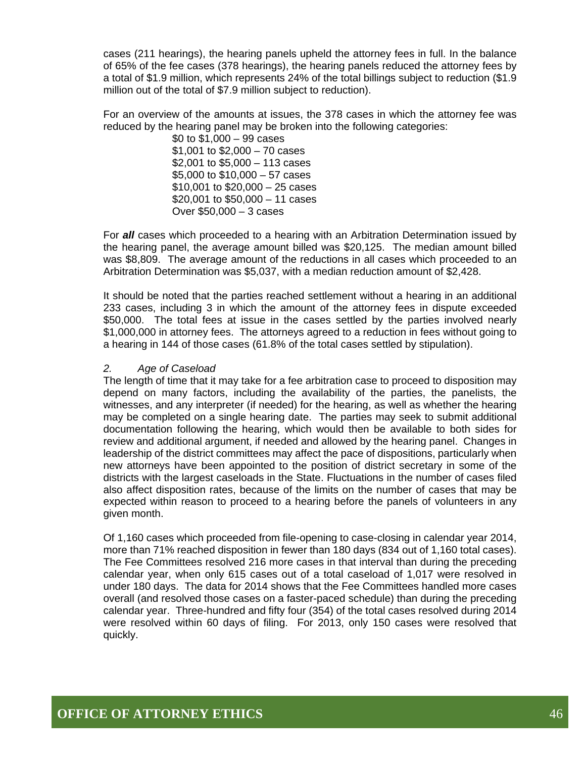cases (211 hearings), the hearing panels upheld the attorney fees in full. In the balance of 65% of the fee cases (378 hearings), the hearing panels reduced the attorney fees by a total of \$1.9 million, which represents 24% of the total billings subject to reduction (\$1.9 million out of the total of \$7.9 million subject to reduction).

For an overview of the amounts at issues, the 378 cases in which the attorney fee was reduced by the hearing panel may be broken into the following categories:

> \$0 to \$1,000 – 99 cases \$1,001 to \$2,000 – 70 cases \$2,001 to \$5,000 – 113 cases \$5,000 to \$10,000 – 57 cases \$10,001 to \$20,000 – 25 cases \$20,001 to \$50,000 – 11 cases Over \$50,000 – 3 cases

For *all* cases which proceeded to a hearing with an Arbitration Determination issued by the hearing panel, the average amount billed was \$20,125. The median amount billed was \$8,809. The average amount of the reductions in all cases which proceeded to an Arbitration Determination was \$5,037, with a median reduction amount of \$2,428.

It should be noted that the parties reached settlement without a hearing in an additional 233 cases, including 3 in which the amount of the attorney fees in dispute exceeded \$50,000. The total fees at issue in the cases settled by the parties involved nearly \$1,000,000 in attorney fees. The attorneys agreed to a reduction in fees without going to a hearing in 144 of those cases (61.8% of the total cases settled by stipulation).

#### *2. Age of Caseload*

The length of time that it may take for a fee arbitration case to proceed to disposition may depend on many factors, including the availability of the parties, the panelists, the witnesses, and any interpreter (if needed) for the hearing, as well as whether the hearing may be completed on a single hearing date. The parties may seek to submit additional documentation following the hearing, which would then be available to both sides for review and additional argument, if needed and allowed by the hearing panel. Changes in leadership of the district committees may affect the pace of dispositions, particularly when new attorneys have been appointed to the position of district secretary in some of the districts with the largest caseloads in the State. Fluctuations in the number of cases filed also affect disposition rates, because of the limits on the number of cases that may be expected within reason to proceed to a hearing before the panels of volunteers in any given month.

Of 1,160 cases which proceeded from file-opening to case-closing in calendar year 2014, more than 71% reached disposition in fewer than 180 days (834 out of 1,160 total cases). The Fee Committees resolved 216 more cases in that interval than during the preceding calendar year, when only 615 cases out of a total caseload of 1,017 were resolved in under 180 days. The data for 2014 shows that the Fee Committees handled more cases overall (and resolved those cases on a faster-paced schedule) than during the preceding calendar year. Three-hundred and fifty four (354) of the total cases resolved during 2014 were resolved within 60 days of filing. For 2013, only 150 cases were resolved that quickly.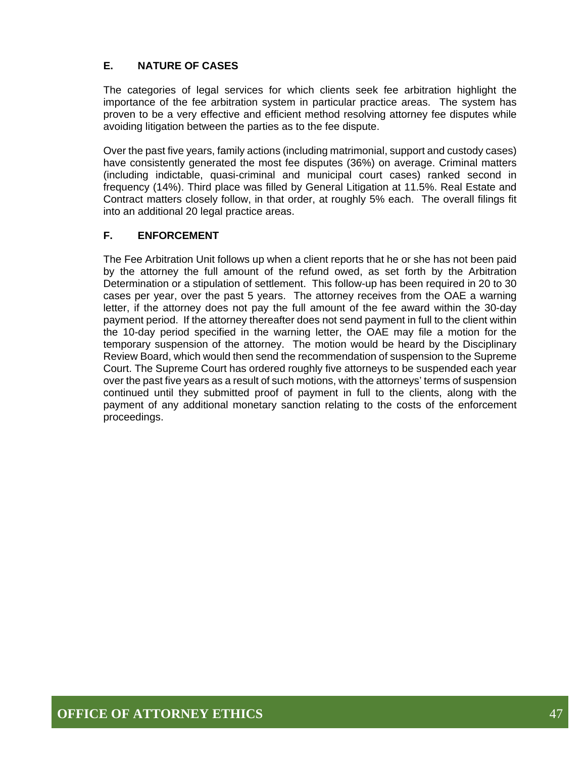#### **E. NATURE OF CASES**

The categories of legal services for which clients seek fee arbitration highlight the importance of the fee arbitration system in particular practice areas. The system has proven to be a very effective and efficient method resolving attorney fee disputes while avoiding litigation between the parties as to the fee dispute.

Over the past five years, family actions (including matrimonial, support and custody cases) have consistently generated the most fee disputes (36%) on average. Criminal matters (including indictable, quasi-criminal and municipal court cases) ranked second in frequency (14%). Third place was filled by General Litigation at 11.5%. Real Estate and Contract matters closely follow, in that order, at roughly 5% each. The overall filings fit into an additional 20 legal practice areas.

#### **F. ENFORCEMENT**

The Fee Arbitration Unit follows up when a client reports that he or she has not been paid by the attorney the full amount of the refund owed, as set forth by the Arbitration Determination or a stipulation of settlement. This follow-up has been required in 20 to 30 cases per year, over the past 5 years. The attorney receives from the OAE a warning letter, if the attorney does not pay the full amount of the fee award within the 30-day payment period. If the attorney thereafter does not send payment in full to the client within the 10-day period specified in the warning letter, the OAE may file a motion for the temporary suspension of the attorney. The motion would be heard by the Disciplinary Review Board, which would then send the recommendation of suspension to the Supreme Court. The Supreme Court has ordered roughly five attorneys to be suspended each year over the past five years as a result of such motions, with the attorneys' terms of suspension continued until they submitted proof of payment in full to the clients, along with the payment of any additional monetary sanction relating to the costs of the enforcement proceedings.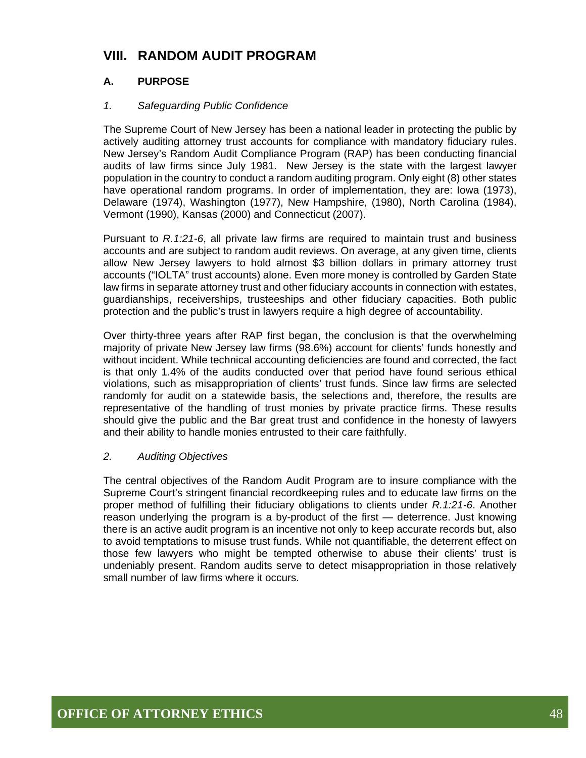## **VIII. RANDOM AUDIT PROGRAM**

#### **A. PURPOSE**

#### *1. Safeguarding Public Confidence*

The Supreme Court of New Jersey has been a national leader in protecting the public by actively auditing attorney trust accounts for compliance with mandatory fiduciary rules. New Jersey's Random Audit Compliance Program (RAP) has been conducting financial audits of law firms since July 1981. New Jersey is the state with the largest lawyer population in the country to conduct a random auditing program. Only eight (8) other states have operational random programs. In order of implementation, they are: Iowa (1973), Delaware (1974), Washington (1977), New Hampshire, (1980), North Carolina (1984), Vermont (1990), Kansas (2000) and Connecticut (2007).

Pursuant to *R.1:21-6*, all private law firms are required to maintain trust and business accounts and are subject to random audit reviews. On average, at any given time, clients allow New Jersey lawyers to hold almost \$3 billion dollars in primary attorney trust accounts ("IOLTA" trust accounts) alone. Even more money is controlled by Garden State law firms in separate attorney trust and other fiduciary accounts in connection with estates, guardianships, receiverships, trusteeships and other fiduciary capacities. Both public protection and the public's trust in lawyers require a high degree of accountability.

Over thirty-three years after RAP first began, the conclusion is that the overwhelming majority of private New Jersey law firms (98.6%) account for clients' funds honestly and without incident. While technical accounting deficiencies are found and corrected, the fact is that only 1.4% of the audits conducted over that period have found serious ethical violations, such as misappropriation of clients' trust funds. Since law firms are selected randomly for audit on a statewide basis, the selections and, therefore, the results are representative of the handling of trust monies by private practice firms. These results should give the public and the Bar great trust and confidence in the honesty of lawyers and their ability to handle monies entrusted to their care faithfully.

#### *2. Auditing Objectives*

The central objectives of the Random Audit Program are to insure compliance with the Supreme Court's stringent financial recordkeeping rules and to educate law firms on the proper method of fulfilling their fiduciary obligations to clients under *R.1:21-6*. Another reason underlying the program is a by-product of the first — deterrence. Just knowing there is an active audit program is an incentive not only to keep accurate records but, also to avoid temptations to misuse trust funds. While not quantifiable, the deterrent effect on those few lawyers who might be tempted otherwise to abuse their clients' trust is undeniably present. Random audits serve to detect misappropriation in those relatively small number of law firms where it occurs.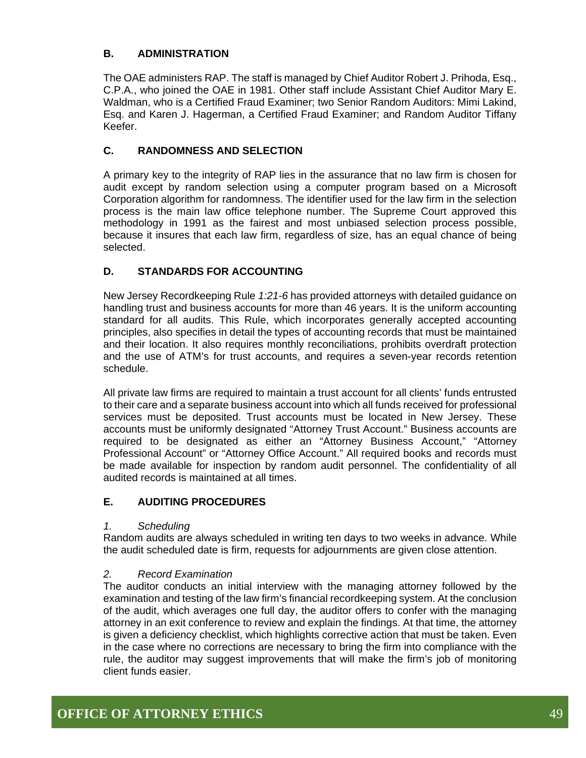#### **B. ADMINISTRATION**

The OAE administers RAP. The staff is managed by Chief Auditor Robert J. Prihoda, Esq., C.P.A., who joined the OAE in 1981. Other staff include Assistant Chief Auditor Mary E. Waldman, who is a Certified Fraud Examiner; two Senior Random Auditors: Mimi Lakind, Esq. and Karen J. Hagerman, a Certified Fraud Examiner; and Random Auditor Tiffany Keefer.

#### **C. RANDOMNESS AND SELECTION**

A primary key to the integrity of RAP lies in the assurance that no law firm is chosen for audit except by random selection using a computer program based on a Microsoft Corporation algorithm for randomness. The identifier used for the law firm in the selection process is the main law office telephone number. The Supreme Court approved this methodology in 1991 as the fairest and most unbiased selection process possible, because it insures that each law firm, regardless of size, has an equal chance of being selected.

#### **D. STANDARDS FOR ACCOUNTING**

New Jersey Recordkeeping Rule *1:21-6* has provided attorneys with detailed guidance on handling trust and business accounts for more than 46 years. It is the uniform accounting standard for all audits. This Rule, which incorporates generally accepted accounting principles, also specifies in detail the types of accounting records that must be maintained and their location. It also requires monthly reconciliations, prohibits overdraft protection and the use of ATM's for trust accounts, and requires a seven-year records retention schedule.

All private law firms are required to maintain a trust account for all clients' funds entrusted to their care and a separate business account into which all funds received for professional services must be deposited. Trust accounts must be located in New Jersey. These accounts must be uniformly designated "Attorney Trust Account." Business accounts are required to be designated as either an "Attorney Business Account," "Attorney Professional Account" or "Attorney Office Account." All required books and records must be made available for inspection by random audit personnel. The confidentiality of all audited records is maintained at all times.

#### **E. AUDITING PROCEDURES**

#### *1. Scheduling*

Random audits are always scheduled in writing ten days to two weeks in advance. While the audit scheduled date is firm, requests for adjournments are given close attention.

#### *2. Record Examination*

The auditor conducts an initial interview with the managing attorney followed by the examination and testing of the law firm's financial recordkeeping system. At the conclusion of the audit, which averages one full day, the auditor offers to confer with the managing attorney in an exit conference to review and explain the findings. At that time, the attorney is given a deficiency checklist, which highlights corrective action that must be taken. Even in the case where no corrections are necessary to bring the firm into compliance with the rule, the auditor may suggest improvements that will make the firm's job of monitoring client funds easier.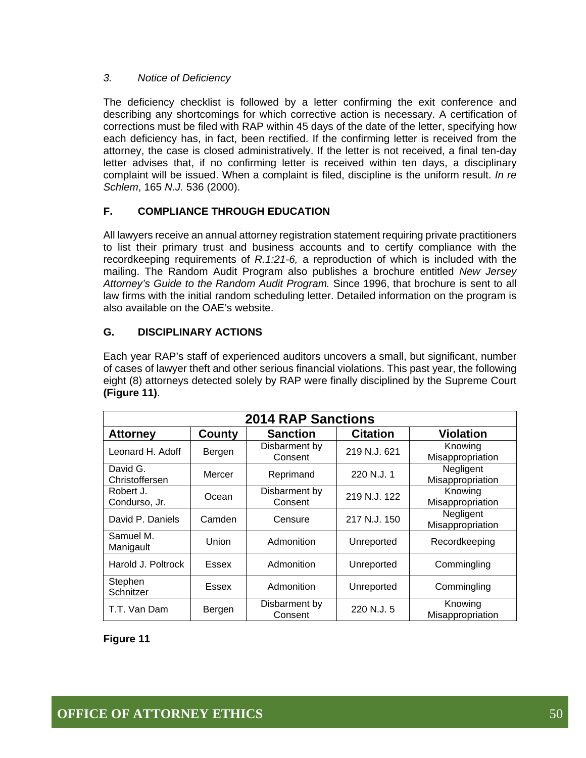#### *3. Notice of Deficiency*

The deficiency checklist is followed by a letter confirming the exit conference and describing any shortcomings for which corrective action is necessary. A certification of corrections must be filed with RAP within 45 days of the date of the letter, specifying how each deficiency has, in fact, been rectified. If the confirming letter is received from the attorney, the case is closed administratively. If the letter is not received, a final ten-day letter advises that, if no confirming letter is received within ten days, a disciplinary complaint will be issued. When a complaint is filed, discipline is the uniform result. *In re Schlem*, 165 *N.J.* 536 (2000).

#### **F. COMPLIANCE THROUGH EDUCATION**

All lawyers receive an annual attorney registration statement requiring private practitioners to list their primary trust and business accounts and to certify compliance with the recordkeeping requirements of *R.1:21-6,* a reproduction of which is included with the mailing. The Random Audit Program also publishes a brochure entitled *New Jersey Attorney's Guide to the Random Audit Program.* Since 1996, that brochure is sent to all law firms with the initial random scheduling letter. Detailed information on the program is also available on the OAE's website.

#### **G. DISCIPLINARY ACTIONS**

Each year RAP's staff of experienced auditors uncovers a small, but significant, number of cases of lawyer theft and other serious financial violations. This past year, the following eight (8) attorneys detected solely by RAP were finally disciplined by the Supreme Court **(Figure 11)**.

| <b>2014 RAP Sanctions</b>  |        |                          |                 |                               |
|----------------------------|--------|--------------------------|-----------------|-------------------------------|
| <b>Attorney</b>            | County | <b>Sanction</b>          | <b>Citation</b> | <b>Violation</b>              |
| Leonard H. Adoff           | Bergen | Disbarment by<br>Consent | 219 N.J. 621    | Knowing<br>Misappropriation   |
| David G.<br>Christoffersen | Mercer | Reprimand                | 220 N.J. 1      | Negligent<br>Misappropriation |
| Robert J.<br>Condurso, Jr. | Ocean  | Disbarment by<br>Consent | 219 N.J. 122    | Knowing<br>Misappropriation   |
| David P. Daniels           | Camden | Censure                  | 217 N.J. 150    | Negligent<br>Misappropriation |
| Samuel M.<br>Manigault     | Union  | Admonition               | Unreported      | Recordkeeping                 |
| Harold J. Poltrock         | Essex  | Admonition               | Unreported      | Commingling                   |
| Stephen<br>Schnitzer       | Essex  | Admonition               | Unreported      | Commingling                   |
| T.T. Van Dam               | Bergen | Disbarment by<br>Consent | 220 N.J. 5      | Knowing<br>Misappropriation   |

**Figure 11**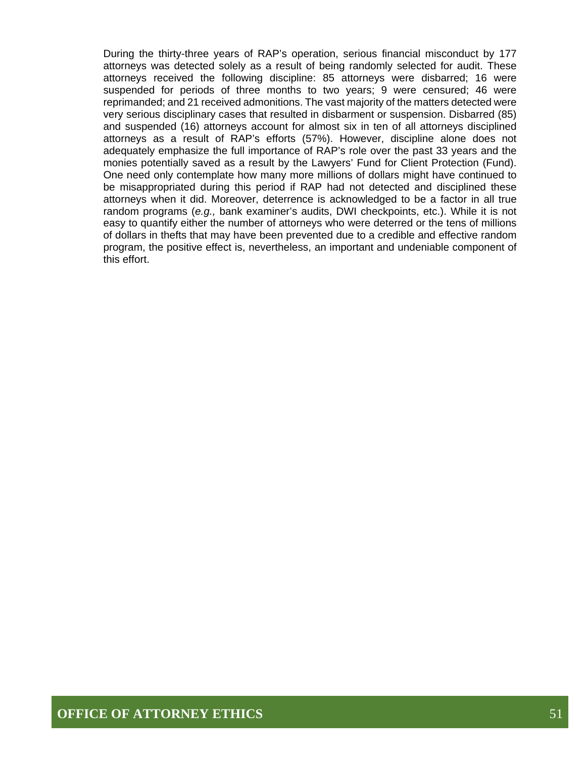During the thirty-three years of RAP's operation, serious financial misconduct by 177 attorneys was detected solely as a result of being randomly selected for audit. These attorneys received the following discipline: 85 attorneys were disbarred; 16 were suspended for periods of three months to two years; 9 were censured; 46 were reprimanded; and 21 received admonitions. The vast majority of the matters detected were very serious disciplinary cases that resulted in disbarment or suspension. Disbarred (85) and suspended (16) attorneys account for almost six in ten of all attorneys disciplined attorneys as a result of RAP's efforts (57%). However, discipline alone does not adequately emphasize the full importance of RAP's role over the past 33 years and the monies potentially saved as a result by the Lawyers' Fund for Client Protection (Fund). One need only contemplate how many more millions of dollars might have continued to be misappropriated during this period if RAP had not detected and disciplined these attorneys when it did. Moreover, deterrence is acknowledged to be a factor in all true random programs (*e.g.,* bank examiner's audits, DWI checkpoints, etc.). While it is not easy to quantify either the number of attorneys who were deterred or the tens of millions of dollars in thefts that may have been prevented due to a credible and effective random program, the positive effect is, nevertheless, an important and undeniable component of this effort.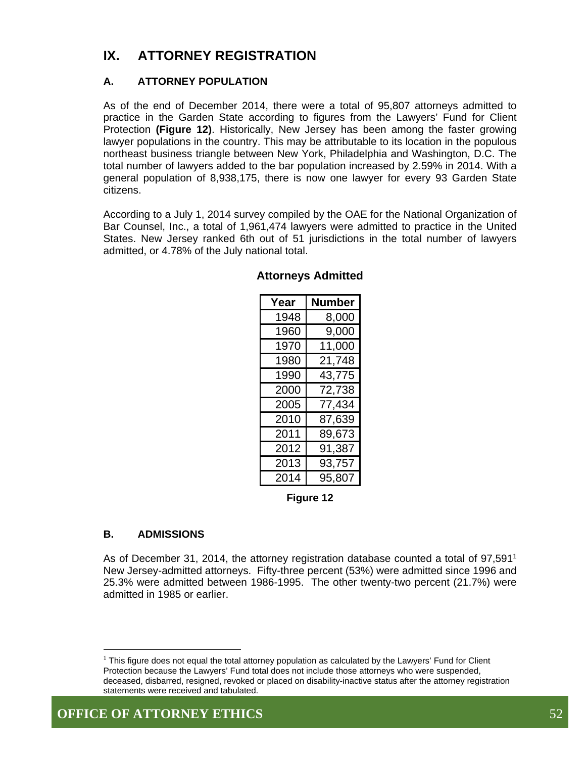## **IX. ATTORNEY REGISTRATION**

#### **A. ATTORNEY POPULATION**

As of the end of December 2014, there were a total of 95,807 attorneys admitted to practice in the Garden State according to figures from the Lawyers' Fund for Client Protection **(Figure 12)**. Historically, New Jersey has been among the faster growing lawyer populations in the country. This may be attributable to its location in the populous northeast business triangle between New York, Philadelphia and Washington, D.C. The total number of lawyers added to the bar population increased by 2.59% in 2014. With a general population of 8,938,175, there is now one lawyer for every 93 Garden State citizens.

According to a July 1, 2014 survey compiled by the OAE for the National Organization of Bar Counsel, Inc., a total of 1,961,474 lawyers were admitted to practice in the United States. New Jersey ranked 6th out of 51 jurisdictions in the total number of lawyers admitted, or 4.78% of the July national total.

| Year | Number |
|------|--------|
| 1948 | 8,000  |
| 1960 | 9,000  |
| 1970 | 11,000 |
| 1980 | 21,748 |
| 1990 | 43,775 |
| 2000 | 72,738 |
| 2005 | 77,434 |
| 2010 | 87,639 |
| 2011 | 89,673 |
| 2012 | 91,387 |
| 2013 | 93,757 |
| 2014 | 95,807 |

#### **Attorneys Admitted**

**Figure 12** 

#### **B. ADMISSIONS**

As of December 31, 2014, the attorney registration database counted a total of 97,591<sup>1</sup> New Jersey-admitted attorneys. Fifty-three percent (53%) were admitted since 1996 and 25.3% were admitted between 1986-1995. The other twenty-two percent (21.7%) were admitted in 1985 or earlier.

 $\overline{a}$ 

 $<sup>1</sup>$  This figure does not equal the total attorney population as calculated by the Lawyers' Fund for Client</sup> Protection because the Lawyers' Fund total does not include those attorneys who were suspended, deceased, disbarred, resigned, revoked or placed on disability-inactive status after the attorney registration statements were received and tabulated.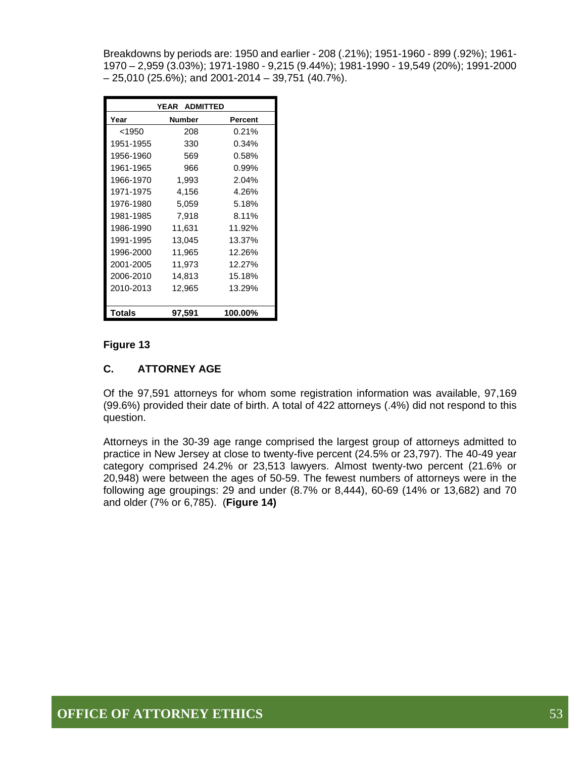Breakdowns by periods are: 1950 and earlier - 208 (.21%); 1951-1960 - 899 (.92%); 1961- 1970 – 2,959 (3.03%); 1971-1980 - 9,215 (9.44%); 1981-1990 - 19,549 (20%); 1991-2000  $-25,010$  (25.6%); and 2001-2014 - 39,751 (40.7%).

|           | <b>ADMITTED</b><br>YEAR |         |
|-----------|-------------------------|---------|
| Year      | <b>Number</b>           | Percent |
| <1950     | 208                     | 0.21%   |
| 1951-1955 | 330                     | 0.34%   |
| 1956-1960 | 569                     | 0.58%   |
| 1961-1965 | 966                     | 0.99%   |
| 1966-1970 | 1,993                   | 2.04%   |
| 1971-1975 | 4,156                   | 4.26%   |
| 1976-1980 | 5,059                   | 5.18%   |
| 1981-1985 | 7,918                   | 8.11%   |
| 1986-1990 | 11,631                  | 11.92%  |
| 1991-1995 | 13,045                  | 13.37%  |
| 1996-2000 | 11,965                  | 12.26%  |
| 2001-2005 | 11,973                  | 12.27%  |
| 2006-2010 | 14,813                  | 15.18%  |
| 2010-2013 | 12,965                  | 13.29%  |
|           |                         |         |
| Totals    | 97.591                  | 100.00% |

#### **Figure 13**

#### **C. ATTORNEY AGE**

Of the 97,591 attorneys for whom some registration information was available, 97,169 (99.6%) provided their date of birth. A total of 422 attorneys (.4%) did not respond to this question.

Attorneys in the 30-39 age range comprised the largest group of attorneys admitted to practice in New Jersey at close to twenty-five percent (24.5% or 23,797). The 40-49 year category comprised 24.2% or 23,513 lawyers. Almost twenty-two percent (21.6% or 20,948) were between the ages of 50-59. The fewest numbers of attorneys were in the following age groupings: 29 and under (8.7% or 8,444), 60-69 (14% or 13,682) and 70 and older (7% or 6,785). (**Figure 14)**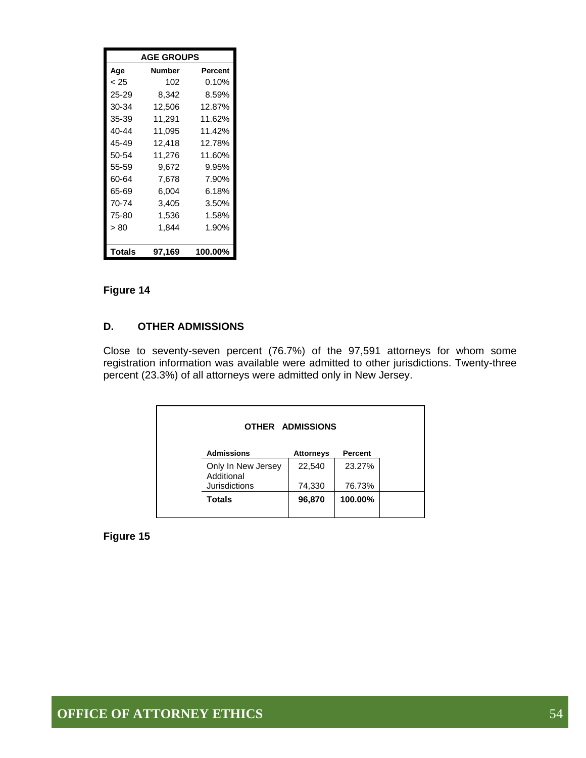| <b>AGE GROUPS</b> |                   |         |  |  |  |  |  |
|-------------------|-------------------|---------|--|--|--|--|--|
| Age               | <b>Number</b>     | Percent |  |  |  |  |  |
| < 25              | 102               | 0.10%   |  |  |  |  |  |
| 25-29             | 8,342             | 8.59%   |  |  |  |  |  |
| 30-34             | 12,506            | 12.87%  |  |  |  |  |  |
| 35-39             | 11,291            | 11.62%  |  |  |  |  |  |
| 40-44             | 11.095            | 11.42%  |  |  |  |  |  |
| 45-49             | 12,418            | 12.78%  |  |  |  |  |  |
| 50-54             | 11,276            | 11.60%  |  |  |  |  |  |
| 55-59             | 9,672             | 9.95%   |  |  |  |  |  |
| 60-64             | 7,678             | 7.90%   |  |  |  |  |  |
| 65-69             | 6,004             | 6.18%   |  |  |  |  |  |
| 70-74             | 3,405             | 3.50%   |  |  |  |  |  |
| 75-80             | 1,536             | 1.58%   |  |  |  |  |  |
| > 80              | 1,844             | 1.90%   |  |  |  |  |  |
|                   |                   |         |  |  |  |  |  |
| Totals            | 100.00%<br>97,169 |         |  |  |  |  |  |

#### **Figure 14**

#### **D. OTHER ADMISSIONS**

Close to seventy-seven percent (76.7%) of the 97,591 attorneys for whom some registration information was available were admitted to other jurisdictions. Twenty-three percent (23.3%) of all attorneys were admitted only in New Jersey.

|                                  | OTHER ADMISSIONS |         |
|----------------------------------|------------------|---------|
| <b>Admissions</b>                | <b>Attorneys</b> | Percent |
| Only In New Jersey<br>Additional | 22,540           | 23.27%  |
| <b>Jurisdictions</b>             | 74,330           | 76.73%  |
| <b>Totals</b>                    | 96,870           | 100.00% |

**Figure 15**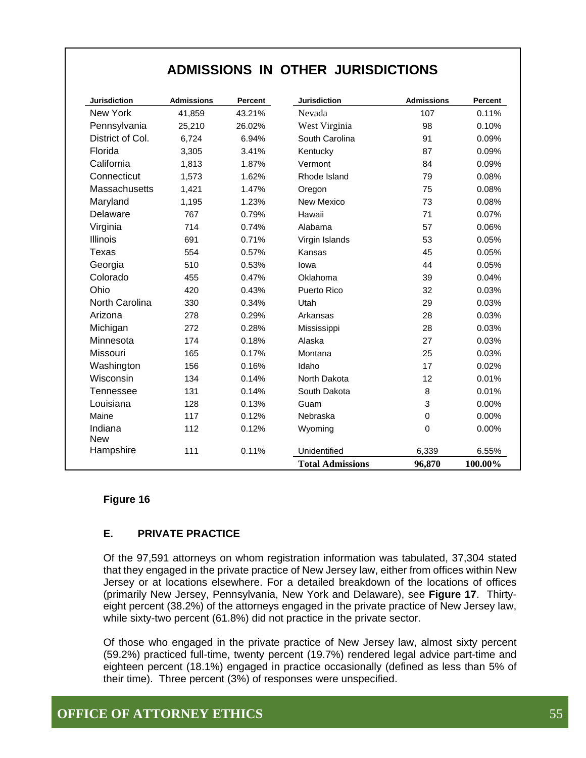## **ADMISSIONS IN OTHER JURISDICTIONS**

| <b>Jurisdiction</b>   | <b>Admissions</b> | Percent | <b>Jurisdiction</b>     | <b>Admissions</b> | Percent |
|-----------------------|-------------------|---------|-------------------------|-------------------|---------|
| New York              | 41,859            | 43.21%  | Nevada                  | 107               | 0.11%   |
| Pennsylvania          | 25,210            | 26.02%  | West Virginia           | 98                | 0.10%   |
| District of Col.      | 6,724             | 6.94%   | South Carolina          | 91                | 0.09%   |
| Florida               | 3,305             | 3.41%   | Kentucky                | 87                | 0.09%   |
| California            | 1,813             | 1.87%   | Vermont                 | 84                | 0.09%   |
| Connecticut           | 1,573             | 1.62%   | Rhode Island            | 79                | 0.08%   |
| Massachusetts         | 1,421             | 1.47%   | Oregon                  | 75                | 0.08%   |
| Maryland              | 1,195             | 1.23%   | New Mexico              | 73                | 0.08%   |
| Delaware              | 767               | 0.79%   | Hawaii                  | 71                | 0.07%   |
| Virginia              | 714               | 0.74%   | Alabama                 | 57                | 0.06%   |
| Illinois              | 691               | 0.71%   | Virgin Islands          | 53                | 0.05%   |
| Texas                 | 554               | 0.57%   | Kansas                  | 45                | 0.05%   |
| Georgia               | 510               | 0.53%   | lowa                    | 44                | 0.05%   |
| Colorado              | 455               | 0.47%   | Oklahoma                | 39                | 0.04%   |
| Ohio                  | 420               | 0.43%   | Puerto Rico             | 32                | 0.03%   |
| North Carolina        | 330               | 0.34%   | Utah                    | 29                | 0.03%   |
| Arizona               | 278               | 0.29%   | Arkansas                | 28                | 0.03%   |
| Michigan              | 272               | 0.28%   | Mississippi             | 28                | 0.03%   |
| Minnesota             | 174               | 0.18%   | Alaska                  | 27                | 0.03%   |
| Missouri              | 165               | 0.17%   | Montana                 | 25                | 0.03%   |
| Washington            | 156               | 0.16%   | Idaho                   | 17                | 0.02%   |
| Wisconsin             | 134               | 0.14%   | North Dakota            | 12                | 0.01%   |
| <b>Tennessee</b>      | 131               | 0.14%   | South Dakota            | 8                 | 0.01%   |
| Louisiana             | 128               | 0.13%   | Guam                    | 3                 | 0.00%   |
| Maine                 | 117               | 0.12%   | Nebraska                | 0                 | 0.00%   |
| Indiana<br><b>New</b> | 112               | 0.12%   | Wyoming                 | $\mathbf 0$       | 0.00%   |
| Hampshire             | 111               | 0.11%   | Unidentified            | 6,339             | 6.55%   |
|                       |                   |         | <b>Total Admissions</b> | 96,870            | 100.00% |

#### **Figure 16**

#### **E. PRIVATE PRACTICE**

Of the 97,591 attorneys on whom registration information was tabulated, 37,304 stated that they engaged in the private practice of New Jersey law, either from offices within New Jersey or at locations elsewhere. For a detailed breakdown of the locations of offices (primarily New Jersey, Pennsylvania, New York and Delaware), see **Figure 17**. Thirtyeight percent (38.2%) of the attorneys engaged in the private practice of New Jersey law, while sixty-two percent (61.8%) did not practice in the private sector.

Of those who engaged in the private practice of New Jersey law, almost sixty percent (59.2%) practiced full-time, twenty percent (19.7%) rendered legal advice part-time and eighteen percent (18.1%) engaged in practice occasionally (defined as less than 5% of their time). Three percent (3%) of responses were unspecified.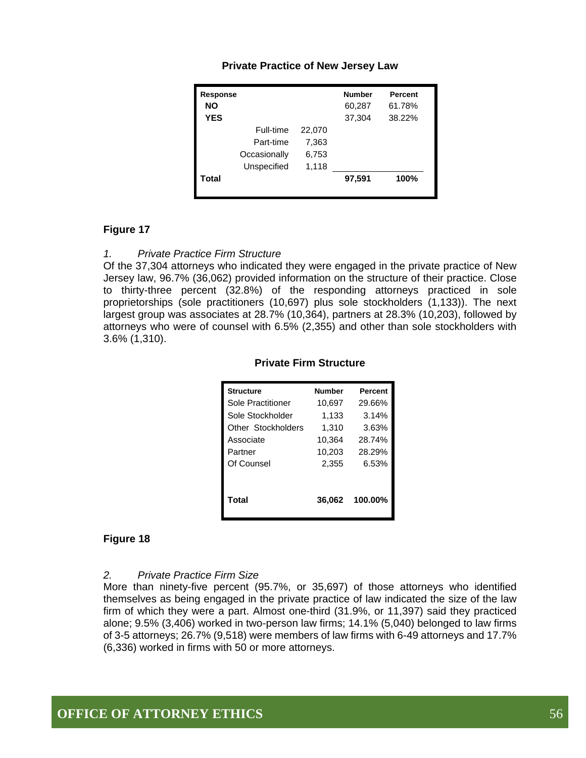| Response<br>NΟ<br><b>YES</b> |              |        | <b>Number</b><br>60,287<br>37,304 | <b>Percent</b><br>61.78%<br>38.22% |
|------------------------------|--------------|--------|-----------------------------------|------------------------------------|
|                              | Full-time    | 22,070 |                                   |                                    |
|                              | Part-time    | 7,363  |                                   |                                    |
|                              | Occasionally | 6,753  |                                   |                                    |
|                              | Unspecified  | 1,118  |                                   |                                    |
| Total                        |              |        | 97,591                            | 100%                               |
|                              |              |        |                                   |                                    |

#### **Private Practice of New Jersey Law**

#### **Figure 17**

#### *1. Private Practice Firm Structure*

Of the 37,304 attorneys who indicated they were engaged in the private practice of New Jersey law, 96.7% (36,062) provided information on the structure of their practice. Close to thirty-three percent (32.8%) of the responding attorneys practiced in sole proprietorships (sole practitioners (10,697) plus sole stockholders (1,133)). The next largest group was associates at 28.7% (10,364), partners at 28.3% (10,203), followed by attorneys who were of counsel with 6.5% (2,355) and other than sole stockholders with 3.6% (1,310).

| <b>Structure</b>  | <b>Number</b> | <b>Percent</b> |
|-------------------|---------------|----------------|
| Sole Practitioner | 10.697        | 29.66%         |
| Sole Stockholder  | 1,133         | 3.14%          |

Other Stockholders 1,310 3.63% Associate 10,364 28.74%

#### **Private Firm Structure**

| Total      |        | 36,062 100.00% |
|------------|--------|----------------|
| Partner    | 10,203 | 28.29%         |
| Of Counsel | 2,355  | 6.53%          |

#### **Figure 18**

#### *2. Private Practice Firm Size*

More than ninety-five percent (95.7%, or 35,697) of those attorneys who identified themselves as being engaged in the private practice of law indicated the size of the law firm of which they were a part. Almost one-third (31.9%, or 11,397) said they practiced alone; 9.5% (3,406) worked in two-person law firms; 14.1% (5,040) belonged to law firms of 3-5 attorneys; 26.7% (9,518) were members of law firms with 6-49 attorneys and 17.7% (6,336) worked in firms with 50 or more attorneys.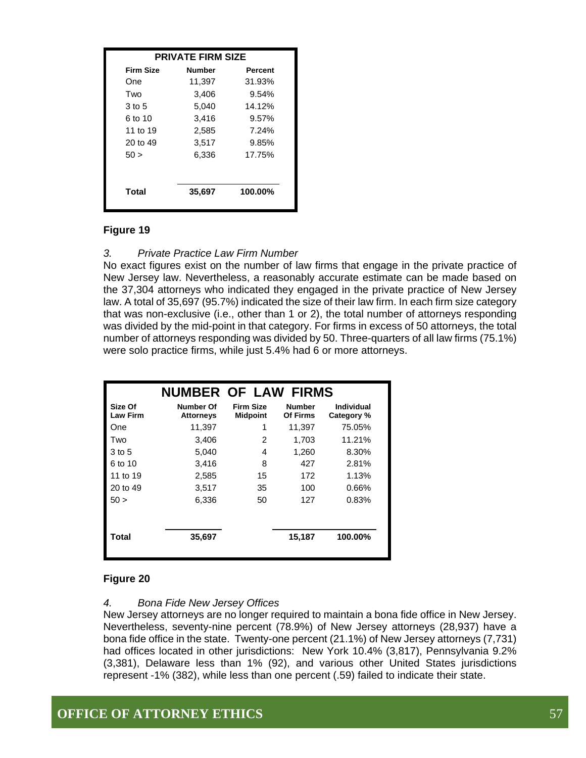| <b>PRIVATE FIRM SIZE</b> |               |         |  |  |  |
|--------------------------|---------------|---------|--|--|--|
| <b>Firm Size</b>         | <b>Number</b> | Percent |  |  |  |
| One                      | 11,397        | 31.93%  |  |  |  |
| Two                      | 3,406         | 9.54%   |  |  |  |
| 3 to 5                   | 5,040         | 14.12%  |  |  |  |
| 6 to 10                  | 3,416         | 9.57%   |  |  |  |
| 11 to 19                 | 2,585         | 7.24%   |  |  |  |
| 20 to 49                 | 3,517         | 9.85%   |  |  |  |
| 50 >                     | 6,336         | 17.75%  |  |  |  |
| Total                    | 35,697        | 100.00% |  |  |  |

#### **Figure 19**

#### *3. Private Practice Law Firm Number*

No exact figures exist on the number of law firms that engage in the private practice of New Jersey law. Nevertheless, a reasonably accurate estimate can be made based on the 37,304 attorneys who indicated they engaged in the private practice of New Jersey law. A total of 35,697 (95.7%) indicated the size of their law firm. In each firm size category that was non-exclusive (i.e., other than 1 or 2), the total number of attorneys responding was divided by the mid-point in that category. For firms in excess of 50 attorneys, the total number of attorneys responding was divided by 50. Three-quarters of all law firms (75.1%) were solo practice firms, while just 5.4% had 6 or more attorneys.

|                            | <b>NUMBER OF LAW FIRMS</b>    |                                     |                           |                          |
|----------------------------|-------------------------------|-------------------------------------|---------------------------|--------------------------|
| Size Of<br><b>Law Firm</b> | Number Of<br><b>Attorneys</b> | <b>Firm Size</b><br><b>Midpoint</b> | <b>Number</b><br>Of Firms | Individual<br>Category % |
| One                        | 11,397                        | 1                                   | 11,397                    | 75.05%                   |
| Two                        | 3,406                         | 2                                   | 1,703                     | 11.21%                   |
| 3 to 5                     | 5.040                         | 4                                   | 1,260                     | 8.30%                    |
| 6 to 10                    | 3,416                         | 8                                   | 427                       | 2.81%                    |
| 11 to 19                   | 2,585                         | 15                                  | 172                       | 1.13%                    |
| 20 to 49                   | 3,517                         | 35                                  | 100                       | 0.66%                    |
| 50 >                       | 6,336                         | 50                                  | 127                       | 0.83%                    |
| Total                      | 35,697                        |                                     | 15,187                    | 100.00%                  |

#### **Figure 20**

#### *4. Bona Fide New Jersey Offices*

New Jersey attorneys are no longer required to maintain a bona fide office in New Jersey. Nevertheless, seventy-nine percent (78.9%) of New Jersey attorneys (28,937) have a bona fide office in the state. Twenty-one percent (21.1%) of New Jersey attorneys (7,731) had offices located in other jurisdictions: New York 10.4% (3,817), Pennsylvania 9.2% (3,381), Delaware less than 1% (92), and various other United States jurisdictions represent -1% (382), while less than one percent (.59) failed to indicate their state.